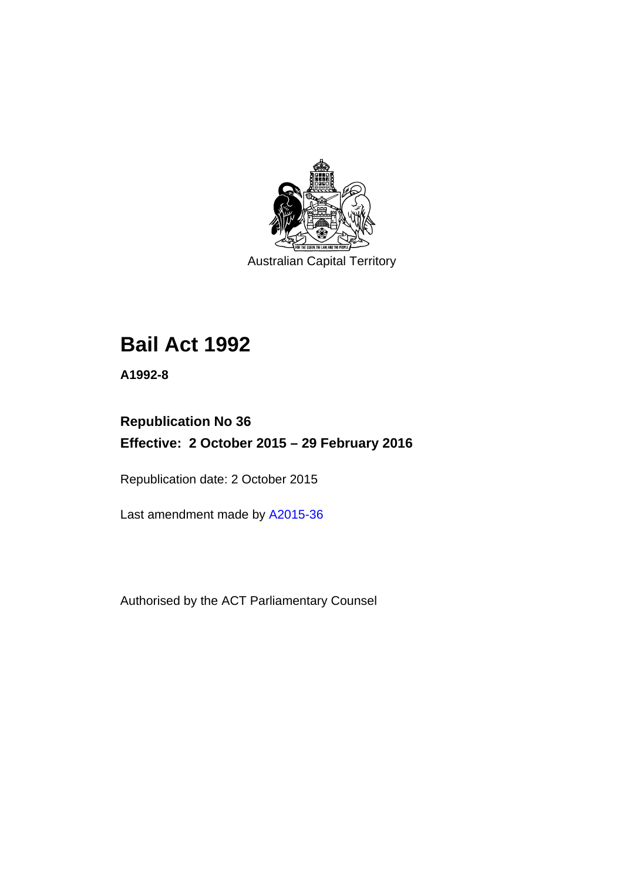

Australian Capital Territory

# **Bail Act 1992**

**A1992-8** 

# **Republication No 36 Effective: 2 October 2015 – 29 February 2016**

Republication date: 2 October 2015

Last amendment made by [A2015-36](http://www.legislation.act.gov.au/a/2015-36)

Authorised by the ACT Parliamentary Counsel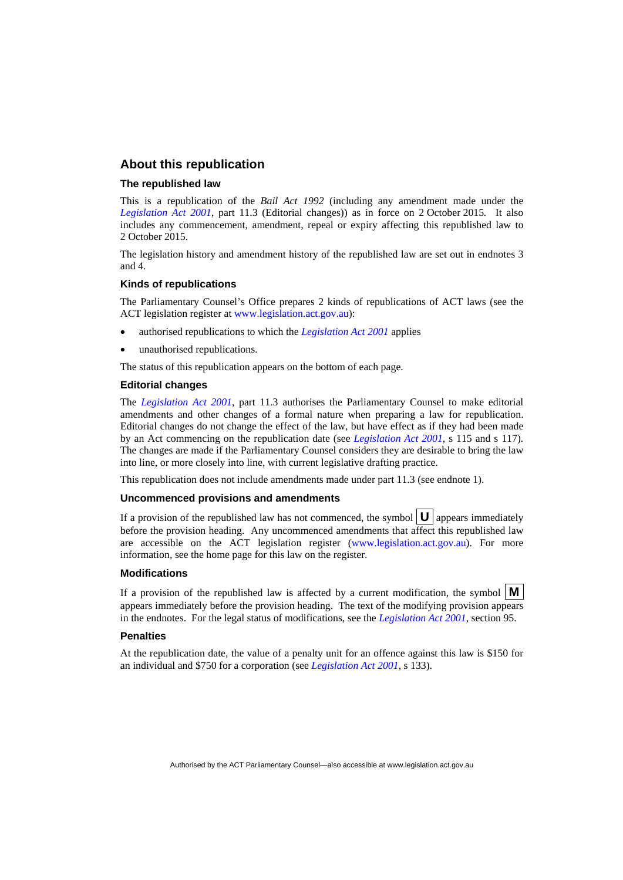#### **About this republication**

#### **The republished law**

This is a republication of the *Bail Act 1992* (including any amendment made under the *[Legislation Act 2001](http://www.legislation.act.gov.au/a/2001-14)*, part 11.3 (Editorial changes)) as in force on 2 October 2015*.* It also includes any commencement, amendment, repeal or expiry affecting this republished law to 2 October 2015.

The legislation history and amendment history of the republished law are set out in endnotes 3 and 4.

#### **Kinds of republications**

The Parliamentary Counsel's Office prepares 2 kinds of republications of ACT laws (see the ACT legislation register at [www.legislation.act.gov.au](http://www.legislation.act.gov.au/)):

- authorised republications to which the *[Legislation Act 2001](http://www.legislation.act.gov.au/a/2001-14)* applies
- unauthorised republications.

The status of this republication appears on the bottom of each page.

#### **Editorial changes**

The *[Legislation Act 2001](http://www.legislation.act.gov.au/a/2001-14)*, part 11.3 authorises the Parliamentary Counsel to make editorial amendments and other changes of a formal nature when preparing a law for republication. Editorial changes do not change the effect of the law, but have effect as if they had been made by an Act commencing on the republication date (see *[Legislation Act 2001](http://www.legislation.act.gov.au/a/2001-14)*, s 115 and s 117). The changes are made if the Parliamentary Counsel considers they are desirable to bring the law into line, or more closely into line, with current legislative drafting practice.

This republication does not include amendments made under part 11.3 (see endnote 1).

#### **Uncommenced provisions and amendments**

If a provision of the republished law has not commenced, the symbol  $\mathbf{U}$  appears immediately before the provision heading. Any uncommenced amendments that affect this republished law are accessible on the ACT legislation register [\(www.legislation.act.gov.au\)](http://www.legislation.act.gov.au/). For more information, see the home page for this law on the register.

#### **Modifications**

If a provision of the republished law is affected by a current modification, the symbol  $\mathbf{M}$ appears immediately before the provision heading. The text of the modifying provision appears in the endnotes. For the legal status of modifications, see the *[Legislation Act 2001](http://www.legislation.act.gov.au/a/2001-14)*, section 95.

#### **Penalties**

At the republication date, the value of a penalty unit for an offence against this law is \$150 for an individual and \$750 for a corporation (see *[Legislation Act 2001](http://www.legislation.act.gov.au/a/2001-14)*, s 133).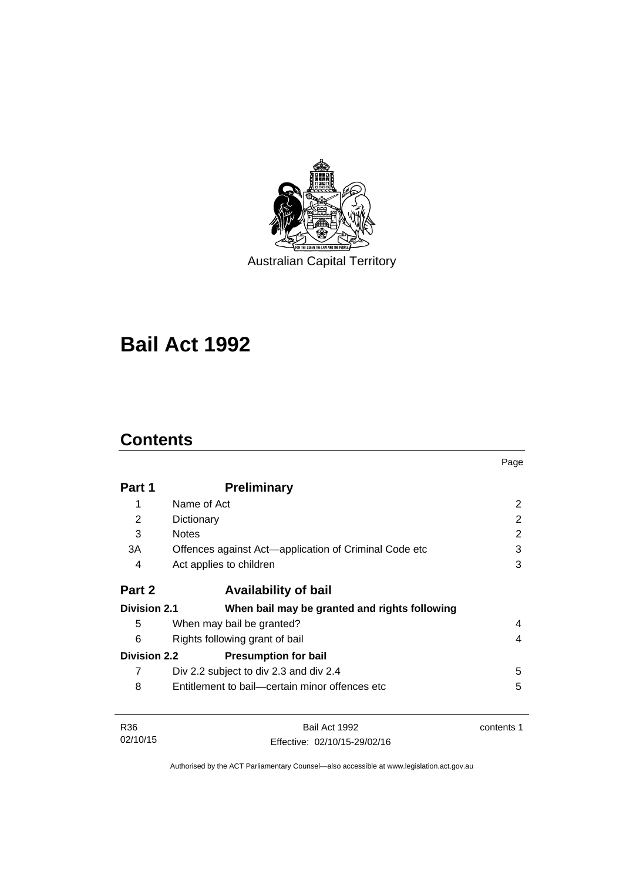

Australian Capital Territory

# **Bail Act 1992**

# **Contents**

|                     |                                                       | Page       |
|---------------------|-------------------------------------------------------|------------|
| Part 1              | <b>Preliminary</b>                                    |            |
| 1                   | Name of Act                                           | 2          |
| 2                   | Dictionary                                            | 2          |
| 3                   | <b>Notes</b>                                          | 2          |
| 3A                  | Offences against Act-application of Criminal Code etc | 3          |
| 4                   | Act applies to children                               | 3          |
| Part 2              | <b>Availability of bail</b>                           |            |
| <b>Division 2.1</b> | When bail may be granted and rights following         |            |
| 5                   | When may bail be granted?                             | 4          |
| 6                   | Rights following grant of bail                        | 4          |
| <b>Division 2.2</b> | <b>Presumption for bail</b>                           |            |
| 7                   | Div 2.2 subject to div 2.3 and div 2.4                | 5          |
| 8                   | Entitlement to bail—certain minor offences etc        | 5          |
| R <sub>36</sub>     | Bail Act 1992                                         | contents 1 |
| 02/10/15            | Effective: 02/10/15-29/02/16                          |            |

Authorised by the ACT Parliamentary Counsel—also accessible at www.legislation.act.gov.au

Effective: 02/10/15-29/02/16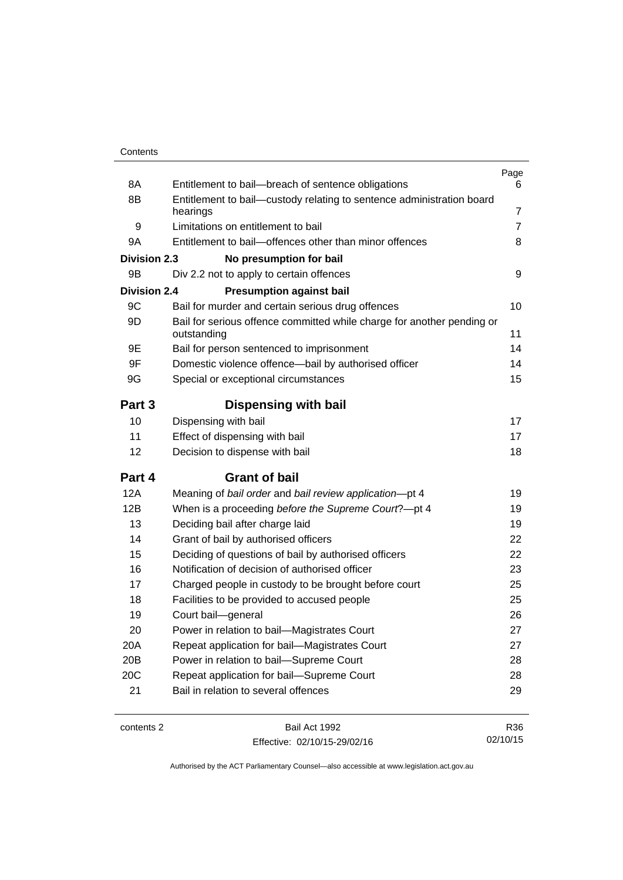| 8A                  | Entitlement to bail-breach of sentence obligations                                    | Page<br>6      |
|---------------------|---------------------------------------------------------------------------------------|----------------|
| 8B                  | Entitlement to bail-custody relating to sentence administration board                 |                |
|                     | hearings                                                                              | 7              |
| 9                   | Limitations on entitlement to bail                                                    | $\overline{7}$ |
| 9Α                  | Entitlement to bail-offences other than minor offences                                | 8              |
| <b>Division 2.3</b> | No presumption for bail                                                               |                |
| 9Β                  | Div 2.2 not to apply to certain offences                                              | 9              |
| <b>Division 2.4</b> | <b>Presumption against bail</b>                                                       |                |
| 9C                  | Bail for murder and certain serious drug offences                                     | 10             |
| 9D                  | Bail for serious offence committed while charge for another pending or<br>outstanding | 11             |
| 9Ε                  | Bail for person sentenced to imprisonment                                             | 14             |
| 9F                  | Domestic violence offence-bail by authorised officer                                  | 14             |
| 9G                  | Special or exceptional circumstances                                                  | 15             |
| Part 3              | Dispensing with bail                                                                  |                |
| 10                  | Dispensing with bail                                                                  | 17             |
| 11                  | Effect of dispensing with bail                                                        | 17             |
| 12                  | Decision to dispense with bail                                                        | 18             |
| Part 4              | <b>Grant of bail</b>                                                                  |                |
| 12A                 | Meaning of bail order and bail review application-pt 4                                | 19             |
| 12B                 | When is a proceeding before the Supreme Court?-pt 4                                   | 19             |
| 13                  | Deciding bail after charge laid                                                       | 19             |
| 14                  | Grant of bail by authorised officers                                                  | 22             |
| 15                  | Deciding of questions of bail by authorised officers                                  | 22             |
| 16                  | Notification of decision of authorised officer                                        | 23             |
| 17                  | Charged people in custody to be brought before court                                  | 25             |
| 18                  | Facilities to be provided to accused people                                           | 25             |
| 19                  | Court bail-general                                                                    | 26             |
| 20                  | Power in relation to bail—Magistrates Court                                           | 27             |
| 20A                 | Repeat application for bail-Magistrates Court                                         | 27             |
| 20 <sub>B</sub>     | Power in relation to bail-Supreme Court                                               | 28             |
| 20C                 | Repeat application for bail-Supreme Court                                             | 28             |
| 21                  | Bail in relation to several offences                                                  | 29             |
|                     |                                                                                       |                |

contents 2 Bail Act 1992 Effective: 02/10/15-29/02/16

R36 02/10/15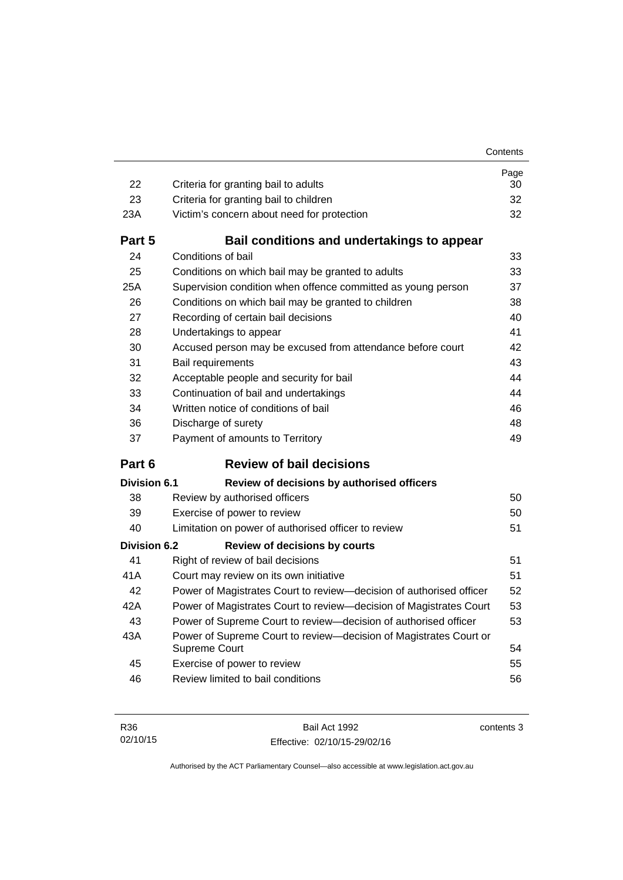| 22                  | Criteria for granting bail to adults                                               | Page<br>30 |
|---------------------|------------------------------------------------------------------------------------|------------|
| 23                  | Criteria for granting bail to children                                             | 32         |
| 23A                 | Victim's concern about need for protection                                         | 32         |
| Part 5              | Bail conditions and undertakings to appear                                         |            |
| 24                  | Conditions of bail                                                                 | 33         |
| 25                  | Conditions on which bail may be granted to adults                                  | 33         |
| 25A                 | Supervision condition when offence committed as young person                       | 37         |
| 26                  | Conditions on which bail may be granted to children                                | 38         |
| 27                  | Recording of certain bail decisions                                                | 40         |
| 28                  | Undertakings to appear                                                             | 41         |
| 30                  | Accused person may be excused from attendance before court                         | 42         |
| 31                  | Bail requirements                                                                  | 43         |
| 32                  | Acceptable people and security for bail                                            | 44         |
| 33                  | Continuation of bail and undertakings                                              | 44         |
| 34                  | Written notice of conditions of bail                                               | 46         |
| 36                  | Discharge of surety                                                                | 48         |
|                     |                                                                                    |            |
| 37                  | Payment of amounts to Territory                                                    | 49         |
| Part 6              | <b>Review of bail decisions</b>                                                    |            |
| Division 6.1        | Review of decisions by authorised officers                                         |            |
| 38                  | Review by authorised officers                                                      | 50         |
| 39                  | Exercise of power to review                                                        | 50         |
| 40                  | Limitation on power of authorised officer to review                                | 51         |
| <b>Division 6.2</b> | <b>Review of decisions by courts</b>                                               |            |
| 41                  | Right of review of bail decisions                                                  | 51         |
| 41 A                | Court may review on its own initiative                                             | 51         |
| 42                  | Power of Magistrates Court to review-decision of authorised officer                | 52         |
| 42A                 | Power of Magistrates Court to review-decision of Magistrates Court                 | 53         |
| 43                  | Power of Supreme Court to review-decision of authorised officer                    | 53         |
| 43A                 | Power of Supreme Court to review-decision of Magistrates Court or<br>Supreme Court | 54         |
| 45                  | Exercise of power to review                                                        | 55         |
| 46                  | Review limited to bail conditions                                                  | 56         |

Bail Act 1992 Effective: 02/10/15-29/02/16 contents 3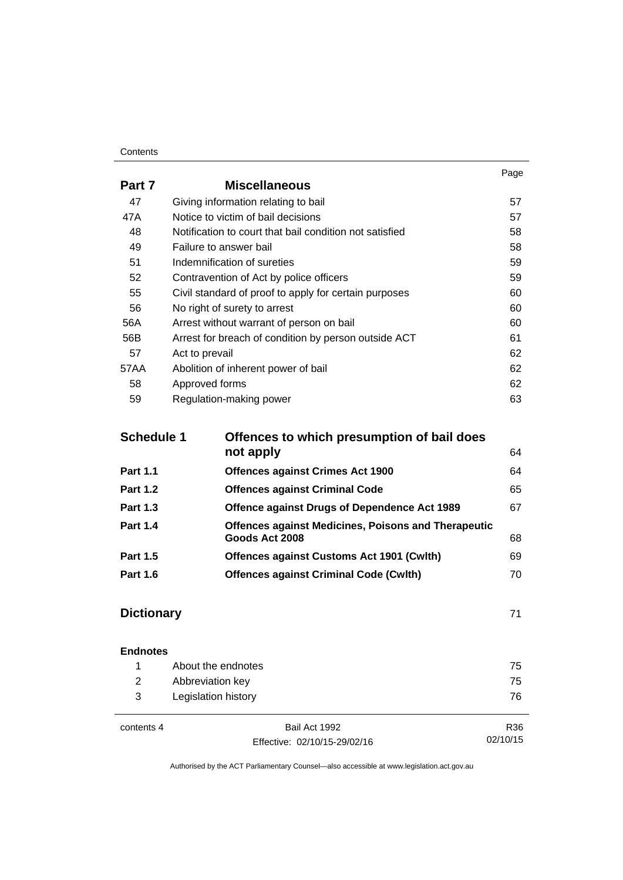#### **Contents**

|        |                                                         | Page |
|--------|---------------------------------------------------------|------|
| Part 7 | <b>Miscellaneous</b>                                    |      |
| 47     | Giving information relating to bail                     | 57   |
| 47A    | Notice to victim of bail decisions                      | 57   |
| 48     | Notification to court that bail condition not satisfied | 58   |
| 49     | Failure to answer bail                                  | 58   |
| 51     | Indemnification of sureties                             | 59   |
| 52     | Contravention of Act by police officers                 | 59   |
| 55     | Civil standard of proof to apply for certain purposes   | 60   |
| 56     | No right of surety to arrest                            | 60   |
| 56A    | Arrest without warrant of person on bail                | 60   |
| 56B    | Arrest for breach of condition by person outside ACT    | 61   |
| 57     | Act to prevail                                          | 62   |
| 57AA   | Abolition of inherent power of bail                     | 62   |
| 58     | Approved forms                                          | 62   |
| 59     | Regulation-making power                                 | 63   |

| <b>Schedule 1</b> | Offences to which presumption of bail does                 |    |
|-------------------|------------------------------------------------------------|----|
|                   | not apply                                                  | 64 |
| <b>Part 1.1</b>   | <b>Offences against Crimes Act 1900</b>                    | 64 |
| <b>Part 1.2</b>   | <b>Offences against Criminal Code</b>                      | 65 |
| <b>Part 1.3</b>   | Offence against Drugs of Dependence Act 1989               | 67 |
| <b>Part 1.4</b>   | <b>Offences against Medicines, Poisons and Therapeutic</b> |    |
|                   | Goods Act 2008                                             | 68 |
| <b>Part 1.5</b>   | <b>Offences against Customs Act 1901 (Cwlth)</b>           | 69 |
| <b>Part 1.6</b>   | <b>Offences against Criminal Code (Cwlth)</b>              | 70 |
|                   |                                                            |    |

## **[Dictionary](#page-78-0)** [71](#page-78-0)

| <b>Endnotes</b> |                     |    |
|-----------------|---------------------|----|
|                 | About the endnotes  | 75 |
| 2               | Abbreviation key    | 75 |
| 3               | Legislation history | 76 |
|                 |                     |    |

 $\overline{a}$ 

contents 4 Bail Act 1992 Effective: 02/10/15-29/02/16

R36 02/10/15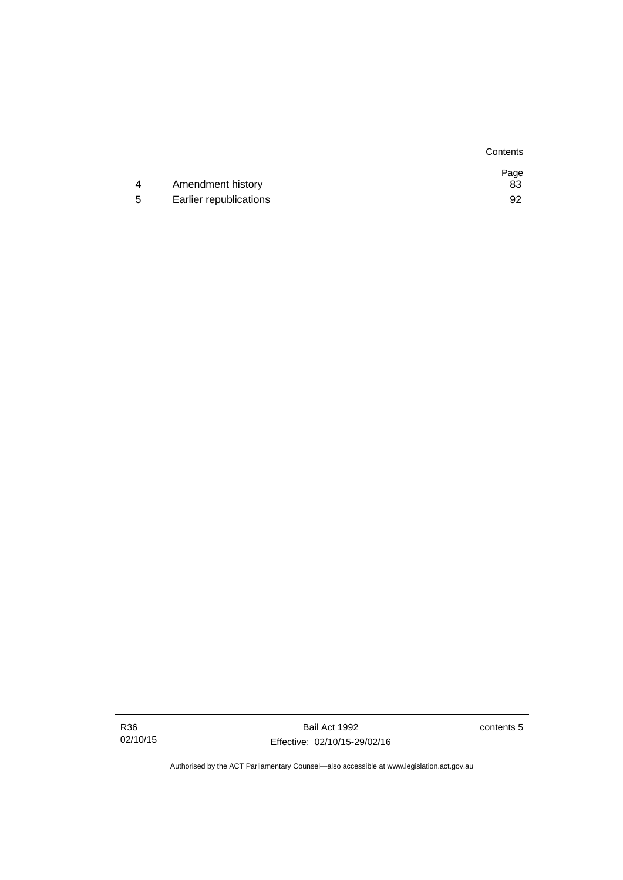|   |                        | Contents   |
|---|------------------------|------------|
| 4 | Amendment history      | Page<br>83 |
| b | Earlier republications | 92         |

Bail Act 1992 Effective: 02/10/15-29/02/16 contents 5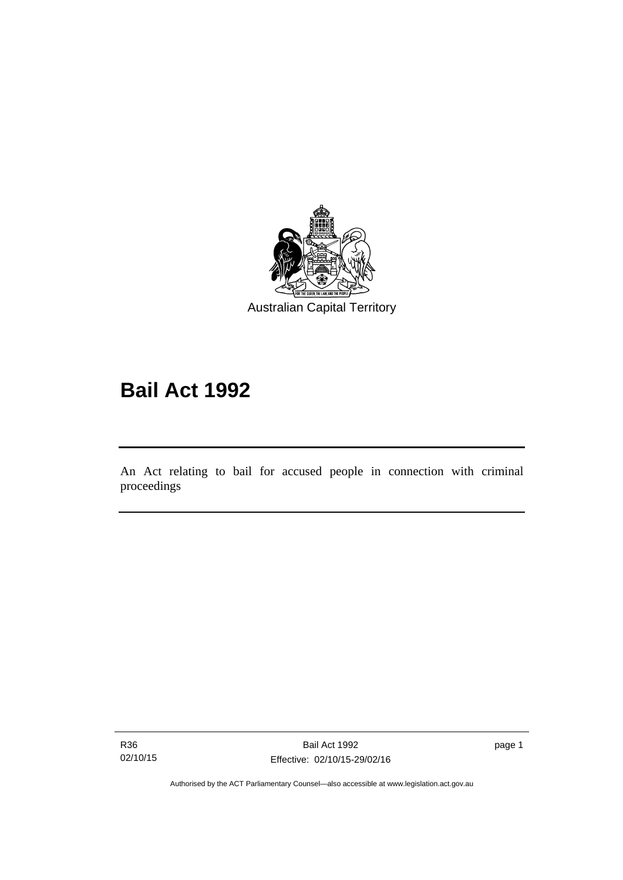

# **Bail Act 1992**

An Act relating to bail for accused people in connection with criminal proceedings

R36 02/10/15

l

page 1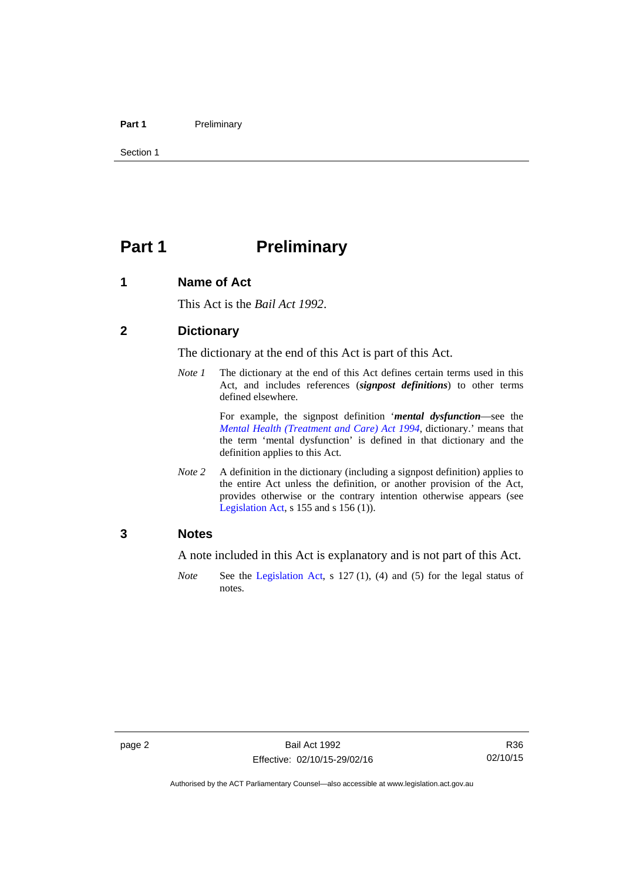#### Part 1 **Preliminary**

Section 1

# <span id="page-9-0"></span>**Part 1** Preliminary

#### <span id="page-9-1"></span>**1 Name of Act**

This Act is the *Bail Act 1992*.

#### <span id="page-9-2"></span>**2 Dictionary**

The dictionary at the end of this Act is part of this Act.

*Note 1* The dictionary at the end of this Act defines certain terms used in this Act, and includes references (*signpost definitions*) to other terms defined elsewhere.

> For example, the signpost definition '*mental dysfunction*—see the *[Mental Health \(Treatment and Care\) Act 1994](http://www.legislation.act.gov.au/a/1994-44)*, dictionary.' means that the term 'mental dysfunction' is defined in that dictionary and the definition applies to this Act.

*Note* 2 A definition in the dictionary (including a signpost definition) applies to the entire Act unless the definition, or another provision of the Act, provides otherwise or the contrary intention otherwise appears (see [Legislation Act,](http://www.legislation.act.gov.au/a/2001-14) s 155 and s 156 (1)).

#### <span id="page-9-3"></span>**3 Notes**

A note included in this Act is explanatory and is not part of this Act.

*Note* See the [Legislation Act,](http://www.legislation.act.gov.au/a/2001-14) s 127 (1), (4) and (5) for the legal status of notes.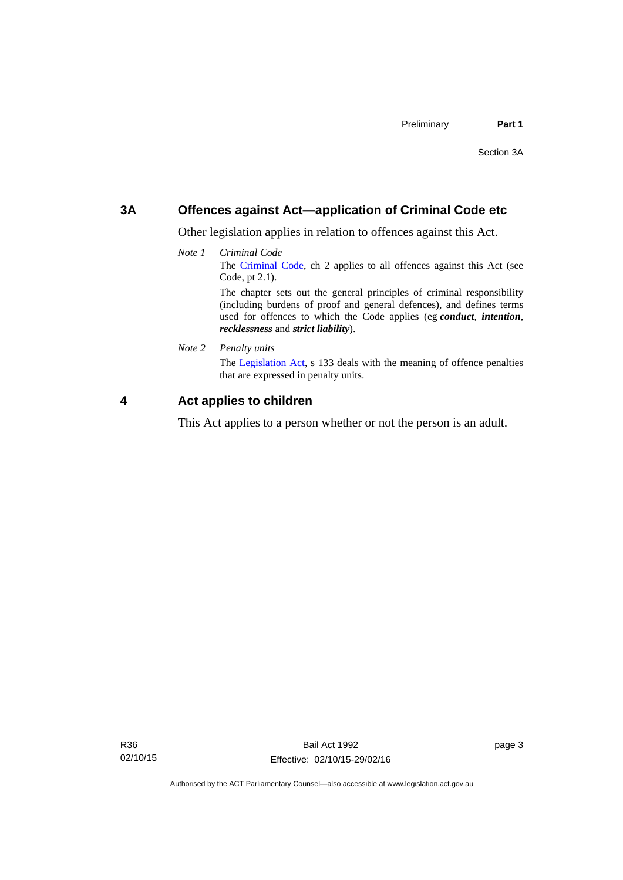#### <span id="page-10-0"></span>**3A Offences against Act—application of Criminal Code etc**

Other legislation applies in relation to offences against this Act.

*Note 1 Criminal Code* The [Criminal Code](http://www.legislation.act.gov.au/a/2002-51), ch 2 applies to all offences against this Act (see Code, pt 2.1). The chapter sets out the general principles of criminal responsibility (including burdens of proof and general defences), and defines terms

used for offences to which the Code applies (eg *conduct*, *intention*, *recklessness* and *strict liability*).

*Note 2 Penalty units* 

The [Legislation Act](http://www.legislation.act.gov.au/a/2001-14), s 133 deals with the meaning of offence penalties that are expressed in penalty units.

#### <span id="page-10-1"></span>**4 Act applies to children**

This Act applies to a person whether or not the person is an adult.

page 3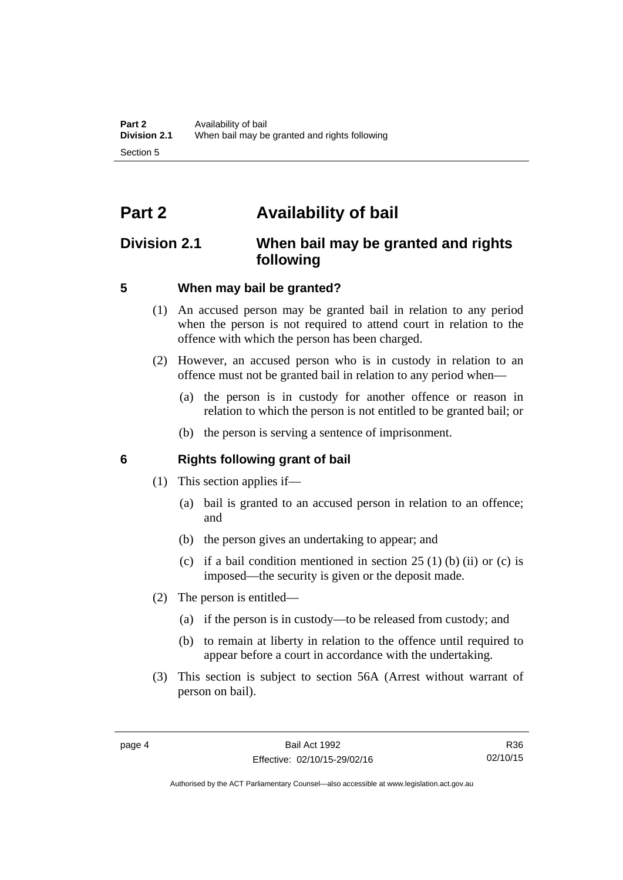# <span id="page-11-0"></span>**Part 2 Availability of bail**

## <span id="page-11-1"></span>**Division 2.1 When bail may be granted and rights following**

#### <span id="page-11-2"></span>**5 When may bail be granted?**

- (1) An accused person may be granted bail in relation to any period when the person is not required to attend court in relation to the offence with which the person has been charged.
- (2) However, an accused person who is in custody in relation to an offence must not be granted bail in relation to any period when—
	- (a) the person is in custody for another offence or reason in relation to which the person is not entitled to be granted bail; or
	- (b) the person is serving a sentence of imprisonment.

#### <span id="page-11-3"></span>**6 Rights following grant of bail**

- (1) This section applies if—
	- (a) bail is granted to an accused person in relation to an offence; and
	- (b) the person gives an undertaking to appear; and
	- (c) if a bail condition mentioned in section  $25(1)$  (b) (ii) or (c) is imposed—the security is given or the deposit made.
- (2) The person is entitled—
	- (a) if the person is in custody—to be released from custody; and
	- (b) to remain at liberty in relation to the offence until required to appear before a court in accordance with the undertaking.
- (3) This section is subject to section 56A (Arrest without warrant of person on bail).

Authorised by the ACT Parliamentary Counsel—also accessible at www.legislation.act.gov.au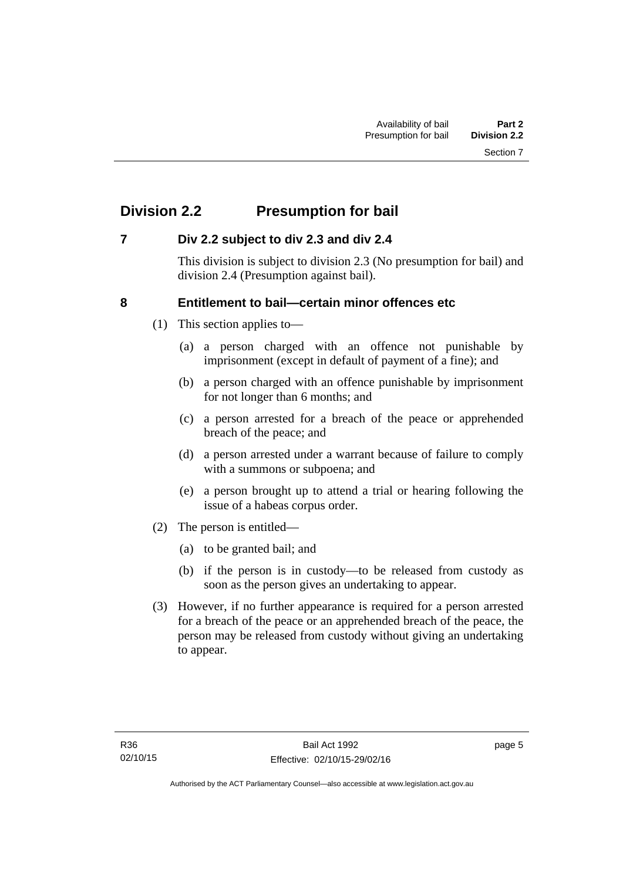# <span id="page-12-0"></span>**Division 2.2 Presumption for bail**

#### <span id="page-12-1"></span>**7 Div 2.2 subject to div 2.3 and div 2.4**

This division is subject to division 2.3 (No presumption for bail) and division 2.4 (Presumption against bail).

#### <span id="page-12-2"></span>**8 Entitlement to bail—certain minor offences etc**

- (1) This section applies to—
	- (a) a person charged with an offence not punishable by imprisonment (except in default of payment of a fine); and
	- (b) a person charged with an offence punishable by imprisonment for not longer than 6 months; and
	- (c) a person arrested for a breach of the peace or apprehended breach of the peace; and
	- (d) a person arrested under a warrant because of failure to comply with a summons or subpoena; and
	- (e) a person brought up to attend a trial or hearing following the issue of a habeas corpus order.
- (2) The person is entitled—
	- (a) to be granted bail; and
	- (b) if the person is in custody—to be released from custody as soon as the person gives an undertaking to appear.
- (3) However, if no further appearance is required for a person arrested for a breach of the peace or an apprehended breach of the peace, the person may be released from custody without giving an undertaking to appear.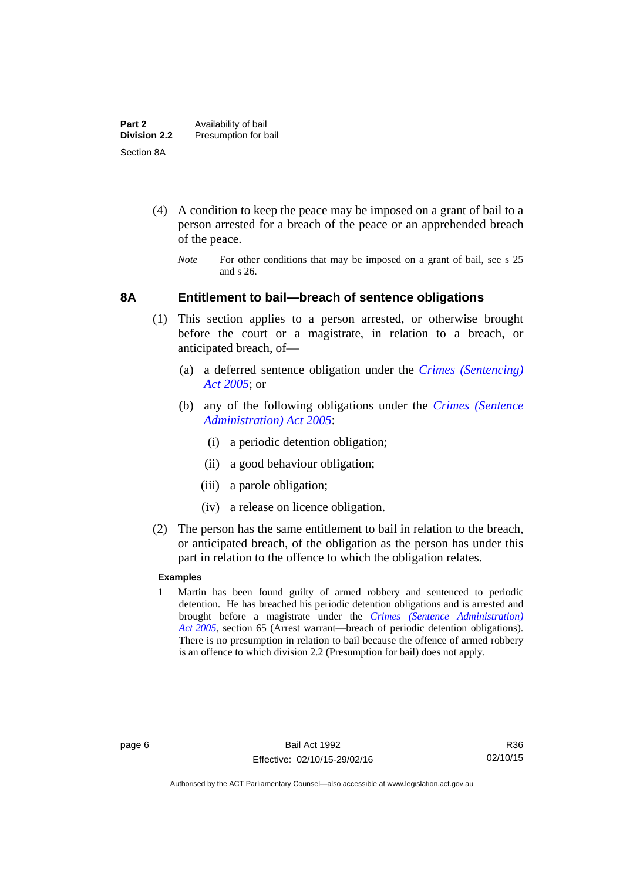- (4) A condition to keep the peace may be imposed on a grant of bail to a person arrested for a breach of the peace or an apprehended breach of the peace.
	- *Note* For other conditions that may be imposed on a grant of bail, see s 25 and s 26.

#### <span id="page-13-0"></span>**8A Entitlement to bail—breach of sentence obligations**

- (1) This section applies to a person arrested, or otherwise brought before the court or a magistrate, in relation to a breach, or anticipated breach, of—
	- (a) a deferred sentence obligation under the *[Crimes \(Sentencing\)](http://www.legislation.act.gov.au/a/2005-58)  [Act 2005](http://www.legislation.act.gov.au/a/2005-58)*; or
	- (b) any of the following obligations under the *[Crimes \(Sentence](http://www.legislation.act.gov.au/a/2005-59)  [Administration\) Act 2005](http://www.legislation.act.gov.au/a/2005-59)*:
		- (i) a periodic detention obligation;
		- (ii) a good behaviour obligation;
		- (iii) a parole obligation;
		- (iv) a release on licence obligation.
- (2) The person has the same entitlement to bail in relation to the breach, or anticipated breach, of the obligation as the person has under this part in relation to the offence to which the obligation relates.

#### **Examples**

1 Martin has been found guilty of armed robbery and sentenced to periodic detention. He has breached his periodic detention obligations and is arrested and brought before a magistrate under the *[Crimes \(Sentence Administration\)](http://www.legislation.act.gov.au/a/2005-59)  [Act 2005](http://www.legislation.act.gov.au/a/2005-59)*, section 65 (Arrest warrant—breach of periodic detention obligations). There is no presumption in relation to bail because the offence of armed robbery is an offence to which division 2.2 (Presumption for bail) does not apply.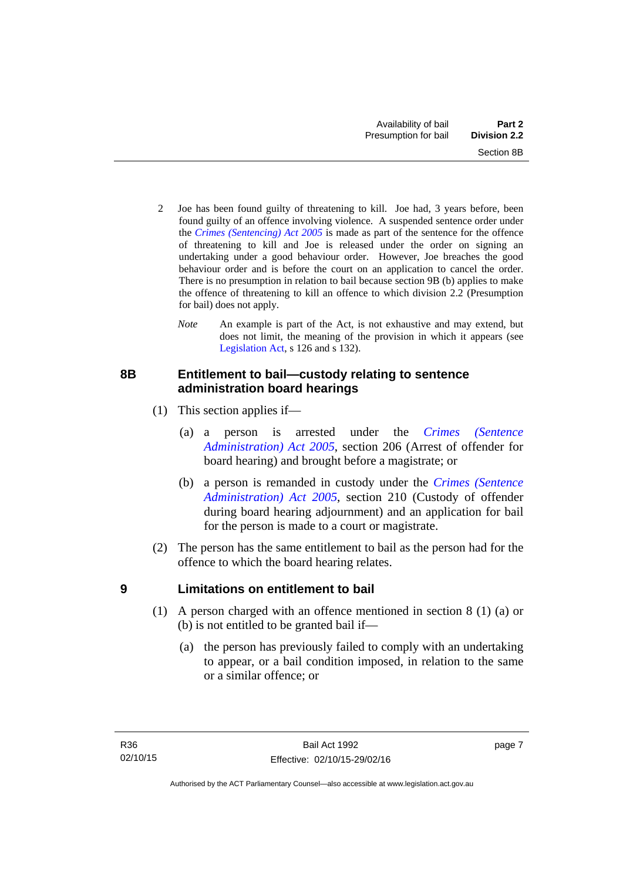- 2 Joe has been found guilty of threatening to kill. Joe had, 3 years before, been found guilty of an offence involving violence. A suspended sentence order under the *[Crimes \(Sentencing\) Act 2005](http://www.legislation.act.gov.au/a/2005-58)* is made as part of the sentence for the offence of threatening to kill and Joe is released under the order on signing an undertaking under a good behaviour order. However, Joe breaches the good behaviour order and is before the court on an application to cancel the order. There is no presumption in relation to bail because section 9B (b) applies to make the offence of threatening to kill an offence to which division 2.2 (Presumption for bail) does not apply.
	- *Note* An example is part of the Act, is not exhaustive and may extend, but does not limit, the meaning of the provision in which it appears (see [Legislation Act,](http://www.legislation.act.gov.au/a/2001-14) s 126 and s 132).

#### <span id="page-14-0"></span>**8B Entitlement to bail—custody relating to sentence administration board hearings**

- (1) This section applies if—
	- (a) a person is arrested under the *[Crimes \(Sentence](http://www.legislation.act.gov.au/a/2005-59)  [Administration\) Act 2005](http://www.legislation.act.gov.au/a/2005-59)*, section 206 (Arrest of offender for board hearing) and brought before a magistrate; or
	- (b) a person is remanded in custody under the *[Crimes \(Sentence](http://www.legislation.act.gov.au/a/2005-59)  [Administration\) Act 2005](http://www.legislation.act.gov.au/a/2005-59)*, section 210 (Custody of offender during board hearing adjournment) and an application for bail for the person is made to a court or magistrate.
- (2) The person has the same entitlement to bail as the person had for the offence to which the board hearing relates.

#### <span id="page-14-1"></span>**9 Limitations on entitlement to bail**

- (1) A person charged with an offence mentioned in section 8 (1) (a) or (b) is not entitled to be granted bail if—
	- (a) the person has previously failed to comply with an undertaking to appear, or a bail condition imposed, in relation to the same or a similar offence; or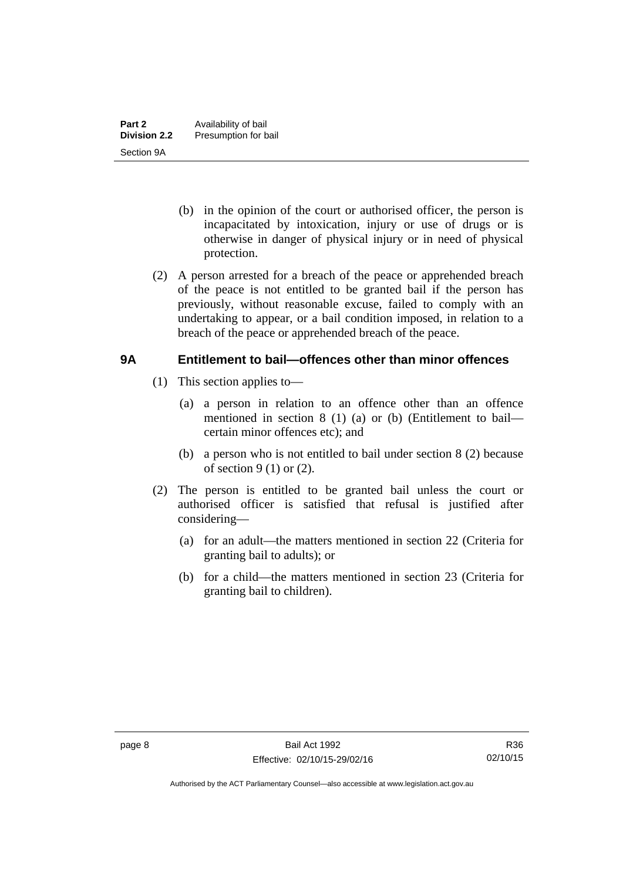- (b) in the opinion of the court or authorised officer, the person is incapacitated by intoxication, injury or use of drugs or is otherwise in danger of physical injury or in need of physical protection.
- (2) A person arrested for a breach of the peace or apprehended breach of the peace is not entitled to be granted bail if the person has previously, without reasonable excuse, failed to comply with an undertaking to appear, or a bail condition imposed, in relation to a breach of the peace or apprehended breach of the peace.

#### <span id="page-15-0"></span>**9A Entitlement to bail—offences other than minor offences**

- (1) This section applies to—
	- (a) a person in relation to an offence other than an offence mentioned in section 8 (1) (a) or (b) (Entitlement to bail certain minor offences etc); and
	- (b) a person who is not entitled to bail under section 8 (2) because of section  $9(1)$  or  $(2)$ .
- (2) The person is entitled to be granted bail unless the court or authorised officer is satisfied that refusal is justified after considering—
	- (a) for an adult—the matters mentioned in section 22 (Criteria for granting bail to adults); or
	- (b) for a child—the matters mentioned in section 23 (Criteria for granting bail to children).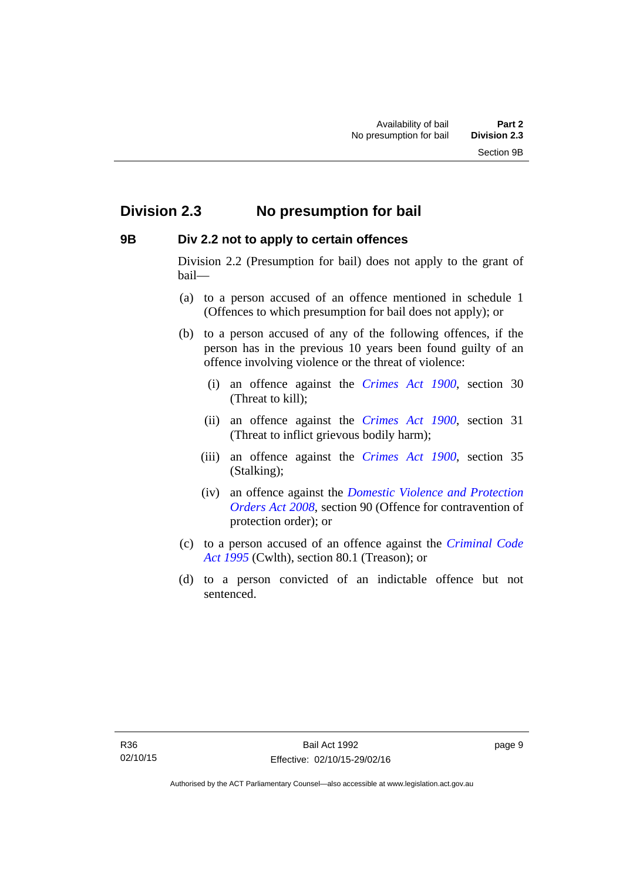### <span id="page-16-0"></span>**Division 2.3 No presumption for bail**

#### <span id="page-16-1"></span>**9B Div 2.2 not to apply to certain offences**

Division 2.2 (Presumption for bail) does not apply to the grant of bail—

- (a) to a person accused of an offence mentioned in schedule 1 (Offences to which presumption for bail does not apply); or
- (b) to a person accused of any of the following offences, if the person has in the previous 10 years been found guilty of an offence involving violence or the threat of violence:
	- (i) an offence against the *[Crimes Act 1900](http://www.legislation.act.gov.au/a/1900-40)*, section 30 (Threat to kill);
	- (ii) an offence against the *[Crimes Act 1900](http://www.legislation.act.gov.au/a/1900-40)*, section 31 (Threat to inflict grievous bodily harm);
	- (iii) an offence against the *[Crimes Act 1900](http://www.legislation.act.gov.au/a/1900-40)*, section 35 (Stalking);
	- (iv) an offence against the *[Domestic Violence and Protection](http://www.legislation.act.gov.au/a/2008-46)  [Orders Act 2008](http://www.legislation.act.gov.au/a/2008-46)*, section 90 (Offence for contravention of protection order); or
- (c) to a person accused of an offence against the *[Criminal Code](http://www.comlaw.gov.au/Details/C2013C00138)  [Act 1995](http://www.comlaw.gov.au/Details/C2013C00138)* (Cwlth), section 80.1 (Treason); or
- (d) to a person convicted of an indictable offence but not sentenced.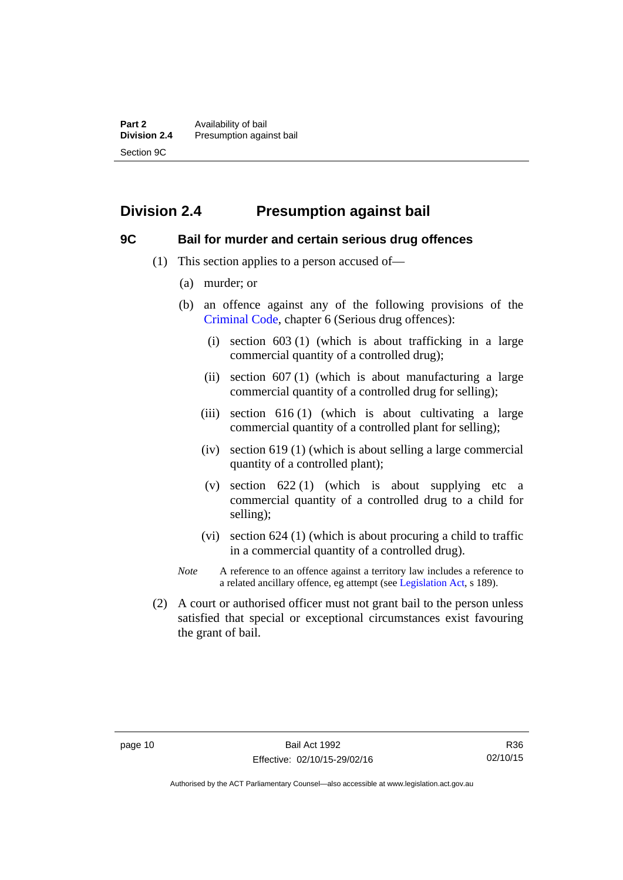# <span id="page-17-0"></span>**Division 2.4 Presumption against bail**

#### <span id="page-17-1"></span>**9C Bail for murder and certain serious drug offences**

- (1) This section applies to a person accused of—
	- (a) murder; or
	- (b) an offence against any of the following provisions of the [Criminal Code,](http://www.legislation.act.gov.au/a/2002-51) chapter 6 (Serious drug offences):
		- (i) section 603 (1) (which is about trafficking in a large commercial quantity of a controlled drug);
		- (ii) section  $607(1)$  (which is about manufacturing a large commercial quantity of a controlled drug for selling);
		- (iii) section  $616(1)$  (which is about cultivating a large commercial quantity of a controlled plant for selling);
		- (iv) section 619 (1) (which is about selling a large commercial quantity of a controlled plant);
		- (v) section  $622(1)$  (which is about supplying etc a commercial quantity of a controlled drug to a child for selling);
		- (vi) section 624 (1) (which is about procuring a child to traffic in a commercial quantity of a controlled drug).
	- *Note* A reference to an offence against a territory law includes a reference to a related ancillary offence, eg attempt (see [Legislation Act](http://www.legislation.act.gov.au/a/2001-14), s 189).
- (2) A court or authorised officer must not grant bail to the person unless satisfied that special or exceptional circumstances exist favouring the grant of bail.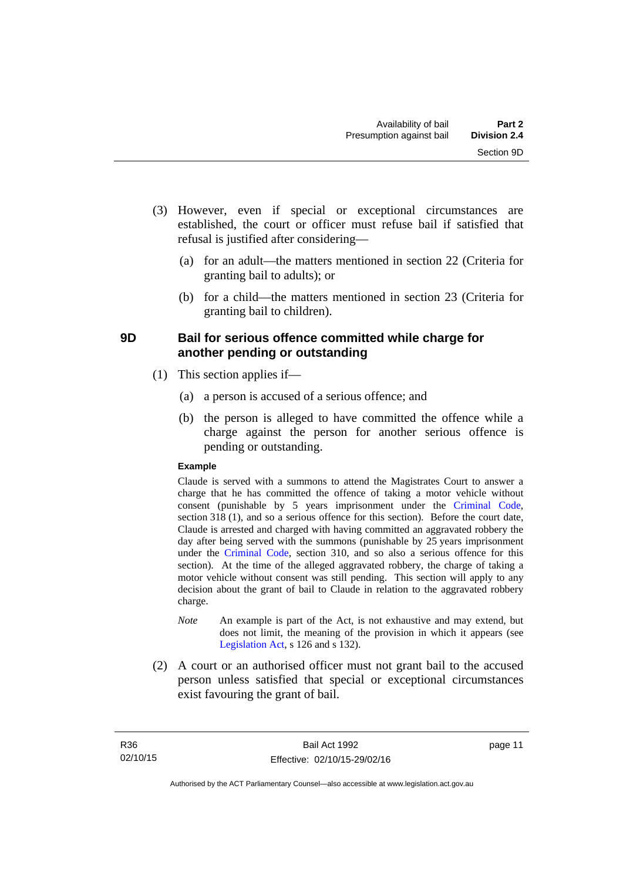- (3) However, even if special or exceptional circumstances are established, the court or officer must refuse bail if satisfied that refusal is justified after considering—
	- (a) for an adult—the matters mentioned in section 22 (Criteria for granting bail to adults); or
	- (b) for a child—the matters mentioned in section 23 (Criteria for granting bail to children).

#### <span id="page-18-0"></span>**9D Bail for serious offence committed while charge for another pending or outstanding**

- (1) This section applies if—
	- (a) a person is accused of a serious offence; and
	- (b) the person is alleged to have committed the offence while a charge against the person for another serious offence is pending or outstanding.

#### **Example**

Claude is served with a summons to attend the Magistrates Court to answer a charge that he has committed the offence of taking a motor vehicle without consent (punishable by 5 years imprisonment under the [Criminal Code,](http://www.legislation.act.gov.au/a/2002-51) section 318 (1), and so a serious offence for this section). Before the court date, Claude is arrested and charged with having committed an aggravated robbery the day after being served with the summons (punishable by 25 years imprisonment under the [Criminal Code](http://www.legislation.act.gov.au/a/2002-51), section 310, and so also a serious offence for this section). At the time of the alleged aggravated robbery, the charge of taking a motor vehicle without consent was still pending. This section will apply to any decision about the grant of bail to Claude in relation to the aggravated robbery charge.

- *Note* An example is part of the Act, is not exhaustive and may extend, but does not limit, the meaning of the provision in which it appears (see [Legislation Act,](http://www.legislation.act.gov.au/a/2001-14) s 126 and s 132).
- (2) A court or an authorised officer must not grant bail to the accused person unless satisfied that special or exceptional circumstances exist favouring the grant of bail.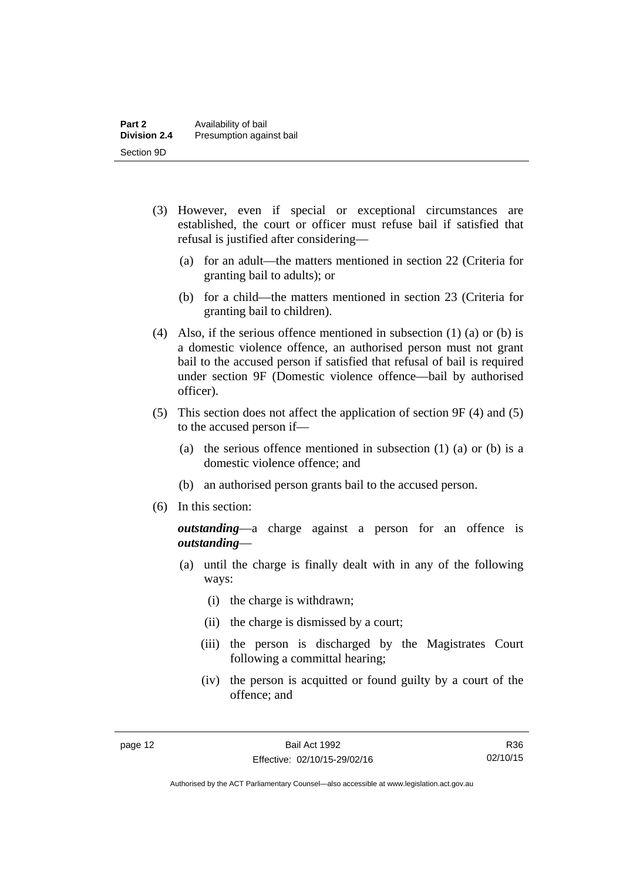- (3) However, even if special or exceptional circumstances are established, the court or officer must refuse bail if satisfied that refusal is justified after considering—
	- (a) for an adult—the matters mentioned in section 22 (Criteria for granting bail to adults); or
	- (b) for a child—the matters mentioned in section 23 (Criteria for granting bail to children).
- (4) Also, if the serious offence mentioned in subsection (1) (a) or (b) is a domestic violence offence, an authorised person must not grant bail to the accused person if satisfied that refusal of bail is required under section 9F (Domestic violence offence—bail by authorised officer).
- (5) This section does not affect the application of section 9F (4) and (5) to the accused person if—
	- (a) the serious offence mentioned in subsection (1) (a) or (b) is a domestic violence offence; and
	- (b) an authorised person grants bail to the accused person.
- (6) In this section:

*outstanding*—a charge against a person for an offence is *outstanding*—

- (a) until the charge is finally dealt with in any of the following ways:
	- (i) the charge is withdrawn;
	- (ii) the charge is dismissed by a court;
	- (iii) the person is discharged by the Magistrates Court following a committal hearing;
	- (iv) the person is acquitted or found guilty by a court of the offence; and

R36 02/10/15

Authorised by the ACT Parliamentary Counsel—also accessible at www.legislation.act.gov.au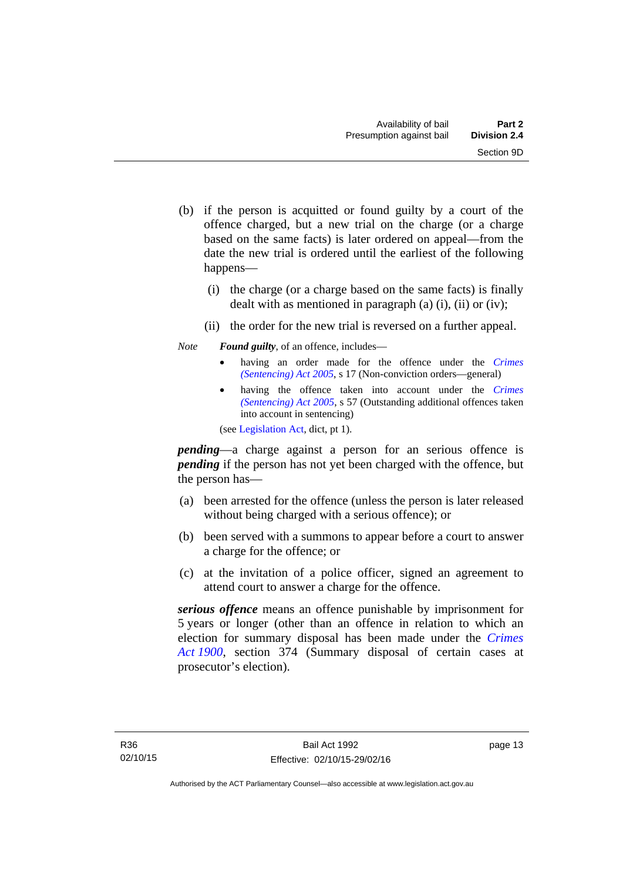- (b) if the person is acquitted or found guilty by a court of the offence charged, but a new trial on the charge (or a charge based on the same facts) is later ordered on appeal—from the date the new trial is ordered until the earliest of the following happens—
	- (i) the charge (or a charge based on the same facts) is finally dealt with as mentioned in paragraph (a)  $(i)$ ,  $(ii)$  or  $(iv)$ ;
	- (ii) the order for the new trial is reversed on a further appeal.

#### *Note Found guilty*, of an offence, includes—

- having an order made for the offence under the *[Crimes](http://www.legislation.act.gov.au/a/2005-58)  [\(Sentencing\) Act 2005](http://www.legislation.act.gov.au/a/2005-58)*, s 17 (Non-conviction orders—general)
- having the offence taken into account under the *[Crimes](http://www.legislation.act.gov.au/a/2005-58)  [\(Sentencing\) Act 2005](http://www.legislation.act.gov.au/a/2005-58)*, s 57 (Outstanding additional offences taken into account in sentencing)

(see [Legislation Act,](http://www.legislation.act.gov.au/a/2001-14) dict, pt 1).

*pending*—a charge against a person for an serious offence is *pending* if the person has not yet been charged with the offence, but the person has—

- (a) been arrested for the offence (unless the person is later released without being charged with a serious offence); or
- (b) been served with a summons to appear before a court to answer a charge for the offence; or
- (c) at the invitation of a police officer, signed an agreement to attend court to answer a charge for the offence.

*serious offence* means an offence punishable by imprisonment for 5 years or longer (other than an offence in relation to which an election for summary disposal has been made under the *[Crimes](http://www.legislation.act.gov.au/a/1900-40)  [Act 1900](http://www.legislation.act.gov.au/a/1900-40)*, section 374 (Summary disposal of certain cases at prosecutor's election).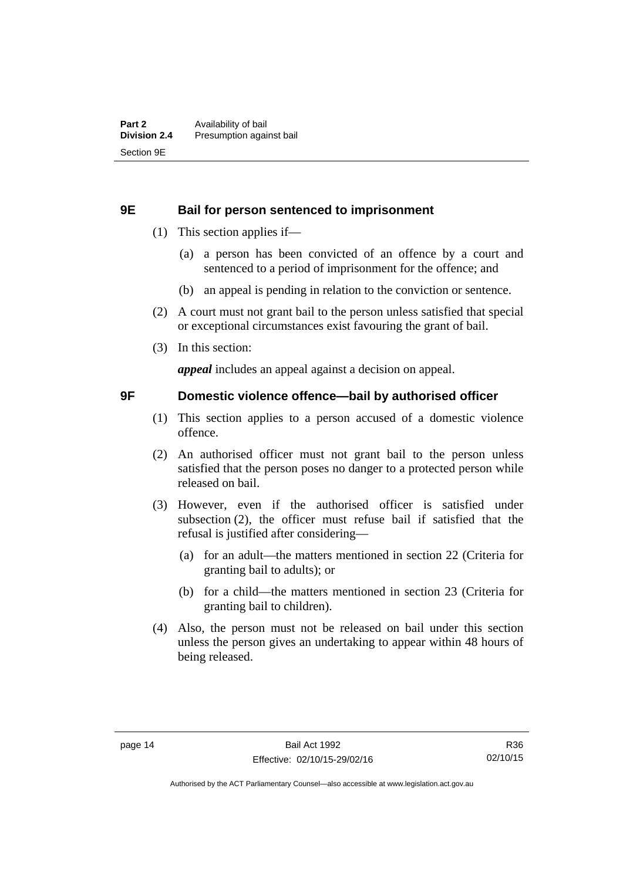#### <span id="page-21-0"></span>**9E Bail for person sentenced to imprisonment**

- (1) This section applies if—
	- (a) a person has been convicted of an offence by a court and sentenced to a period of imprisonment for the offence; and
	- (b) an appeal is pending in relation to the conviction or sentence.
- (2) A court must not grant bail to the person unless satisfied that special or exceptional circumstances exist favouring the grant of bail.
- (3) In this section:

*appeal* includes an appeal against a decision on appeal.

#### <span id="page-21-1"></span>**9F Domestic violence offence—bail by authorised officer**

- (1) This section applies to a person accused of a domestic violence offence.
- (2) An authorised officer must not grant bail to the person unless satisfied that the person poses no danger to a protected person while released on bail.
- (3) However, even if the authorised officer is satisfied under subsection (2), the officer must refuse bail if satisfied that the refusal is justified after considering—
	- (a) for an adult—the matters mentioned in section 22 (Criteria for granting bail to adults); or
	- (b) for a child—the matters mentioned in section 23 (Criteria for granting bail to children).
- (4) Also, the person must not be released on bail under this section unless the person gives an undertaking to appear within 48 hours of being released.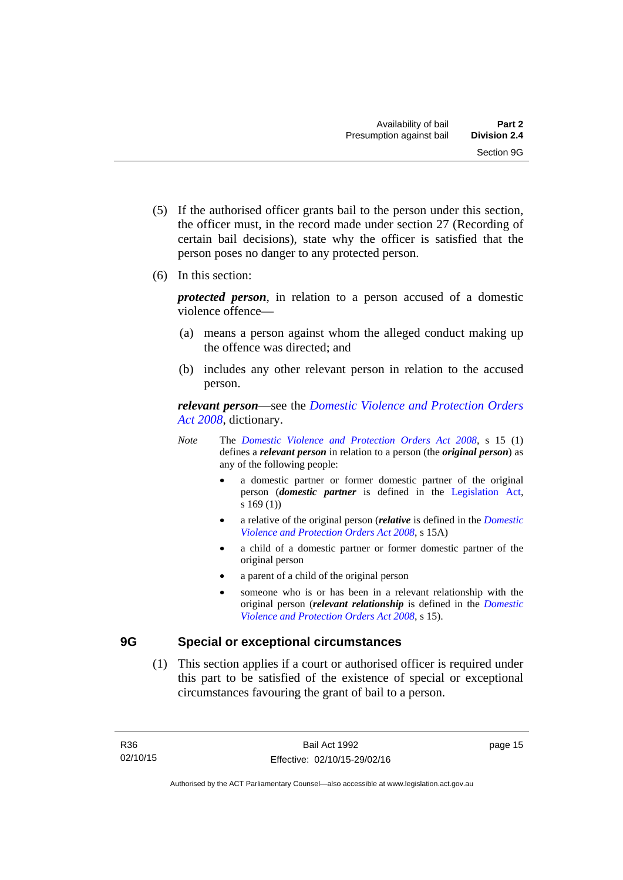- (5) If the authorised officer grants bail to the person under this section, the officer must, in the record made under section 27 (Recording of certain bail decisions), state why the officer is satisfied that the person poses no danger to any protected person.
- (6) In this section:

*protected person*, in relation to a person accused of a domestic violence offence—

- (a) means a person against whom the alleged conduct making up the offence was directed; and
- (b) includes any other relevant person in relation to the accused person.

*relevant person*—see the *[Domestic Violence and Protection Orders](http://www.legislation.act.gov.au/a/2008-46)  [Act 2008](http://www.legislation.act.gov.au/a/2008-46)*, dictionary.

- *Note* The *[Domestic Violence and Protection Orders Act 2008](http://www.legislation.act.gov.au/a/2008-46)*, s 15 (1) defines a *relevant person* in relation to a person (the *original person*) as any of the following people:
	- a domestic partner or former domestic partner of the original person (*domestic partner* is defined in the [Legislation Act,](http://www.legislation.act.gov.au/a/2001-14) s 169 (1))
	- a relative of the original person (*relative* is defined in the *[Domestic](http://www.legislation.act.gov.au/a/2008-46)  [Violence and Protection Orders Act 2008](http://www.legislation.act.gov.au/a/2008-46)*, s 15A)
	- a child of a domestic partner or former domestic partner of the original person
	- a parent of a child of the original person
	- someone who is or has been in a relevant relationship with the original person (*relevant relationship* is defined in the *[Domestic](http://www.legislation.act.gov.au/a/2008-46)  [Violence and Protection Orders Act 2008](http://www.legislation.act.gov.au/a/2008-46)*, s 15).

#### <span id="page-22-0"></span>**9G Special or exceptional circumstances**

 (1) This section applies if a court or authorised officer is required under this part to be satisfied of the existence of special or exceptional circumstances favouring the grant of bail to a person.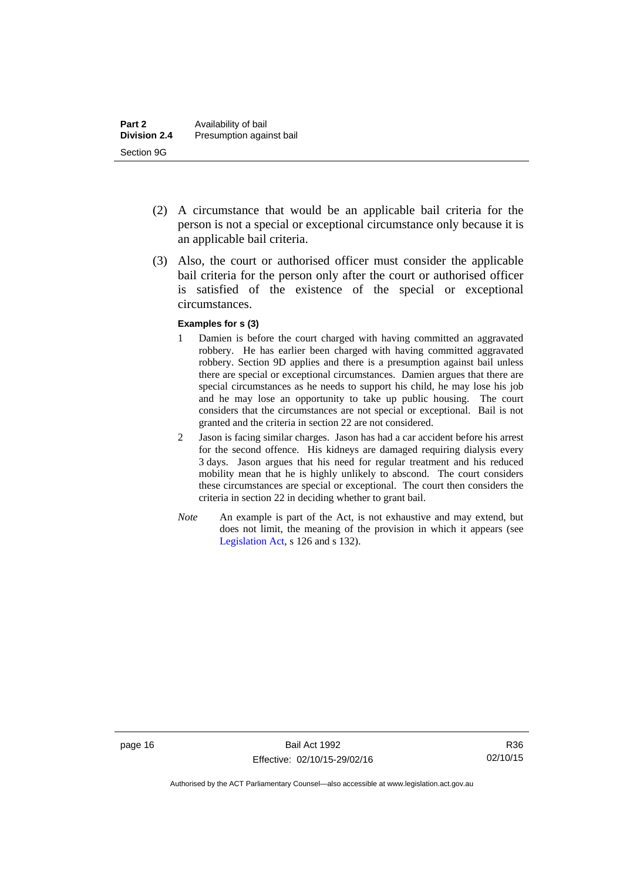- (2) A circumstance that would be an applicable bail criteria for the person is not a special or exceptional circumstance only because it is an applicable bail criteria.
- (3) Also, the court or authorised officer must consider the applicable bail criteria for the person only after the court or authorised officer is satisfied of the existence of the special or exceptional circumstances.

#### **Examples for s (3)**

- 1 Damien is before the court charged with having committed an aggravated robbery. He has earlier been charged with having committed aggravated robbery. Section 9D applies and there is a presumption against bail unless there are special or exceptional circumstances. Damien argues that there are special circumstances as he needs to support his child, he may lose his job and he may lose an opportunity to take up public housing. The court considers that the circumstances are not special or exceptional. Bail is not granted and the criteria in section 22 are not considered.
- 2 Jason is facing similar charges. Jason has had a car accident before his arrest for the second offence. His kidneys are damaged requiring dialysis every 3 days. Jason argues that his need for regular treatment and his reduced mobility mean that he is highly unlikely to abscond. The court considers these circumstances are special or exceptional. The court then considers the criteria in section 22 in deciding whether to grant bail.
- *Note* An example is part of the Act, is not exhaustive and may extend, but does not limit, the meaning of the provision in which it appears (see [Legislation Act,](http://www.legislation.act.gov.au/a/2001-14) s 126 and s 132).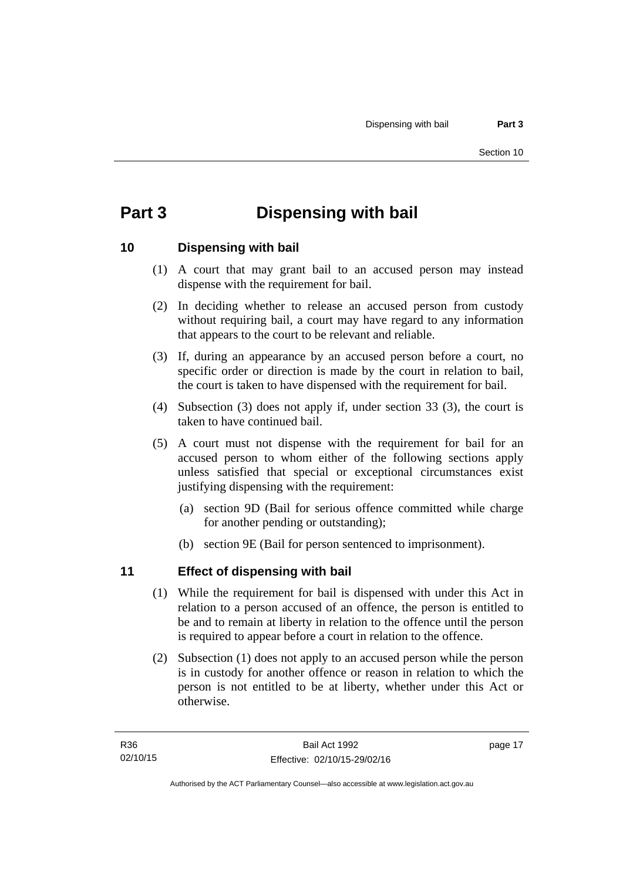# <span id="page-24-0"></span>**Part 3 Dispensing with bail**

#### <span id="page-24-1"></span>**10 Dispensing with bail**

- (1) A court that may grant bail to an accused person may instead dispense with the requirement for bail.
- (2) In deciding whether to release an accused person from custody without requiring bail, a court may have regard to any information that appears to the court to be relevant and reliable.
- (3) If, during an appearance by an accused person before a court, no specific order or direction is made by the court in relation to bail, the court is taken to have dispensed with the requirement for bail.
- (4) Subsection (3) does not apply if, under section 33 (3), the court is taken to have continued bail.
- (5) A court must not dispense with the requirement for bail for an accused person to whom either of the following sections apply unless satisfied that special or exceptional circumstances exist justifying dispensing with the requirement:
	- (a) section 9D (Bail for serious offence committed while charge for another pending or outstanding);
	- (b) section 9E (Bail for person sentenced to imprisonment).

#### <span id="page-24-2"></span>**11 Effect of dispensing with bail**

- (1) While the requirement for bail is dispensed with under this Act in relation to a person accused of an offence, the person is entitled to be and to remain at liberty in relation to the offence until the person is required to appear before a court in relation to the offence.
- (2) Subsection (1) does not apply to an accused person while the person is in custody for another offence or reason in relation to which the person is not entitled to be at liberty, whether under this Act or otherwise.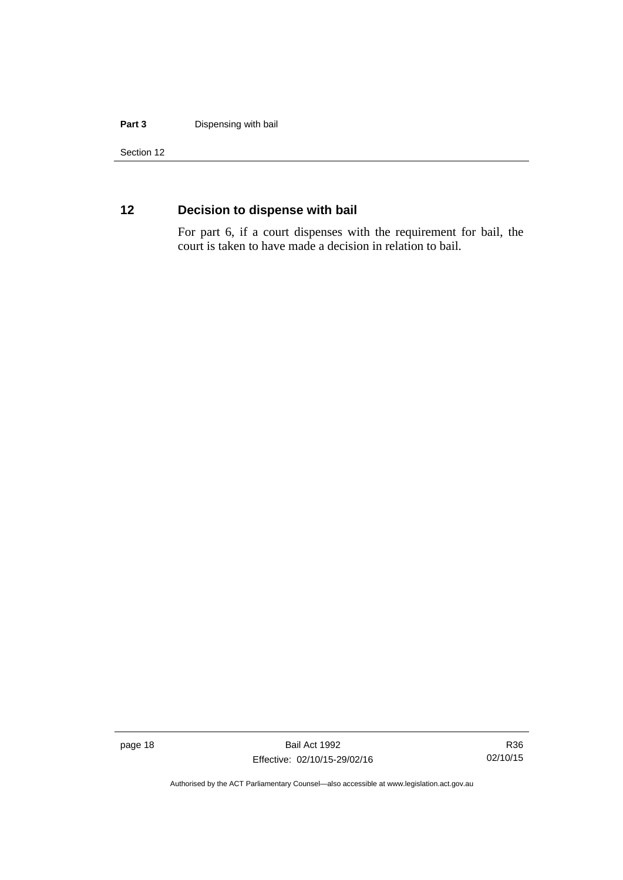#### **Part 3** Dispensing with bail

Section 12

### <span id="page-25-0"></span>**12 Decision to dispense with bail**

For part 6, if a court dispenses with the requirement for bail, the court is taken to have made a decision in relation to bail.

page 18 Bail Act 1992 Effective: 02/10/15-29/02/16

R36 02/10/15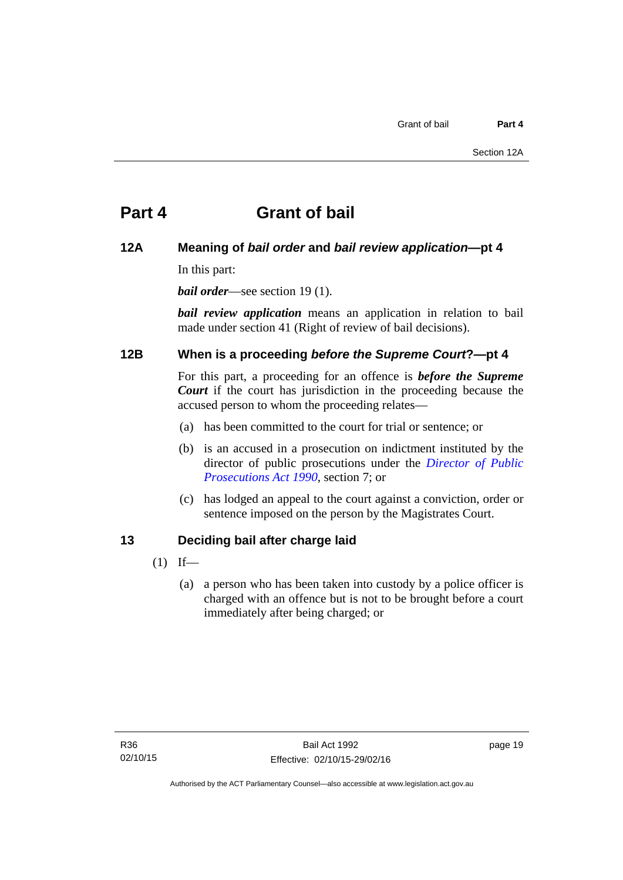# <span id="page-26-0"></span>**Part 4 Grant of bail**

#### <span id="page-26-1"></span>**12A Meaning of** *bail order* **and** *bail review application***—pt 4**

In this part:

*bail order*—see section 19(1).

*bail review application* means an application in relation to bail made under section 41 (Right of review of bail decisions).

#### <span id="page-26-2"></span>**12B When is a proceeding** *before the Supreme Court***?—pt 4**

For this part, a proceeding for an offence is *before the Supreme Court* if the court has jurisdiction in the proceeding because the accused person to whom the proceeding relates—

- (a) has been committed to the court for trial or sentence; or
- (b) is an accused in a prosecution on indictment instituted by the director of public prosecutions under the *[Director of Public](http://www.legislation.act.gov.au/a/1990-22)  [Prosecutions Act 1990](http://www.legislation.act.gov.au/a/1990-22)*, section 7; or
- (c) has lodged an appeal to the court against a conviction, order or sentence imposed on the person by the Magistrates Court.

#### <span id="page-26-3"></span>**13 Deciding bail after charge laid**

- $(1)$  If—
	- (a) a person who has been taken into custody by a police officer is charged with an offence but is not to be brought before a court immediately after being charged; or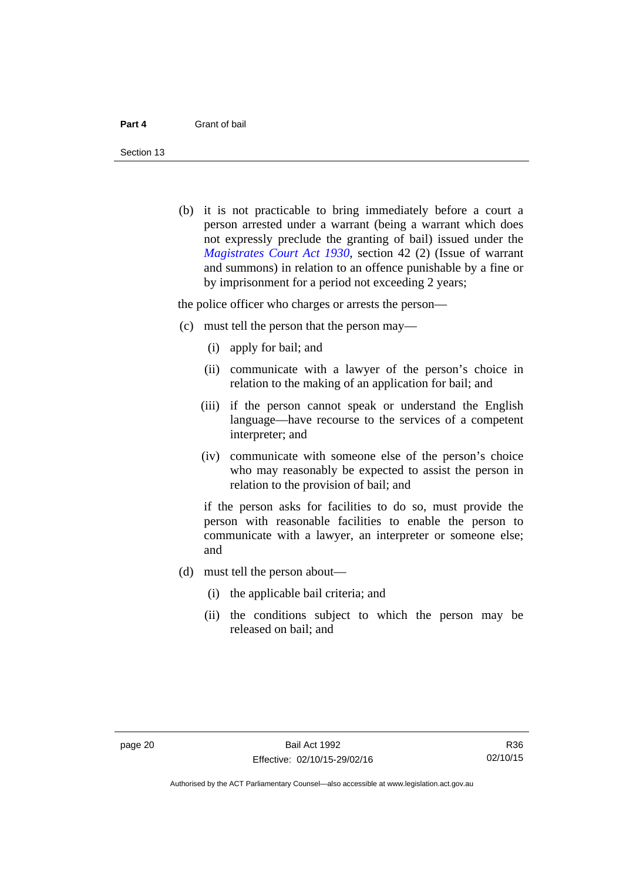Section 13

 (b) it is not practicable to bring immediately before a court a person arrested under a warrant (being a warrant which does not expressly preclude the granting of bail) issued under the *[Magistrates Court Act 1930](http://www.legislation.act.gov.au/a/1930-21)*, section 42 (2) (Issue of warrant and summons) in relation to an offence punishable by a fine or by imprisonment for a period not exceeding 2 years;

the police officer who charges or arrests the person—

- (c) must tell the person that the person may—
	- (i) apply for bail; and
	- (ii) communicate with a lawyer of the person's choice in relation to the making of an application for bail; and
	- (iii) if the person cannot speak or understand the English language—have recourse to the services of a competent interpreter; and
	- (iv) communicate with someone else of the person's choice who may reasonably be expected to assist the person in relation to the provision of bail; and

if the person asks for facilities to do so, must provide the person with reasonable facilities to enable the person to communicate with a lawyer, an interpreter or someone else; and

- (d) must tell the person about—
	- (i) the applicable bail criteria; and
	- (ii) the conditions subject to which the person may be released on bail; and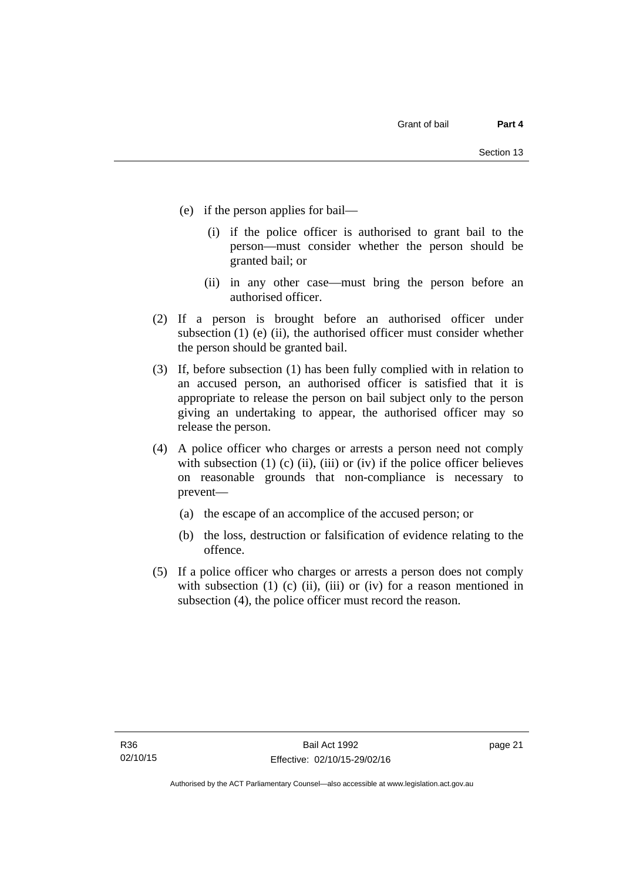- (e) if the person applies for bail—
	- (i) if the police officer is authorised to grant bail to the person—must consider whether the person should be granted bail; or
	- (ii) in any other case—must bring the person before an authorised officer.
- (2) If a person is brought before an authorised officer under subsection (1) (e) (ii), the authorised officer must consider whether the person should be granted bail.
- (3) If, before subsection (1) has been fully complied with in relation to an accused person, an authorised officer is satisfied that it is appropriate to release the person on bail subject only to the person giving an undertaking to appear, the authorised officer may so release the person.
- (4) A police officer who charges or arrests a person need not comply with subsection  $(1)$   $(c)$   $(ii)$ ,  $(iii)$  or  $(iv)$  if the police officer believes on reasonable grounds that non-compliance is necessary to prevent—
	- (a) the escape of an accomplice of the accused person; or
	- (b) the loss, destruction or falsification of evidence relating to the offence.
- (5) If a police officer who charges or arrests a person does not comply with subsection  $(1)$   $(c)$   $(ii)$ ,  $(iii)$  or  $(iv)$  for a reason mentioned in subsection (4), the police officer must record the reason.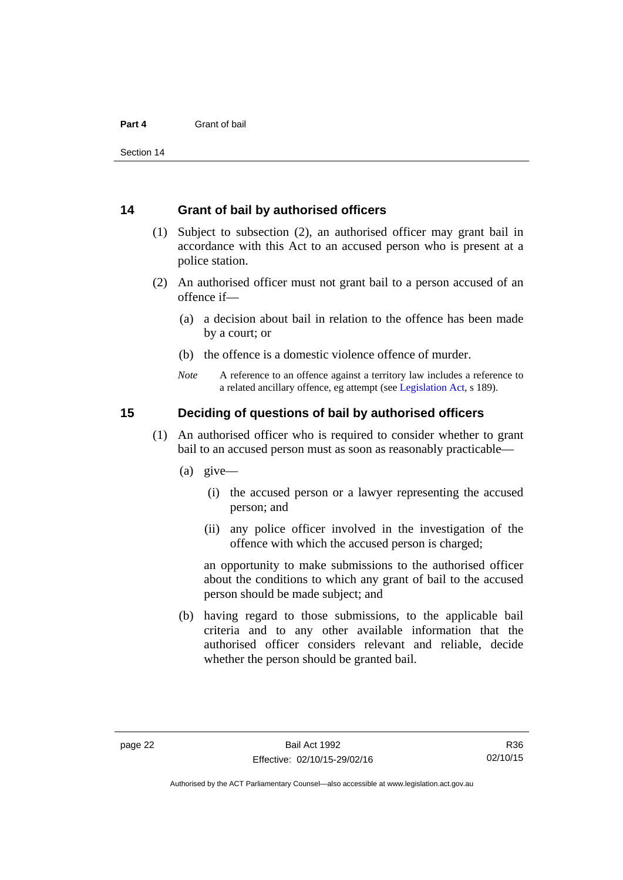#### <span id="page-29-0"></span>**14 Grant of bail by authorised officers**

- (1) Subject to subsection (2), an authorised officer may grant bail in accordance with this Act to an accused person who is present at a police station.
- (2) An authorised officer must not grant bail to a person accused of an offence if—
	- (a) a decision about bail in relation to the offence has been made by a court; or
	- (b) the offence is a domestic violence offence of murder.
	- *Note* A reference to an offence against a territory law includes a reference to a related ancillary offence, eg attempt (see [Legislation Act](http://www.legislation.act.gov.au/a/2001-14), s 189).

#### <span id="page-29-1"></span>**15 Deciding of questions of bail by authorised officers**

- (1) An authorised officer who is required to consider whether to grant bail to an accused person must as soon as reasonably practicable—
	- (a) give—
		- (i) the accused person or a lawyer representing the accused person; and
		- (ii) any police officer involved in the investigation of the offence with which the accused person is charged;

an opportunity to make submissions to the authorised officer about the conditions to which any grant of bail to the accused person should be made subject; and

 (b) having regard to those submissions, to the applicable bail criteria and to any other available information that the authorised officer considers relevant and reliable, decide whether the person should be granted bail.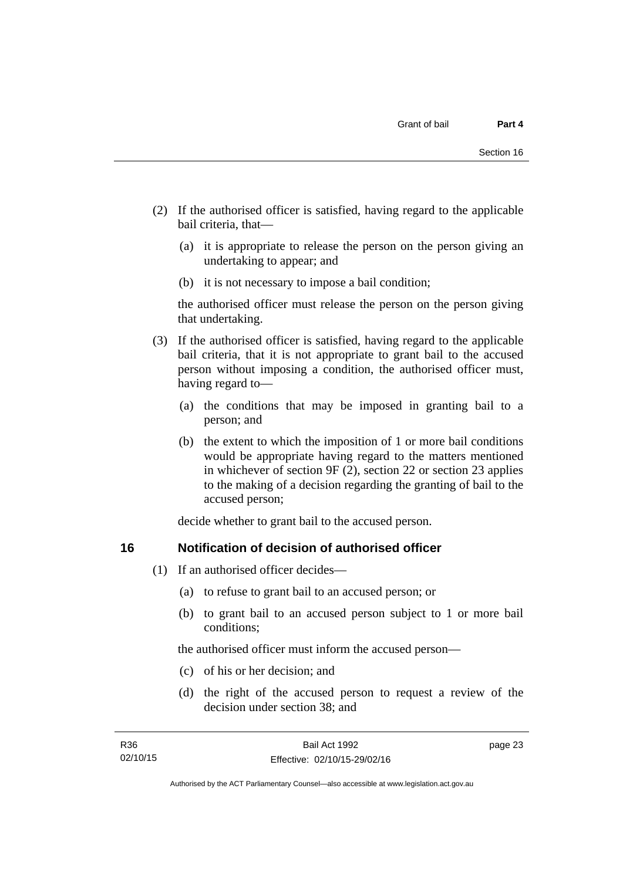- (2) If the authorised officer is satisfied, having regard to the applicable bail criteria, that—
	- (a) it is appropriate to release the person on the person giving an undertaking to appear; and
	- (b) it is not necessary to impose a bail condition;

the authorised officer must release the person on the person giving that undertaking.

- (3) If the authorised officer is satisfied, having regard to the applicable bail criteria, that it is not appropriate to grant bail to the accused person without imposing a condition, the authorised officer must, having regard to—
	- (a) the conditions that may be imposed in granting bail to a person; and
	- (b) the extent to which the imposition of 1 or more bail conditions would be appropriate having regard to the matters mentioned in whichever of section 9F (2), section 22 or section 23 applies to the making of a decision regarding the granting of bail to the accused person;

decide whether to grant bail to the accused person.

#### <span id="page-30-0"></span>**16 Notification of decision of authorised officer**

- (1) If an authorised officer decides—
	- (a) to refuse to grant bail to an accused person; or
	- (b) to grant bail to an accused person subject to 1 or more bail conditions;

the authorised officer must inform the accused person—

- (c) of his or her decision; and
- (d) the right of the accused person to request a review of the decision under section 38; and

page 23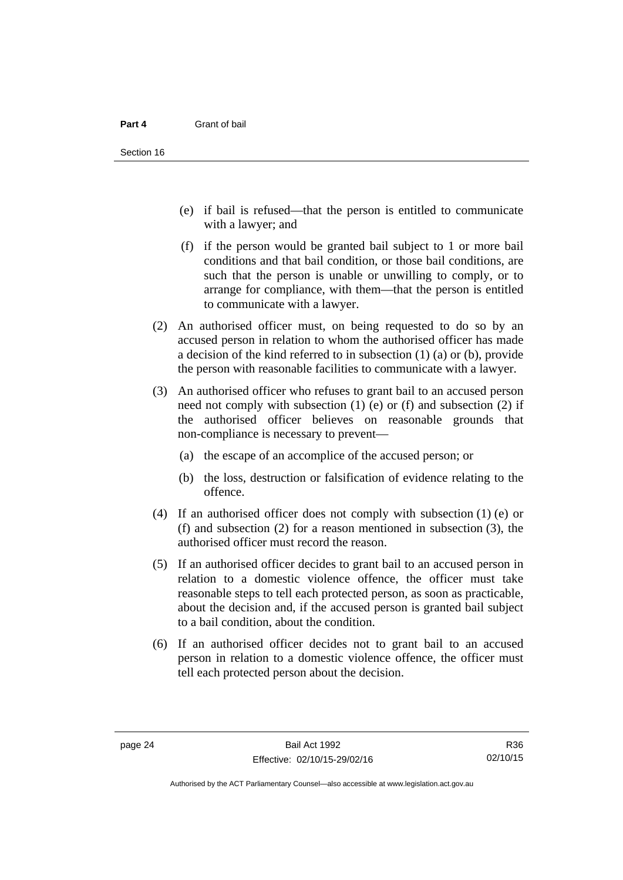- (e) if bail is refused—that the person is entitled to communicate with a lawyer; and
- (f) if the person would be granted bail subject to 1 or more bail conditions and that bail condition, or those bail conditions, are such that the person is unable or unwilling to comply, or to arrange for compliance, with them—that the person is entitled to communicate with a lawyer.
- (2) An authorised officer must, on being requested to do so by an accused person in relation to whom the authorised officer has made a decision of the kind referred to in subsection (1) (a) or (b), provide the person with reasonable facilities to communicate with a lawyer.
- (3) An authorised officer who refuses to grant bail to an accused person need not comply with subsection  $(1)$  (e) or  $(f)$  and subsection  $(2)$  if the authorised officer believes on reasonable grounds that non-compliance is necessary to prevent—
	- (a) the escape of an accomplice of the accused person; or
	- (b) the loss, destruction or falsification of evidence relating to the offence.
- (4) If an authorised officer does not comply with subsection (1) (e) or (f) and subsection (2) for a reason mentioned in subsection (3), the authorised officer must record the reason.
- (5) If an authorised officer decides to grant bail to an accused person in relation to a domestic violence offence, the officer must take reasonable steps to tell each protected person, as soon as practicable, about the decision and, if the accused person is granted bail subject to a bail condition, about the condition.
- (6) If an authorised officer decides not to grant bail to an accused person in relation to a domestic violence offence, the officer must tell each protected person about the decision.

R36 02/10/15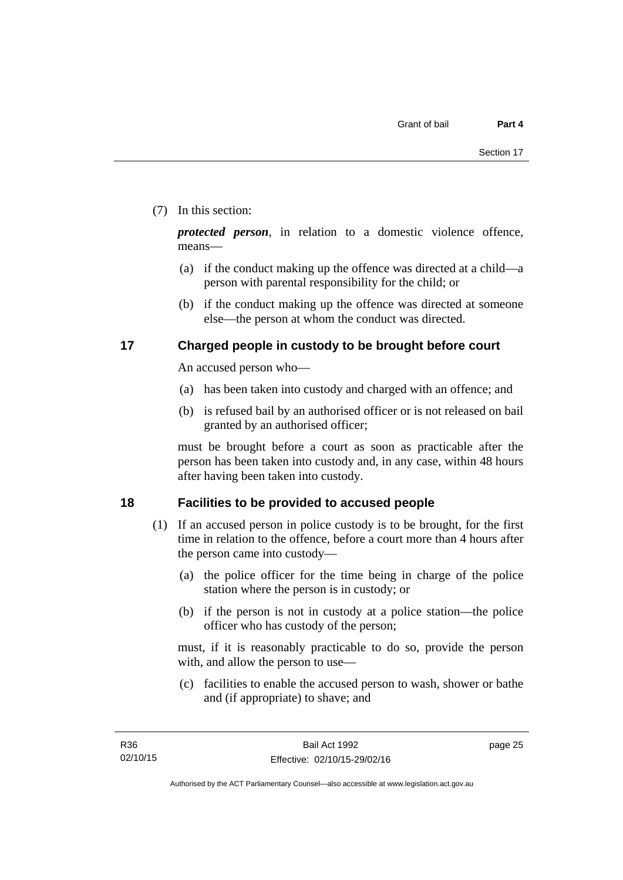#### (7) In this section:

*protected person*, in relation to a domestic violence offence, means—

- (a) if the conduct making up the offence was directed at a child—a person with parental responsibility for the child; or
- (b) if the conduct making up the offence was directed at someone else—the person at whom the conduct was directed.

#### <span id="page-32-0"></span>**17 Charged people in custody to be brought before court**

An accused person who—

- (a) has been taken into custody and charged with an offence; and
- (b) is refused bail by an authorised officer or is not released on bail granted by an authorised officer;

must be brought before a court as soon as practicable after the person has been taken into custody and, in any case, within 48 hours after having been taken into custody.

#### <span id="page-32-1"></span>**18 Facilities to be provided to accused people**

- (1) If an accused person in police custody is to be brought, for the first time in relation to the offence, before a court more than 4 hours after the person came into custody—
	- (a) the police officer for the time being in charge of the police station where the person is in custody; or
	- (b) if the person is not in custody at a police station—the police officer who has custody of the person;

must, if it is reasonably practicable to do so, provide the person with, and allow the person to use—

 (c) facilities to enable the accused person to wash, shower or bathe and (if appropriate) to shave; and

page 25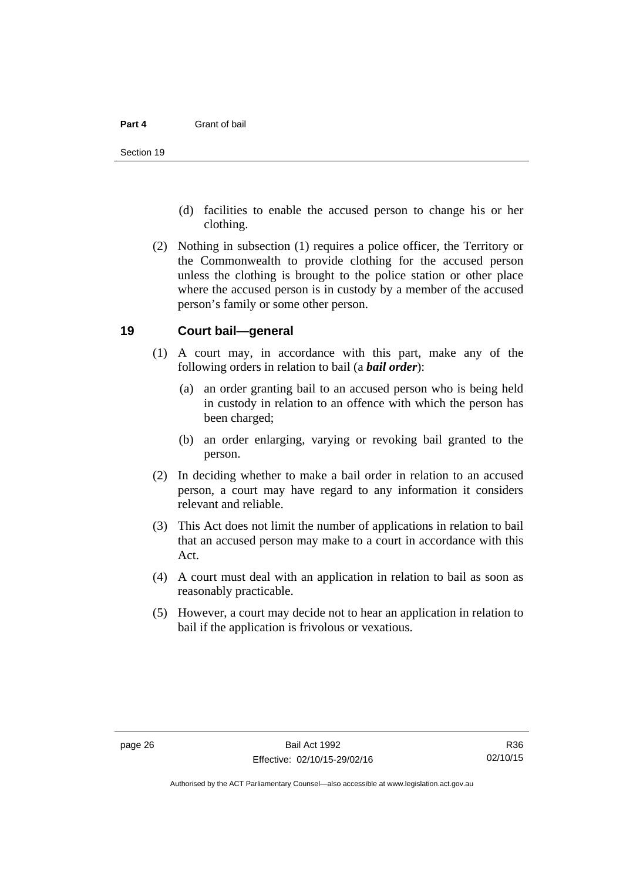- (d) facilities to enable the accused person to change his or her clothing.
- (2) Nothing in subsection (1) requires a police officer, the Territory or the Commonwealth to provide clothing for the accused person unless the clothing is brought to the police station or other place where the accused person is in custody by a member of the accused person's family or some other person.

#### <span id="page-33-0"></span>**19 Court bail—general**

- (1) A court may, in accordance with this part, make any of the following orders in relation to bail (a *bail order*):
	- (a) an order granting bail to an accused person who is being held in custody in relation to an offence with which the person has been charged;
	- (b) an order enlarging, varying or revoking bail granted to the person.
- (2) In deciding whether to make a bail order in relation to an accused person, a court may have regard to any information it considers relevant and reliable.
- (3) This Act does not limit the number of applications in relation to bail that an accused person may make to a court in accordance with this Act.
- (4) A court must deal with an application in relation to bail as soon as reasonably practicable.
- (5) However, a court may decide not to hear an application in relation to bail if the application is frivolous or vexatious.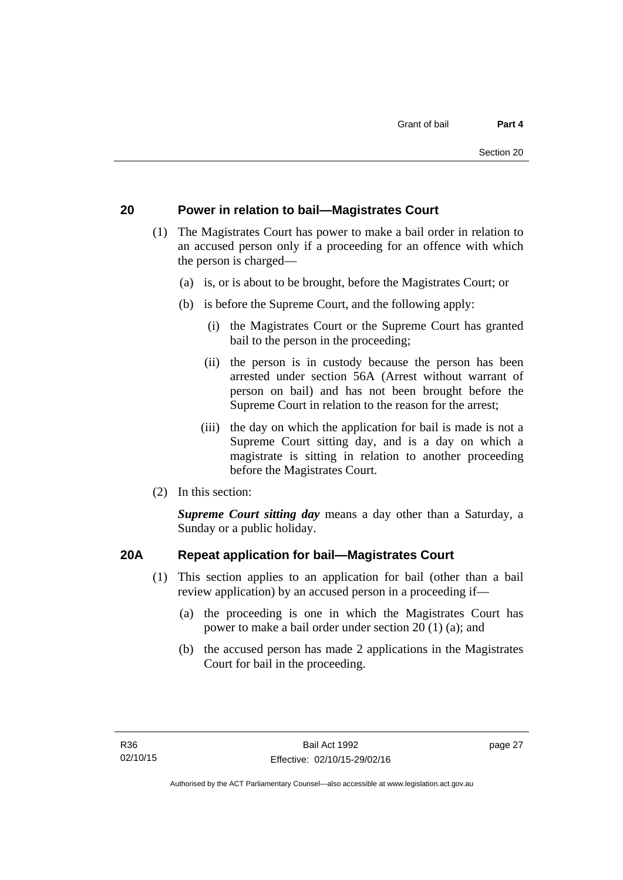#### <span id="page-34-0"></span>**20 Power in relation to bail—Magistrates Court**

- (1) The Magistrates Court has power to make a bail order in relation to an accused person only if a proceeding for an offence with which the person is charged—
	- (a) is, or is about to be brought, before the Magistrates Court; or
	- (b) is before the Supreme Court, and the following apply:
		- (i) the Magistrates Court or the Supreme Court has granted bail to the person in the proceeding;
		- (ii) the person is in custody because the person has been arrested under section 56A (Arrest without warrant of person on bail) and has not been brought before the Supreme Court in relation to the reason for the arrest;
		- (iii) the day on which the application for bail is made is not a Supreme Court sitting day, and is a day on which a magistrate is sitting in relation to another proceeding before the Magistrates Court.
- (2) In this section:

*Supreme Court sitting day* means a day other than a Saturday, a Sunday or a public holiday.

#### <span id="page-34-1"></span>**20A Repeat application for bail—Magistrates Court**

- (1) This section applies to an application for bail (other than a bail review application) by an accused person in a proceeding if—
	- (a) the proceeding is one in which the Magistrates Court has power to make a bail order under section 20 (1) (a); and
	- (b) the accused person has made 2 applications in the Magistrates Court for bail in the proceeding.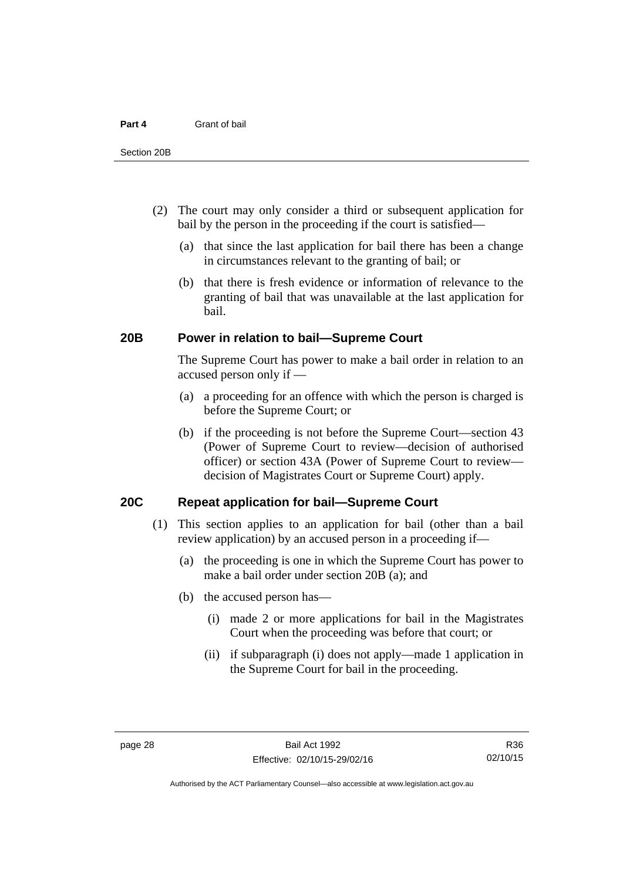- (2) The court may only consider a third or subsequent application for bail by the person in the proceeding if the court is satisfied—
	- (a) that since the last application for bail there has been a change in circumstances relevant to the granting of bail; or
	- (b) that there is fresh evidence or information of relevance to the granting of bail that was unavailable at the last application for bail.

#### <span id="page-35-0"></span>**20B Power in relation to bail—Supreme Court**

 The Supreme Court has power to make a bail order in relation to an accused person only if —

- (a) a proceeding for an offence with which the person is charged is before the Supreme Court; or
- (b) if the proceeding is not before the Supreme Court—section 43 (Power of Supreme Court to review—decision of authorised officer) or section 43A (Power of Supreme Court to review decision of Magistrates Court or Supreme Court) apply.

#### <span id="page-35-1"></span>**20C Repeat application for bail—Supreme Court**

- (1) This section applies to an application for bail (other than a bail review application) by an accused person in a proceeding if—
	- (a) the proceeding is one in which the Supreme Court has power to make a bail order under section 20B (a); and
	- (b) the accused person has—
		- (i) made 2 or more applications for bail in the Magistrates Court when the proceeding was before that court; or
		- (ii) if subparagraph (i) does not apply—made 1 application in the Supreme Court for bail in the proceeding.

R36 02/10/15

Authorised by the ACT Parliamentary Counsel—also accessible at www.legislation.act.gov.au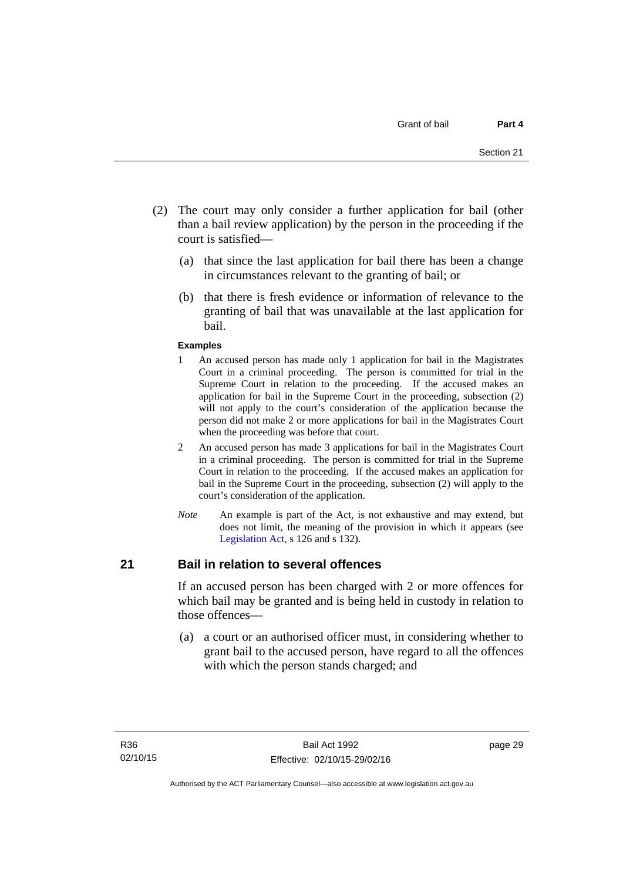- (2) The court may only consider a further application for bail (other than a bail review application) by the person in the proceeding if the court is satisfied—
	- (a) that since the last application for bail there has been a change in circumstances relevant to the granting of bail; or
	- (b) that there is fresh evidence or information of relevance to the granting of bail that was unavailable at the last application for bail.

#### **Examples**

- 1 An accused person has made only 1 application for bail in the Magistrates Court in a criminal proceeding. The person is committed for trial in the Supreme Court in relation to the proceeding. If the accused makes an application for bail in the Supreme Court in the proceeding, subsection (2) will not apply to the court's consideration of the application because the person did not make 2 or more applications for bail in the Magistrates Court when the proceeding was before that court.
- 2 An accused person has made 3 applications for bail in the Magistrates Court in a criminal proceeding. The person is committed for trial in the Supreme Court in relation to the proceeding. If the accused makes an application for bail in the Supreme Court in the proceeding, subsection (2) will apply to the court's consideration of the application.
- *Note* An example is part of the Act, is not exhaustive and may extend, but does not limit, the meaning of the provision in which it appears (see [Legislation Act,](http://www.legislation.act.gov.au/a/2001-14) s 126 and s 132).

#### **21 Bail in relation to several offences**

If an accused person has been charged with 2 or more offences for which bail may be granted and is being held in custody in relation to those offences—

 (a) a court or an authorised officer must, in considering whether to grant bail to the accused person, have regard to all the offences with which the person stands charged; and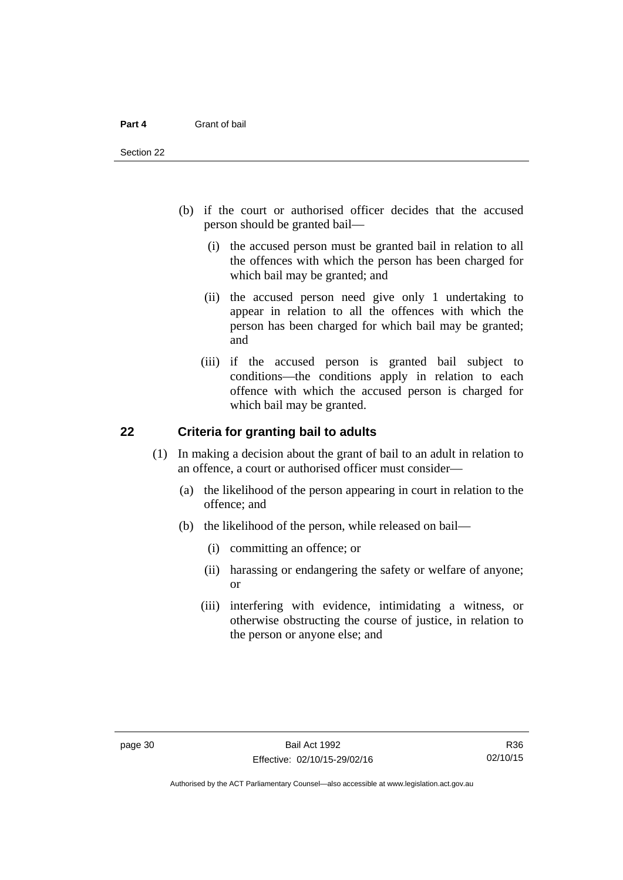- (b) if the court or authorised officer decides that the accused person should be granted bail—
	- (i) the accused person must be granted bail in relation to all the offences with which the person has been charged for which bail may be granted; and
	- (ii) the accused person need give only 1 undertaking to appear in relation to all the offences with which the person has been charged for which bail may be granted; and
	- (iii) if the accused person is granted bail subject to conditions—the conditions apply in relation to each offence with which the accused person is charged for which bail may be granted.

#### **22 Criteria for granting bail to adults**

- (1) In making a decision about the grant of bail to an adult in relation to an offence, a court or authorised officer must consider—
	- (a) the likelihood of the person appearing in court in relation to the offence; and
	- (b) the likelihood of the person, while released on bail—
		- (i) committing an offence; or
		- (ii) harassing or endangering the safety or welfare of anyone; or
		- (iii) interfering with evidence, intimidating a witness, or otherwise obstructing the course of justice, in relation to the person or anyone else; and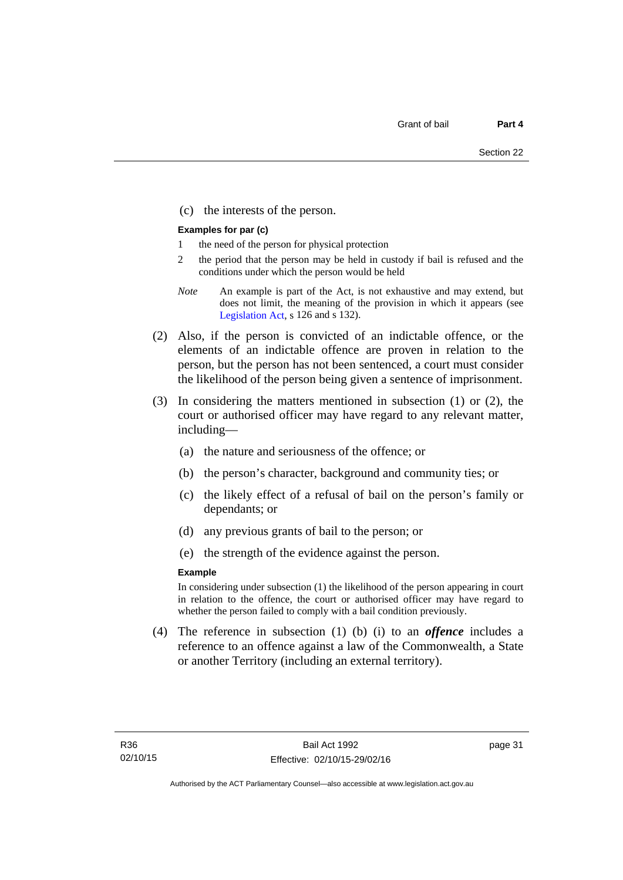(c) the interests of the person.

#### **Examples for par (c)**

- 1 the need of the person for physical protection
- 2 the period that the person may be held in custody if bail is refused and the conditions under which the person would be held
- *Note* An example is part of the Act, is not exhaustive and may extend, but does not limit, the meaning of the provision in which it appears (see [Legislation Act,](http://www.legislation.act.gov.au/a/2001-14) s 126 and s 132).
- (2) Also, if the person is convicted of an indictable offence, or the elements of an indictable offence are proven in relation to the person, but the person has not been sentenced, a court must consider the likelihood of the person being given a sentence of imprisonment.
- (3) In considering the matters mentioned in subsection (1) or (2), the court or authorised officer may have regard to any relevant matter, including—
	- (a) the nature and seriousness of the offence; or
	- (b) the person's character, background and community ties; or
	- (c) the likely effect of a refusal of bail on the person's family or dependants; or
	- (d) any previous grants of bail to the person; or
	- (e) the strength of the evidence against the person.

#### **Example**

In considering under subsection (1) the likelihood of the person appearing in court in relation to the offence, the court or authorised officer may have regard to whether the person failed to comply with a bail condition previously.

 (4) The reference in subsection (1) (b) (i) to an *offence* includes a reference to an offence against a law of the Commonwealth, a State or another Territory (including an external territory).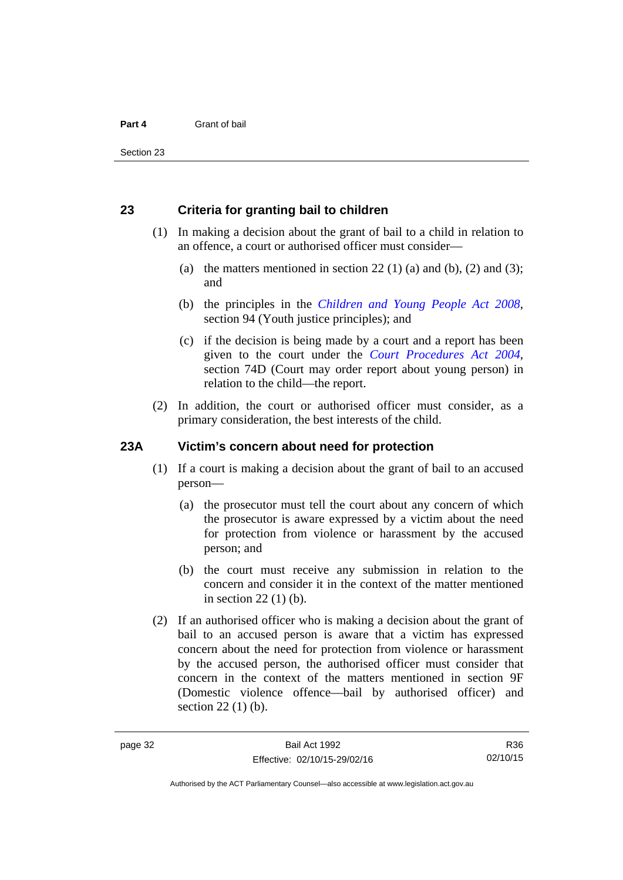#### **23 Criteria for granting bail to children**

- (1) In making a decision about the grant of bail to a child in relation to an offence, a court or authorised officer must consider—
	- (a) the matters mentioned in section 22 (1) (a) and (b), (2) and (3); and
	- (b) the principles in the *[Children and Young People Act 2008](http://www.legislation.act.gov.au/a/2008-19)*, section 94 (Youth justice principles); and
	- (c) if the decision is being made by a court and a report has been given to the court under the *[Court Procedures Act 2004](http://www.legislation.act.gov.au/a/2004-59)*, section 74D (Court may order report about young person) in relation to the child—the report.
- (2) In addition, the court or authorised officer must consider, as a primary consideration, the best interests of the child.

#### **23A Victim's concern about need for protection**

- (1) If a court is making a decision about the grant of bail to an accused person—
	- (a) the prosecutor must tell the court about any concern of which the prosecutor is aware expressed by a victim about the need for protection from violence or harassment by the accused person; and
	- (b) the court must receive any submission in relation to the concern and consider it in the context of the matter mentioned in section 22 (1) (b).
- (2) If an authorised officer who is making a decision about the grant of bail to an accused person is aware that a victim has expressed concern about the need for protection from violence or harassment by the accused person, the authorised officer must consider that concern in the context of the matters mentioned in section 9F (Domestic violence offence—bail by authorised officer) and section 22 (1) (b).

Authorised by the ACT Parliamentary Counsel—also accessible at www.legislation.act.gov.au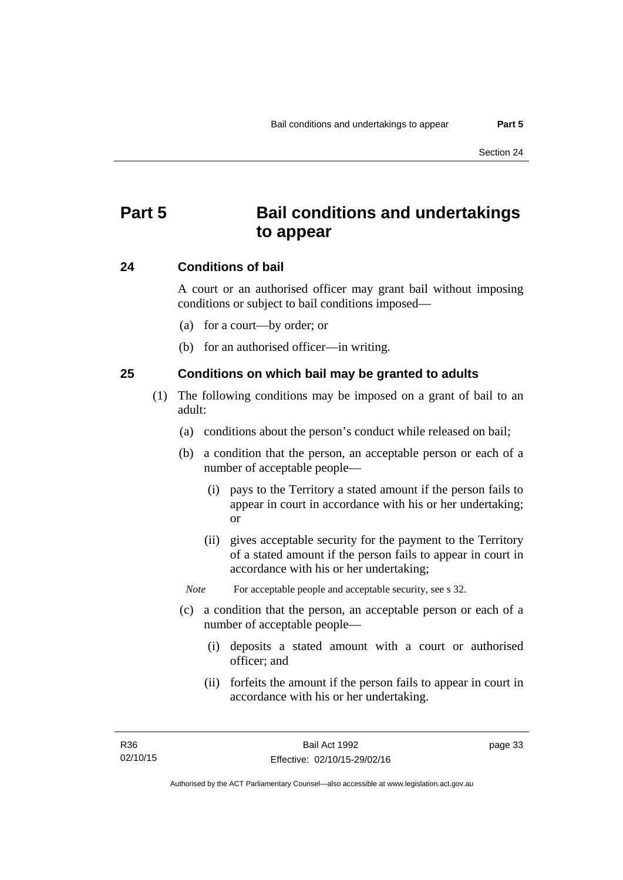# **Part 5 Bail conditions and undertakings to appear**

#### **24 Conditions of bail**

A court or an authorised officer may grant bail without imposing conditions or subject to bail conditions imposed—

- (a) for a court—by order; or
- (b) for an authorised officer—in writing.

#### **25 Conditions on which bail may be granted to adults**

- (1) The following conditions may be imposed on a grant of bail to an adult:
	- (a) conditions about the person's conduct while released on bail;
	- (b) a condition that the person, an acceptable person or each of a number of acceptable people—
		- (i) pays to the Territory a stated amount if the person fails to appear in court in accordance with his or her undertaking; or
		- (ii) gives acceptable security for the payment to the Territory of a stated amount if the person fails to appear in court in accordance with his or her undertaking;

*Note* For acceptable people and acceptable security, see s 32.

- (c) a condition that the person, an acceptable person or each of a number of acceptable people—
	- (i) deposits a stated amount with a court or authorised officer; and
	- (ii) forfeits the amount if the person fails to appear in court in accordance with his or her undertaking.

page 33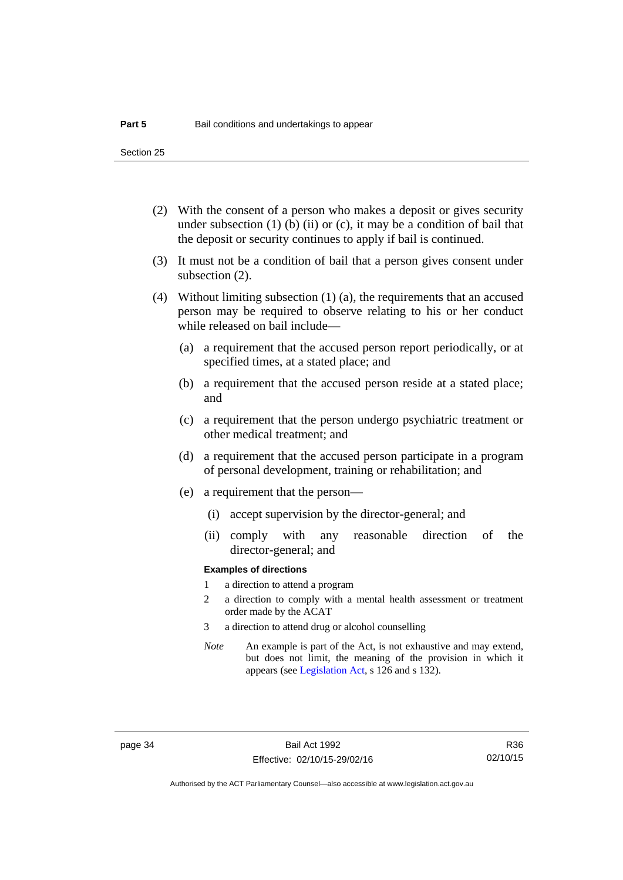Section 25

- (2) With the consent of a person who makes a deposit or gives security under subsection  $(1)$  (b)  $(ii)$  or  $(c)$ , it may be a condition of bail that the deposit or security continues to apply if bail is continued.
- (3) It must not be a condition of bail that a person gives consent under subsection (2).
- (4) Without limiting subsection (1) (a), the requirements that an accused person may be required to observe relating to his or her conduct while released on bail include—
	- (a) a requirement that the accused person report periodically, or at specified times, at a stated place; and
	- (b) a requirement that the accused person reside at a stated place; and
	- (c) a requirement that the person undergo psychiatric treatment or other medical treatment; and
	- (d) a requirement that the accused person participate in a program of personal development, training or rehabilitation; and
	- (e) a requirement that the person—
		- (i) accept supervision by the director-general; and
		- (ii) comply with any reasonable direction of the director-general; and

#### **Examples of directions**

- 1 a direction to attend a program
- 2 a direction to comply with a mental health assessment or treatment order made by the ACAT
- 3 a direction to attend drug or alcohol counselling
- *Note* An example is part of the Act, is not exhaustive and may extend, but does not limit, the meaning of the provision in which it appears (see [Legislation Act,](http://www.legislation.act.gov.au/a/2001-14) s 126 and s 132).

Authorised by the ACT Parliamentary Counsel—also accessible at www.legislation.act.gov.au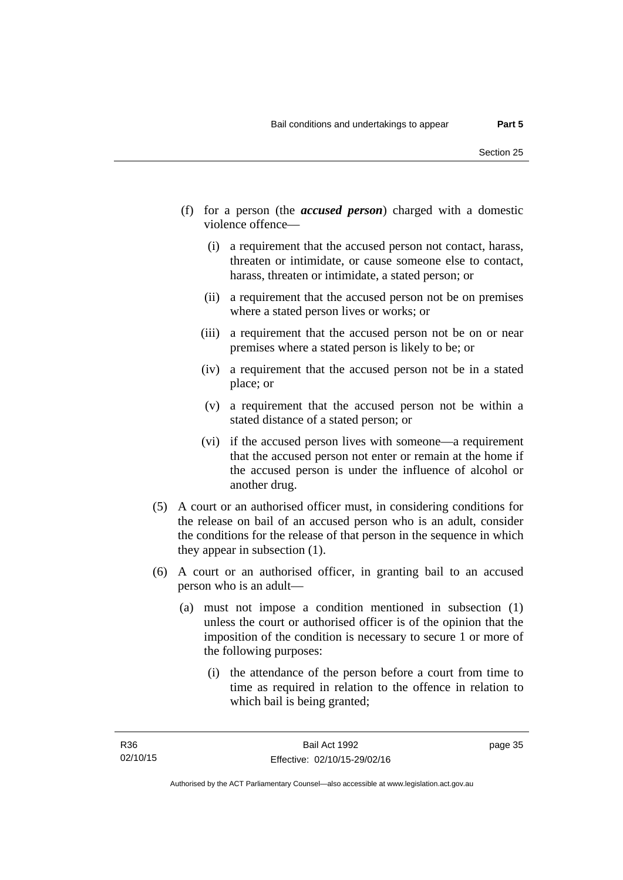- (f) for a person (the *accused person*) charged with a domestic violence offence—
	- (i) a requirement that the accused person not contact, harass, threaten or intimidate, or cause someone else to contact, harass, threaten or intimidate, a stated person; or
	- (ii) a requirement that the accused person not be on premises where a stated person lives or works; or
	- (iii) a requirement that the accused person not be on or near premises where a stated person is likely to be; or
	- (iv) a requirement that the accused person not be in a stated place; or
	- (v) a requirement that the accused person not be within a stated distance of a stated person; or
	- (vi) if the accused person lives with someone—a requirement that the accused person not enter or remain at the home if the accused person is under the influence of alcohol or another drug.
- (5) A court or an authorised officer must, in considering conditions for the release on bail of an accused person who is an adult, consider the conditions for the release of that person in the sequence in which they appear in subsection (1).
- (6) A court or an authorised officer, in granting bail to an accused person who is an adult—
	- (a) must not impose a condition mentioned in subsection (1) unless the court or authorised officer is of the opinion that the imposition of the condition is necessary to secure 1 or more of the following purposes:
		- (i) the attendance of the person before a court from time to time as required in relation to the offence in relation to which bail is being granted;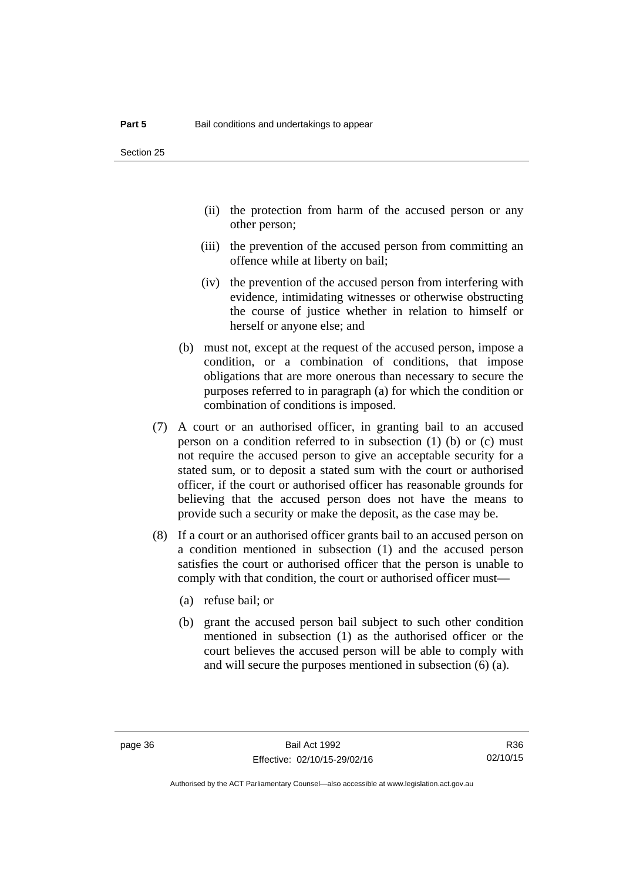- (ii) the protection from harm of the accused person or any other person;
- (iii) the prevention of the accused person from committing an offence while at liberty on bail;
- (iv) the prevention of the accused person from interfering with evidence, intimidating witnesses or otherwise obstructing the course of justice whether in relation to himself or herself or anyone else; and
- (b) must not, except at the request of the accused person, impose a condition, or a combination of conditions, that impose obligations that are more onerous than necessary to secure the purposes referred to in paragraph (a) for which the condition or combination of conditions is imposed.
- (7) A court or an authorised officer, in granting bail to an accused person on a condition referred to in subsection (1) (b) or (c) must not require the accused person to give an acceptable security for a stated sum, or to deposit a stated sum with the court or authorised officer, if the court or authorised officer has reasonable grounds for believing that the accused person does not have the means to provide such a security or make the deposit, as the case may be.
- (8) If a court or an authorised officer grants bail to an accused person on a condition mentioned in subsection (1) and the accused person satisfies the court or authorised officer that the person is unable to comply with that condition, the court or authorised officer must—
	- (a) refuse bail; or
	- (b) grant the accused person bail subject to such other condition mentioned in subsection (1) as the authorised officer or the court believes the accused person will be able to comply with and will secure the purposes mentioned in subsection (6) (a).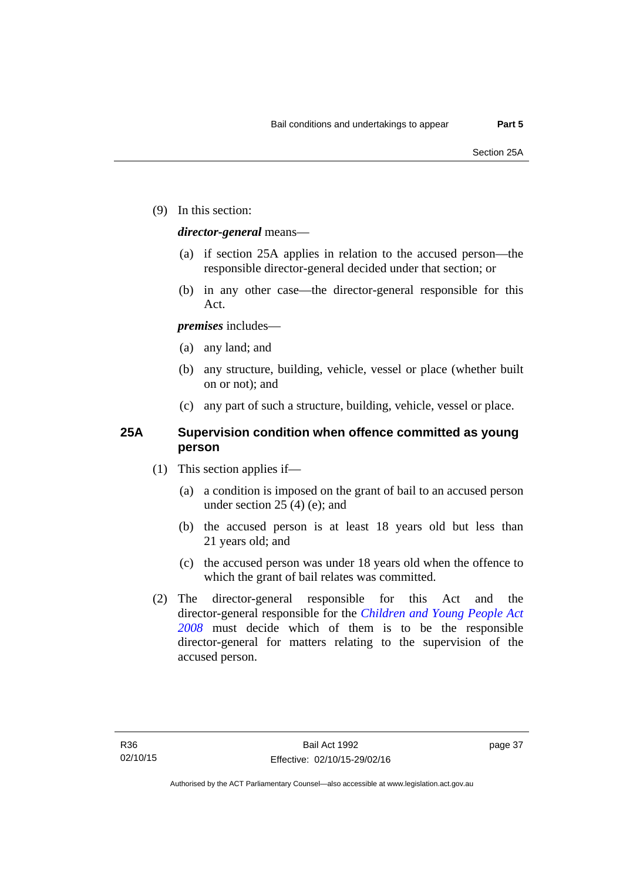(9) In this section:

#### *director-general* means—

- (a) if section 25A applies in relation to the accused person—the responsible director-general decided under that section; or
- (b) in any other case—the director-general responsible for this Act.

#### *premises* includes—

- (a) any land; and
- (b) any structure, building, vehicle, vessel or place (whether built on or not); and
- (c) any part of such a structure, building, vehicle, vessel or place.

#### **25A Supervision condition when offence committed as young person**

- (1) This section applies if—
	- (a) a condition is imposed on the grant of bail to an accused person under section 25 (4) (e); and
	- (b) the accused person is at least 18 years old but less than 21 years old; and
	- (c) the accused person was under 18 years old when the offence to which the grant of bail relates was committed.
- (2) The director-general responsible for this Act and the director-general responsible for the *[Children and Young People Act](http://www.legislation.act.gov.au/a/2008-19)  [2008](http://www.legislation.act.gov.au/a/2008-19)* must decide which of them is to be the responsible director-general for matters relating to the supervision of the accused person.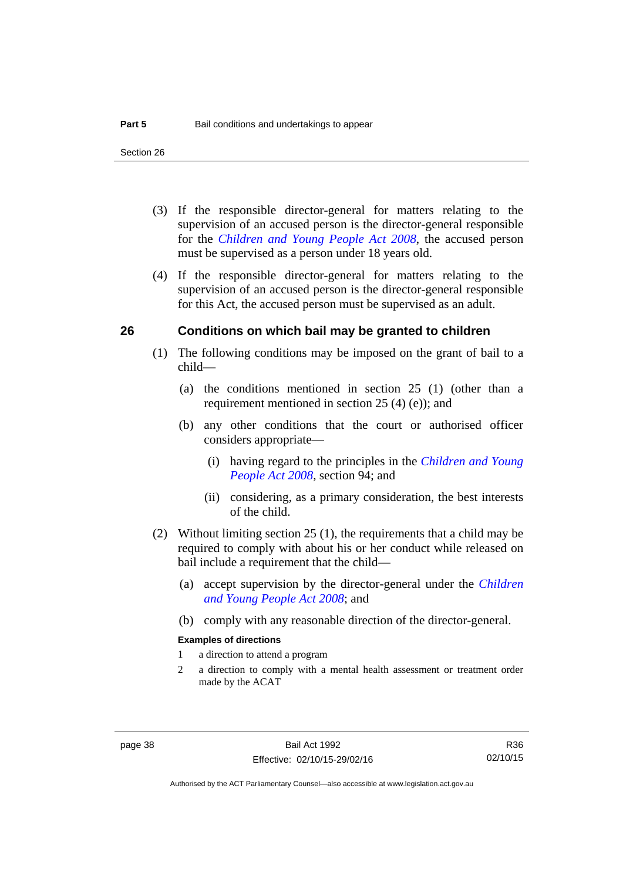- (3) If the responsible director-general for matters relating to the supervision of an accused person is the director-general responsible for the *[Children and Young People Act 2008](http://www.legislation.act.gov.au/a/2008-19)*, the accused person must be supervised as a person under 18 years old.
- (4) If the responsible director-general for matters relating to the supervision of an accused person is the director-general responsible for this Act, the accused person must be supervised as an adult.

#### **26 Conditions on which bail may be granted to children**

- (1) The following conditions may be imposed on the grant of bail to a child—
	- (a) the conditions mentioned in section 25 (1) (other than a requirement mentioned in section 25 (4) (e)); and
	- (b) any other conditions that the court or authorised officer considers appropriate—
		- (i) having regard to the principles in the *[Children and Young](http://www.legislation.act.gov.au/a/2008-19)  [People Act 2008](http://www.legislation.act.gov.au/a/2008-19)*, section 94; and
		- (ii) considering, as a primary consideration, the best interests of the child.
- (2) Without limiting section 25 (1), the requirements that a child may be required to comply with about his or her conduct while released on bail include a requirement that the child—
	- (a) accept supervision by the director-general under the *[Children](http://www.legislation.act.gov.au/a/2008-19)  [and Young People Act 2008](http://www.legislation.act.gov.au/a/2008-19)*; and
	- (b) comply with any reasonable direction of the director-general.

#### **Examples of directions**

- 1 a direction to attend a program
- 2 a direction to comply with a mental health assessment or treatment order made by the ACAT

R36 02/10/15

Authorised by the ACT Parliamentary Counsel—also accessible at www.legislation.act.gov.au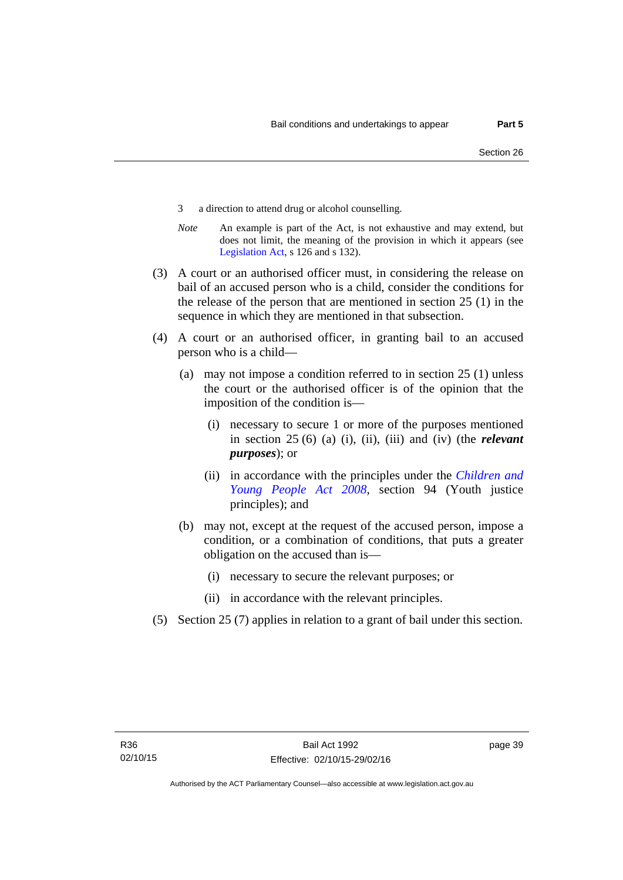- 3 a direction to attend drug or alcohol counselling.
- *Note* An example is part of the Act, is not exhaustive and may extend, but does not limit, the meaning of the provision in which it appears (see [Legislation Act,](http://www.legislation.act.gov.au/a/2001-14) s 126 and s 132).
- (3) A court or an authorised officer must, in considering the release on bail of an accused person who is a child, consider the conditions for the release of the person that are mentioned in section 25 (1) in the sequence in which they are mentioned in that subsection.
- (4) A court or an authorised officer, in granting bail to an accused person who is a child—
	- (a) may not impose a condition referred to in section 25 (1) unless the court or the authorised officer is of the opinion that the imposition of the condition is—
		- (i) necessary to secure 1 or more of the purposes mentioned in section 25 (6) (a) (i), (ii), (iii) and (iv) (the *relevant purposes*); or
		- (ii) in accordance with the principles under the *[Children and](http://www.legislation.act.gov.au/a/2008-19)  [Young People Act 2008](http://www.legislation.act.gov.au/a/2008-19)*, section 94 (Youth justice principles); and
	- (b) may not, except at the request of the accused person, impose a condition, or a combination of conditions, that puts a greater obligation on the accused than is—
		- (i) necessary to secure the relevant purposes; or
		- (ii) in accordance with the relevant principles.
- (5) Section 25 (7) applies in relation to a grant of bail under this section.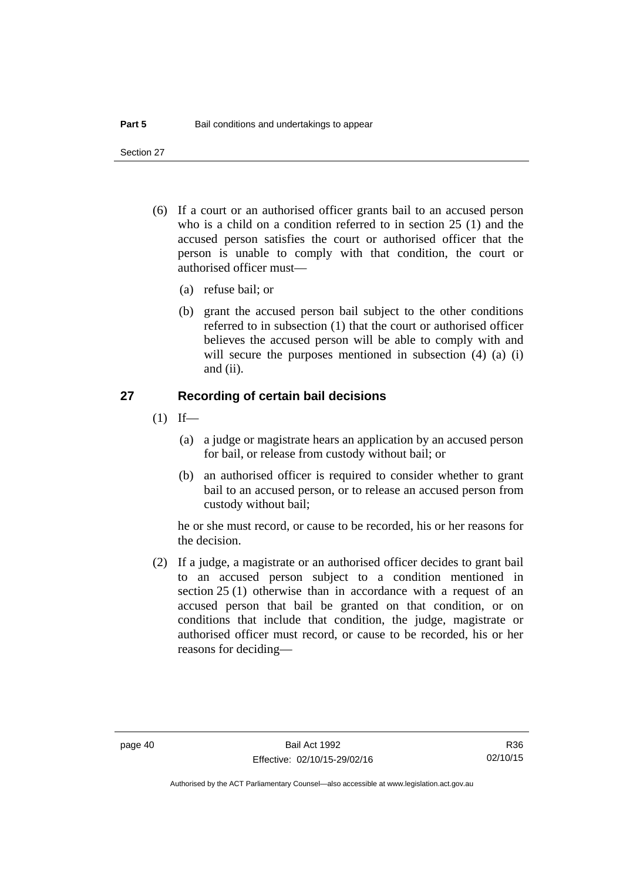Section 27

- (6) If a court or an authorised officer grants bail to an accused person who is a child on a condition referred to in section 25 (1) and the accused person satisfies the court or authorised officer that the person is unable to comply with that condition, the court or authorised officer must—
	- (a) refuse bail; or
	- (b) grant the accused person bail subject to the other conditions referred to in subsection (1) that the court or authorised officer believes the accused person will be able to comply with and will secure the purposes mentioned in subsection (4) (a) (i) and (ii).

#### **27 Recording of certain bail decisions**

- $(1)$  If—
	- (a) a judge or magistrate hears an application by an accused person for bail, or release from custody without bail; or
	- (b) an authorised officer is required to consider whether to grant bail to an accused person, or to release an accused person from custody without bail;

he or she must record, or cause to be recorded, his or her reasons for the decision.

 (2) If a judge, a magistrate or an authorised officer decides to grant bail to an accused person subject to a condition mentioned in section 25 (1) otherwise than in accordance with a request of an accused person that bail be granted on that condition, or on conditions that include that condition, the judge, magistrate or authorised officer must record, or cause to be recorded, his or her reasons for deciding—

R36 02/10/15

Authorised by the ACT Parliamentary Counsel—also accessible at www.legislation.act.gov.au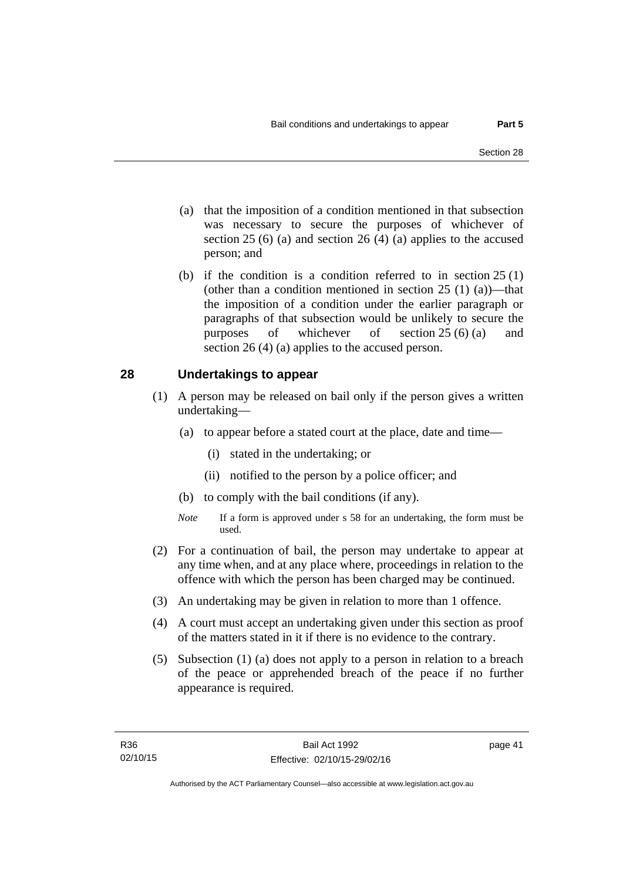- (a) that the imposition of a condition mentioned in that subsection was necessary to secure the purposes of whichever of section  $25(6)$  (a) and section  $26(4)$  (a) applies to the accused person; and
- (b) if the condition is a condition referred to in section 25 (1) (other than a condition mentioned in section  $25(1)(a)$ —that the imposition of a condition under the earlier paragraph or paragraphs of that subsection would be unlikely to secure the purposes of whichever of section 25 (6) (a) and section 26 (4) (a) applies to the accused person.

#### **28 Undertakings to appear**

- (1) A person may be released on bail only if the person gives a written undertaking—
	- (a) to appear before a stated court at the place, date and time—
		- (i) stated in the undertaking; or
		- (ii) notified to the person by a police officer; and
	- (b) to comply with the bail conditions (if any).
	- *Note* If a form is approved under s 58 for an undertaking, the form must be used.
- (2) For a continuation of bail, the person may undertake to appear at any time when, and at any place where, proceedings in relation to the offence with which the person has been charged may be continued.
- (3) An undertaking may be given in relation to more than 1 offence.
- (4) A court must accept an undertaking given under this section as proof of the matters stated in it if there is no evidence to the contrary.
- (5) Subsection (1) (a) does not apply to a person in relation to a breach of the peace or apprehended breach of the peace if no further appearance is required.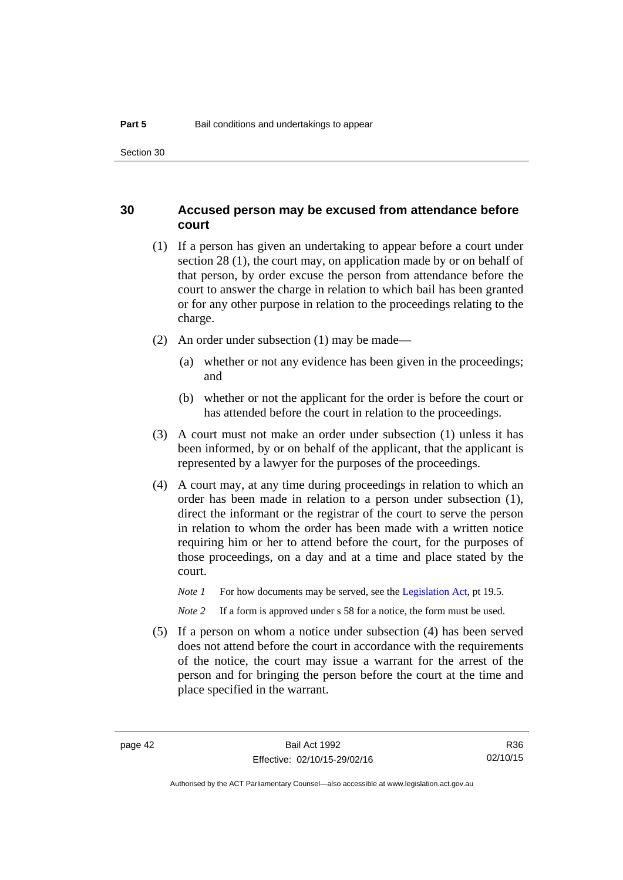#### **30 Accused person may be excused from attendance before court**

- (1) If a person has given an undertaking to appear before a court under section 28 (1), the court may, on application made by or on behalf of that person, by order excuse the person from attendance before the court to answer the charge in relation to which bail has been granted or for any other purpose in relation to the proceedings relating to the charge.
- (2) An order under subsection (1) may be made—
	- (a) whether or not any evidence has been given in the proceedings; and
	- (b) whether or not the applicant for the order is before the court or has attended before the court in relation to the proceedings.
- (3) A court must not make an order under subsection (1) unless it has been informed, by or on behalf of the applicant, that the applicant is represented by a lawyer for the purposes of the proceedings.
- (4) A court may, at any time during proceedings in relation to which an order has been made in relation to a person under subsection (1), direct the informant or the registrar of the court to serve the person in relation to whom the order has been made with a written notice requiring him or her to attend before the court, for the purposes of those proceedings, on a day and at a time and place stated by the court.
	- *Note 1* For how documents may be served, see the [Legislation Act,](http://www.legislation.act.gov.au/a/2001-14) pt 19.5.

*Note* 2 If a form is approved under s 58 for a notice, the form must be used.

 (5) If a person on whom a notice under subsection (4) has been served does not attend before the court in accordance with the requirements of the notice, the court may issue a warrant for the arrest of the person and for bringing the person before the court at the time and place specified in the warrant.

R36 02/10/15

Authorised by the ACT Parliamentary Counsel—also accessible at www.legislation.act.gov.au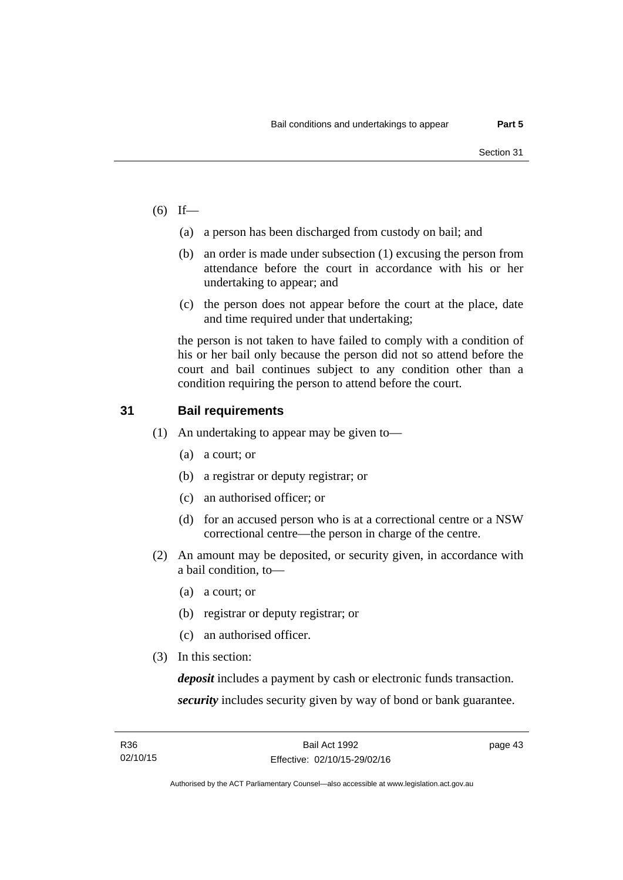- $(6)$  If—
	- (a) a person has been discharged from custody on bail; and
	- (b) an order is made under subsection (1) excusing the person from attendance before the court in accordance with his or her undertaking to appear; and
	- (c) the person does not appear before the court at the place, date and time required under that undertaking;

the person is not taken to have failed to comply with a condition of his or her bail only because the person did not so attend before the court and bail continues subject to any condition other than a condition requiring the person to attend before the court.

### **31 Bail requirements**

- (1) An undertaking to appear may be given to—
	- (a) a court; or
	- (b) a registrar or deputy registrar; or
	- (c) an authorised officer; or
	- (d) for an accused person who is at a correctional centre or a NSW correctional centre—the person in charge of the centre.
- (2) An amount may be deposited, or security given, in accordance with a bail condition, to—
	- (a) a court; or
	- (b) registrar or deputy registrar; or
	- (c) an authorised officer.
- (3) In this section:

*deposit* includes a payment by cash or electronic funds transaction. *security* includes security given by way of bond or bank guarantee.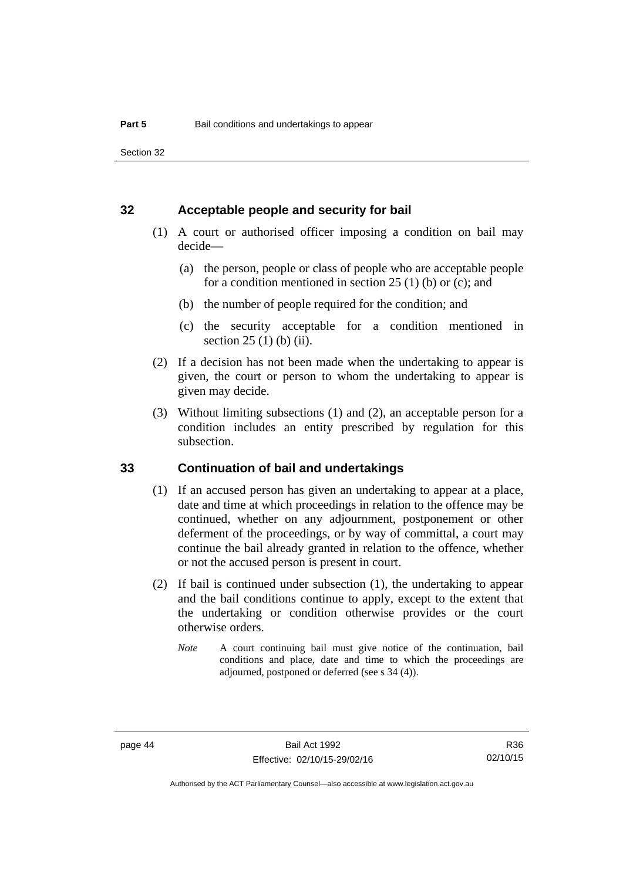Section 32

#### **32 Acceptable people and security for bail**

- (1) A court or authorised officer imposing a condition on bail may decide—
	- (a) the person, people or class of people who are acceptable people for a condition mentioned in section  $25(1)$  (b) or (c); and
	- (b) the number of people required for the condition; and
	- (c) the security acceptable for a condition mentioned in section 25 (1) (b) (ii).
- (2) If a decision has not been made when the undertaking to appear is given, the court or person to whom the undertaking to appear is given may decide.
- (3) Without limiting subsections (1) and (2), an acceptable person for a condition includes an entity prescribed by regulation for this subsection.

#### **33 Continuation of bail and undertakings**

- (1) If an accused person has given an undertaking to appear at a place, date and time at which proceedings in relation to the offence may be continued, whether on any adjournment, postponement or other deferment of the proceedings, or by way of committal, a court may continue the bail already granted in relation to the offence, whether or not the accused person is present in court.
- (2) If bail is continued under subsection (1), the undertaking to appear and the bail conditions continue to apply, except to the extent that the undertaking or condition otherwise provides or the court otherwise orders.
	- *Note* A court continuing bail must give notice of the continuation, bail conditions and place, date and time to which the proceedings are adjourned, postponed or deferred (see s 34 (4)).

R36 02/10/15

Authorised by the ACT Parliamentary Counsel—also accessible at www.legislation.act.gov.au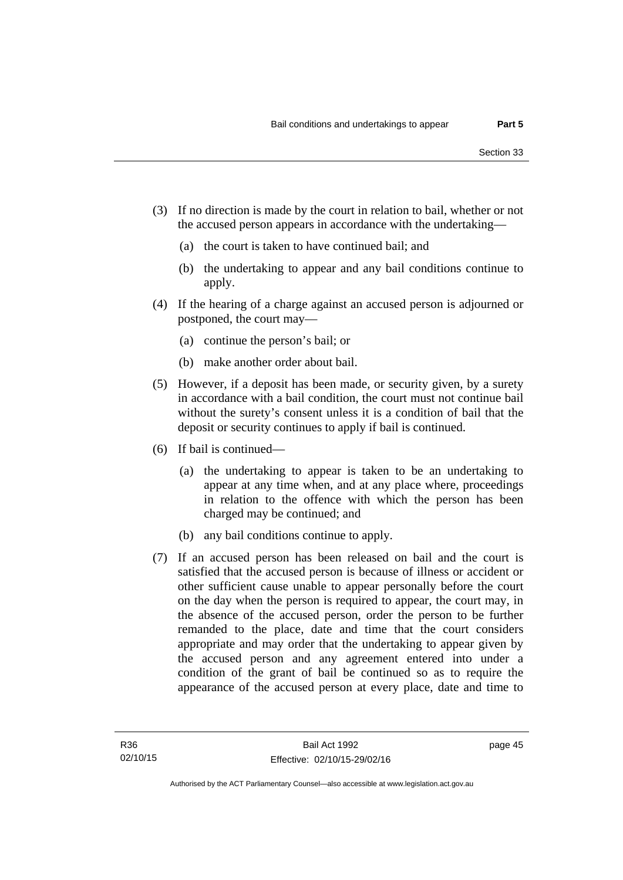- (3) If no direction is made by the court in relation to bail, whether or not the accused person appears in accordance with the undertaking—
	- (a) the court is taken to have continued bail; and
	- (b) the undertaking to appear and any bail conditions continue to apply.
- (4) If the hearing of a charge against an accused person is adjourned or postponed, the court may—
	- (a) continue the person's bail; or
	- (b) make another order about bail.
- (5) However, if a deposit has been made, or security given, by a surety in accordance with a bail condition, the court must not continue bail without the surety's consent unless it is a condition of bail that the deposit or security continues to apply if bail is continued.
- (6) If bail is continued—
	- (a) the undertaking to appear is taken to be an undertaking to appear at any time when, and at any place where, proceedings in relation to the offence with which the person has been charged may be continued; and
	- (b) any bail conditions continue to apply.
- (7) If an accused person has been released on bail and the court is satisfied that the accused person is because of illness or accident or other sufficient cause unable to appear personally before the court on the day when the person is required to appear, the court may, in the absence of the accused person, order the person to be further remanded to the place, date and time that the court considers appropriate and may order that the undertaking to appear given by the accused person and any agreement entered into under a condition of the grant of bail be continued so as to require the appearance of the accused person at every place, date and time to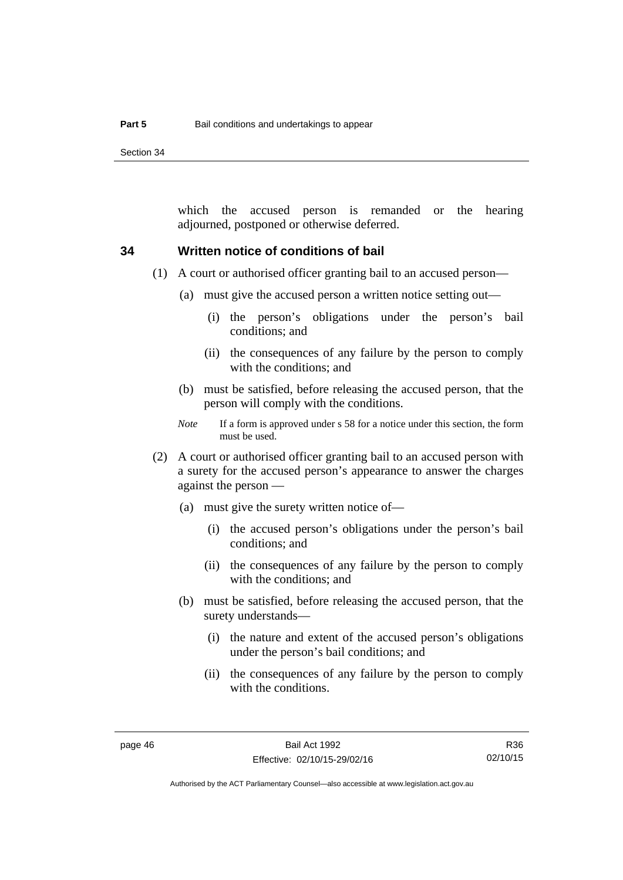Section 34

which the accused person is remanded or the hearing adjourned, postponed or otherwise deferred.

#### **34 Written notice of conditions of bail**

- (1) A court or authorised officer granting bail to an accused person—
	- (a) must give the accused person a written notice setting out—
		- (i) the person's obligations under the person's bail conditions; and
		- (ii) the consequences of any failure by the person to comply with the conditions; and
	- (b) must be satisfied, before releasing the accused person, that the person will comply with the conditions.
	- *Note* If a form is approved under s 58 for a notice under this section, the form must be used.
- (2) A court or authorised officer granting bail to an accused person with a surety for the accused person's appearance to answer the charges against the person —
	- (a) must give the surety written notice of—
		- (i) the accused person's obligations under the person's bail conditions; and
		- (ii) the consequences of any failure by the person to comply with the conditions; and
	- (b) must be satisfied, before releasing the accused person, that the surety understands—
		- (i) the nature and extent of the accused person's obligations under the person's bail conditions; and
		- (ii) the consequences of any failure by the person to comply with the conditions.

R36 02/10/15

Authorised by the ACT Parliamentary Counsel—also accessible at www.legislation.act.gov.au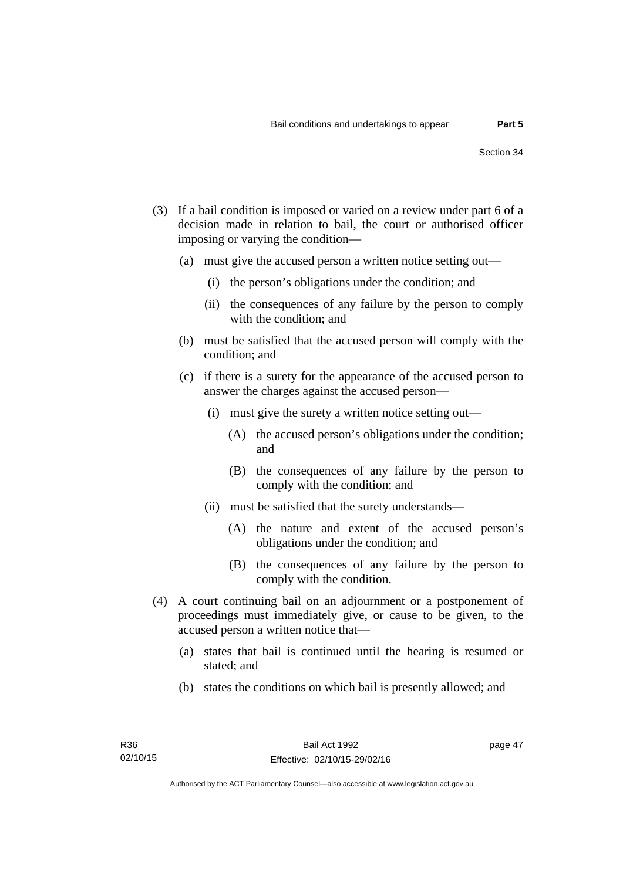- (3) If a bail condition is imposed or varied on a review under part 6 of a decision made in relation to bail, the court or authorised officer imposing or varying the condition—
	- (a) must give the accused person a written notice setting out—
		- (i) the person's obligations under the condition; and
		- (ii) the consequences of any failure by the person to comply with the condition; and
	- (b) must be satisfied that the accused person will comply with the condition; and
	- (c) if there is a surety for the appearance of the accused person to answer the charges against the accused person—
		- (i) must give the surety a written notice setting out—
			- (A) the accused person's obligations under the condition; and
			- (B) the consequences of any failure by the person to comply with the condition; and
		- (ii) must be satisfied that the surety understands—
			- (A) the nature and extent of the accused person's obligations under the condition; and
			- (B) the consequences of any failure by the person to comply with the condition.
- (4) A court continuing bail on an adjournment or a postponement of proceedings must immediately give, or cause to be given, to the accused person a written notice that—
	- (a) states that bail is continued until the hearing is resumed or stated; and
	- (b) states the conditions on which bail is presently allowed; and

page 47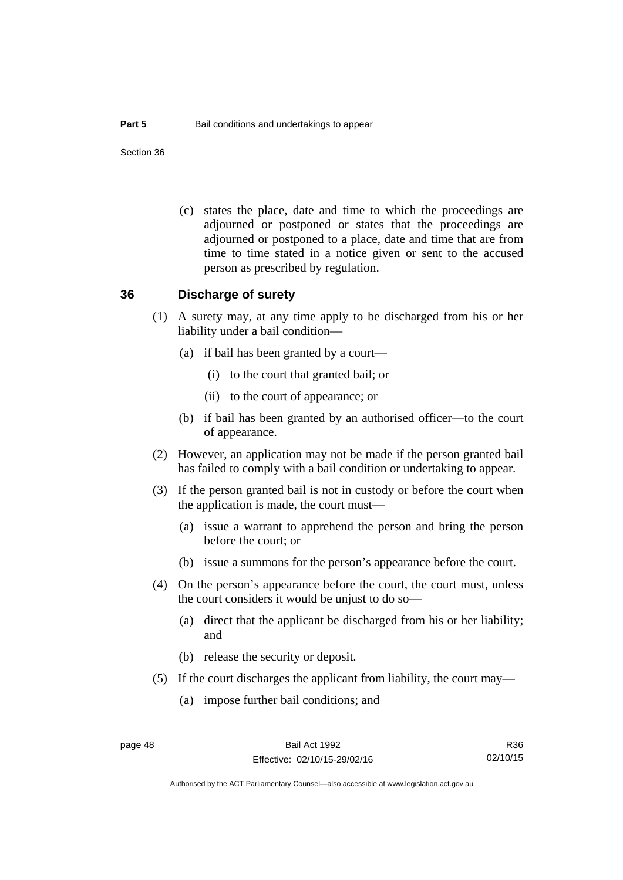Section 36

 (c) states the place, date and time to which the proceedings are adjourned or postponed or states that the proceedings are adjourned or postponed to a place, date and time that are from time to time stated in a notice given or sent to the accused person as prescribed by regulation.

#### **36 Discharge of surety**

- (1) A surety may, at any time apply to be discharged from his or her liability under a bail condition—
	- (a) if bail has been granted by a court—
		- (i) to the court that granted bail; or
		- (ii) to the court of appearance; or
	- (b) if bail has been granted by an authorised officer—to the court of appearance.
- (2) However, an application may not be made if the person granted bail has failed to comply with a bail condition or undertaking to appear.
- (3) If the person granted bail is not in custody or before the court when the application is made, the court must—
	- (a) issue a warrant to apprehend the person and bring the person before the court; or
	- (b) issue a summons for the person's appearance before the court.
- (4) On the person's appearance before the court, the court must, unless the court considers it would be unjust to do so—
	- (a) direct that the applicant be discharged from his or her liability; and
	- (b) release the security or deposit.
- (5) If the court discharges the applicant from liability, the court may—
	- (a) impose further bail conditions; and

R36 02/10/15

Authorised by the ACT Parliamentary Counsel—also accessible at www.legislation.act.gov.au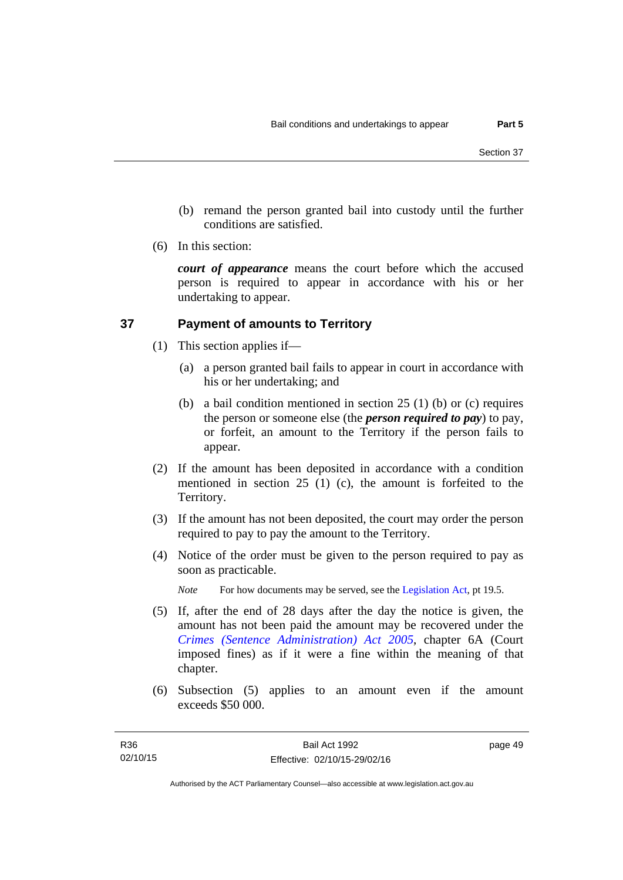- (b) remand the person granted bail into custody until the further conditions are satisfied.
- (6) In this section:

*court of appearance* means the court before which the accused person is required to appear in accordance with his or her undertaking to appear.

## **37 Payment of amounts to Territory**

- (1) This section applies if—
	- (a) a person granted bail fails to appear in court in accordance with his or her undertaking; and
	- (b) a bail condition mentioned in section 25 (1) (b) or (c) requires the person or someone else (the *person required to pay*) to pay, or forfeit, an amount to the Territory if the person fails to appear.
- (2) If the amount has been deposited in accordance with a condition mentioned in section 25 (1) (c), the amount is forfeited to the Territory.
- (3) If the amount has not been deposited, the court may order the person required to pay to pay the amount to the Territory.
- (4) Notice of the order must be given to the person required to pay as soon as practicable.

*Note* For how documents may be served, see the [Legislation Act,](http://www.legislation.act.gov.au/a/2001-14) pt 19.5.

- (5) If, after the end of 28 days after the day the notice is given, the amount has not been paid the amount may be recovered under the *[Crimes \(Sentence Administration\) Act 2005](http://www.legislation.act.gov.au/a/2005-59)*, chapter 6A (Court imposed fines) as if it were a fine within the meaning of that chapter.
- (6) Subsection (5) applies to an amount even if the amount exceeds \$50 000.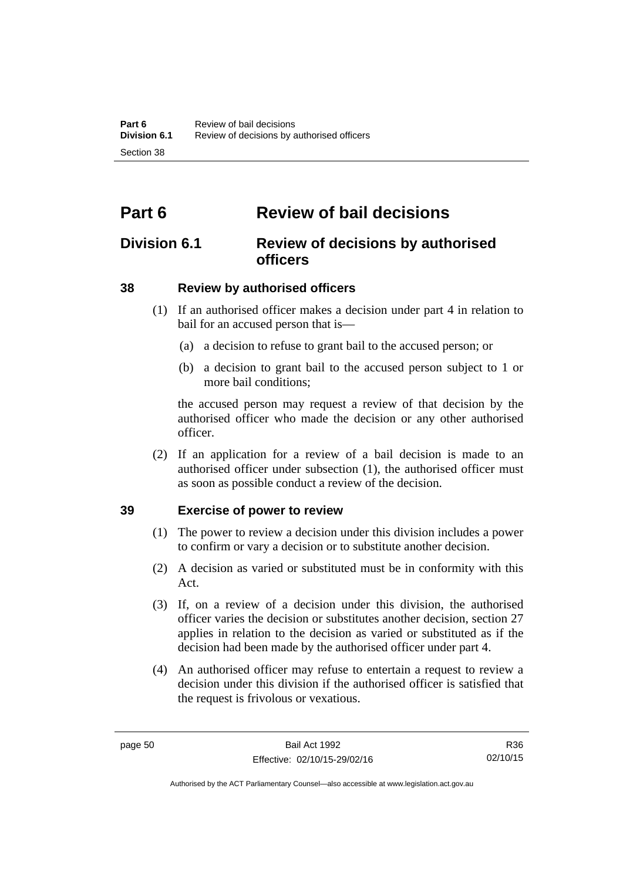# **Part 6 Review of bail decisions**

## **Division 6.1 Review of decisions by authorised officers**

## **38 Review by authorised officers**

- (1) If an authorised officer makes a decision under part 4 in relation to bail for an accused person that is—
	- (a) a decision to refuse to grant bail to the accused person; or
	- (b) a decision to grant bail to the accused person subject to 1 or more bail conditions;

the accused person may request a review of that decision by the authorised officer who made the decision or any other authorised officer.

 (2) If an application for a review of a bail decision is made to an authorised officer under subsection (1), the authorised officer must as soon as possible conduct a review of the decision.

### **39 Exercise of power to review**

- (1) The power to review a decision under this division includes a power to confirm or vary a decision or to substitute another decision.
- (2) A decision as varied or substituted must be in conformity with this Act.
- (3) If, on a review of a decision under this division, the authorised officer varies the decision or substitutes another decision, section 27 applies in relation to the decision as varied or substituted as if the decision had been made by the authorised officer under part 4.
- (4) An authorised officer may refuse to entertain a request to review a decision under this division if the authorised officer is satisfied that the request is frivolous or vexatious.

R36 02/10/15

Authorised by the ACT Parliamentary Counsel—also accessible at www.legislation.act.gov.au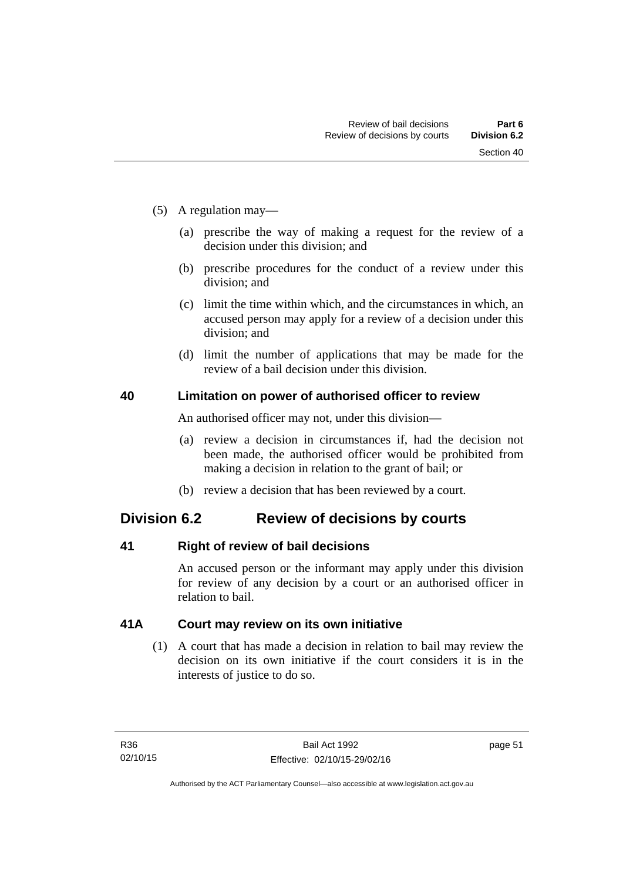- (5) A regulation may—
	- (a) prescribe the way of making a request for the review of a decision under this division; and
	- (b) prescribe procedures for the conduct of a review under this division; and
	- (c) limit the time within which, and the circumstances in which, an accused person may apply for a review of a decision under this division; and
	- (d) limit the number of applications that may be made for the review of a bail decision under this division.

#### **40 Limitation on power of authorised officer to review**

An authorised officer may not, under this division—

- (a) review a decision in circumstances if, had the decision not been made, the authorised officer would be prohibited from making a decision in relation to the grant of bail; or
- (b) review a decision that has been reviewed by a court.

## **Division 6.2 Review of decisions by courts**

#### **41 Right of review of bail decisions**

An accused person or the informant may apply under this division for review of any decision by a court or an authorised officer in relation to bail.

#### **41A Court may review on its own initiative**

 (1) A court that has made a decision in relation to bail may review the decision on its own initiative if the court considers it is in the interests of justice to do so.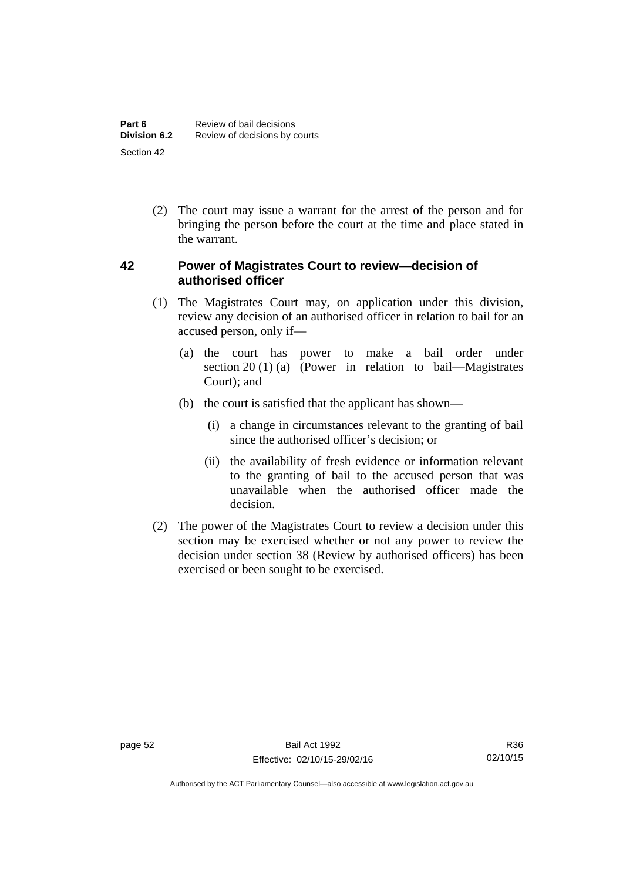(2) The court may issue a warrant for the arrest of the person and for bringing the person before the court at the time and place stated in the warrant.

#### **42 Power of Magistrates Court to review—decision of authorised officer**

- (1) The Magistrates Court may, on application under this division, review any decision of an authorised officer in relation to bail for an accused person, only if—
	- (a) the court has power to make a bail order under section 20 (1) (a) (Power in relation to bail—Magistrates Court); and
	- (b) the court is satisfied that the applicant has shown—
		- (i) a change in circumstances relevant to the granting of bail since the authorised officer's decision; or
		- (ii) the availability of fresh evidence or information relevant to the granting of bail to the accused person that was unavailable when the authorised officer made the decision.
- (2) The power of the Magistrates Court to review a decision under this section may be exercised whether or not any power to review the decision under section 38 (Review by authorised officers) has been exercised or been sought to be exercised.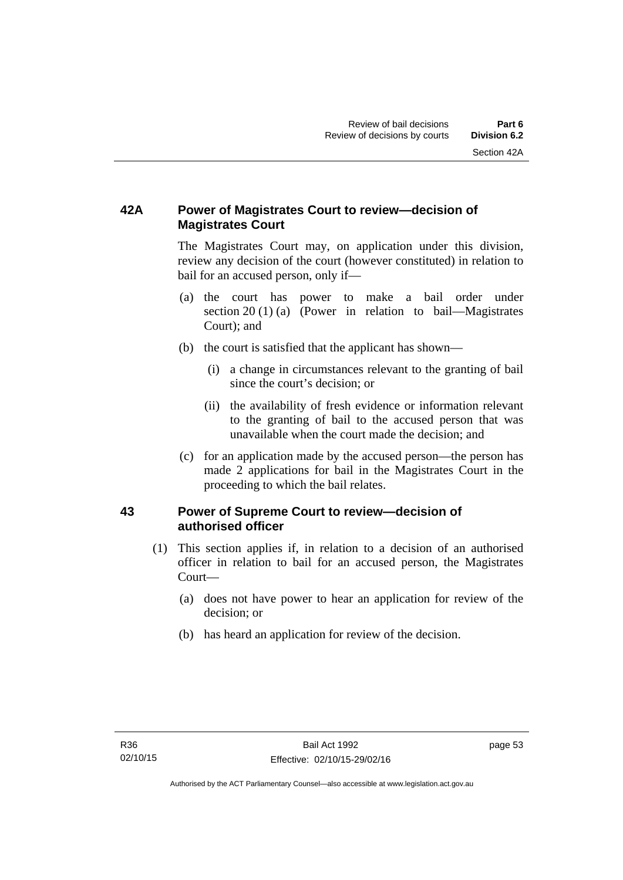## **42A Power of Magistrates Court to review—decision of Magistrates Court**

 The Magistrates Court may, on application under this division, review any decision of the court (however constituted) in relation to bail for an accused person, only if—

- (a) the court has power to make a bail order under section 20 (1) (a) (Power in relation to bail—Magistrates Court); and
- (b) the court is satisfied that the applicant has shown—
	- (i) a change in circumstances relevant to the granting of bail since the court's decision; or
	- (ii) the availability of fresh evidence or information relevant to the granting of bail to the accused person that was unavailable when the court made the decision; and
- (c) for an application made by the accused person—the person has made 2 applications for bail in the Magistrates Court in the proceeding to which the bail relates.

### **43 Power of Supreme Court to review—decision of authorised officer**

- (1) This section applies if, in relation to a decision of an authorised officer in relation to bail for an accused person, the Magistrates Court—
	- (a) does not have power to hear an application for review of the decision; or
	- (b) has heard an application for review of the decision.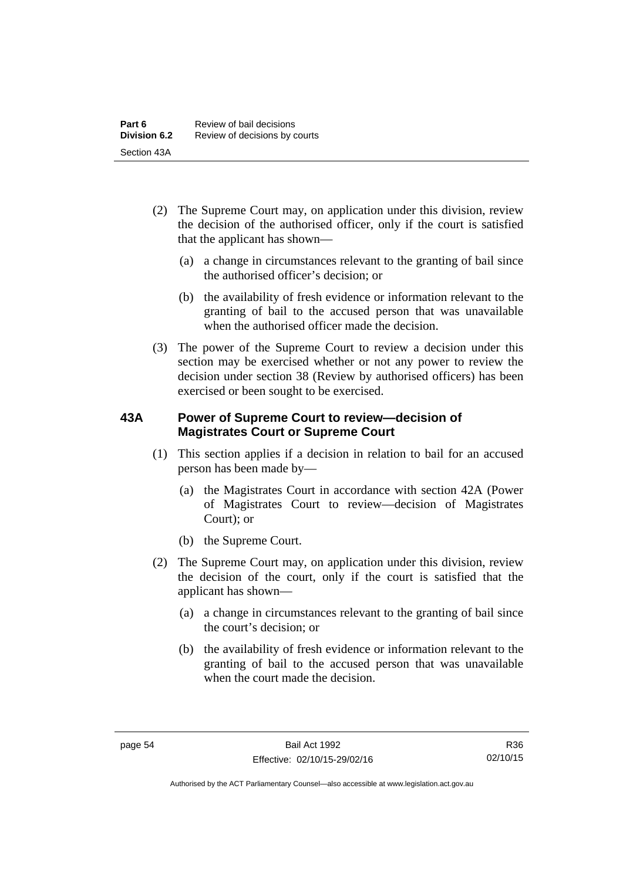- (2) The Supreme Court may, on application under this division, review the decision of the authorised officer, only if the court is satisfied that the applicant has shown—
	- (a) a change in circumstances relevant to the granting of bail since the authorised officer's decision; or
	- (b) the availability of fresh evidence or information relevant to the granting of bail to the accused person that was unavailable when the authorised officer made the decision.
- (3) The power of the Supreme Court to review a decision under this section may be exercised whether or not any power to review the decision under section 38 (Review by authorised officers) has been exercised or been sought to be exercised.

### **43A Power of Supreme Court to review—decision of Magistrates Court or Supreme Court**

- (1) This section applies if a decision in relation to bail for an accused person has been made by—
	- (a) the Magistrates Court in accordance with section 42A (Power of Magistrates Court to review—decision of Magistrates Court); or
	- (b) the Supreme Court.
- (2) The Supreme Court may, on application under this division, review the decision of the court, only if the court is satisfied that the applicant has shown—
	- (a) a change in circumstances relevant to the granting of bail since the court's decision; or
	- (b) the availability of fresh evidence or information relevant to the granting of bail to the accused person that was unavailable when the court made the decision.

Authorised by the ACT Parliamentary Counsel—also accessible at www.legislation.act.gov.au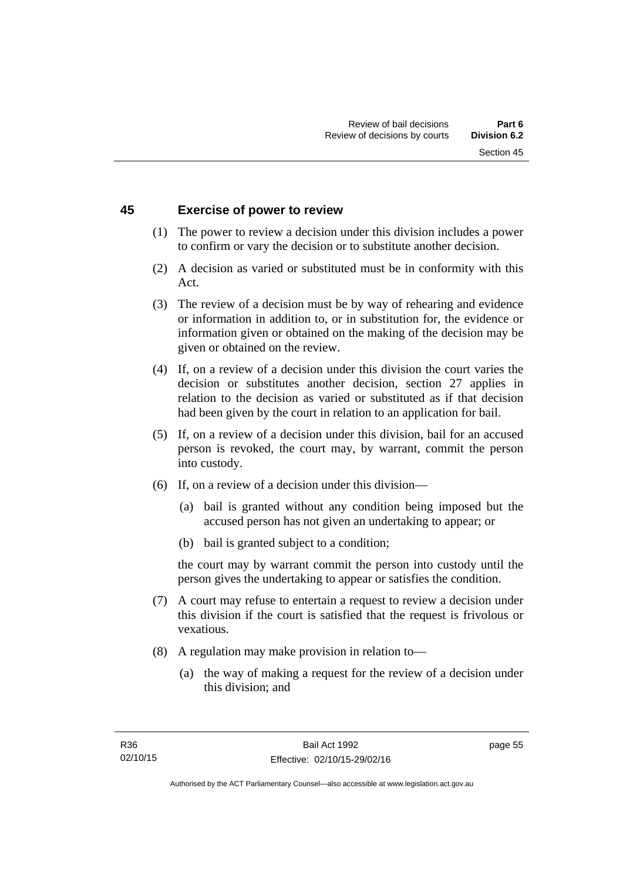#### **45 Exercise of power to review**

- (1) The power to review a decision under this division includes a power to confirm or vary the decision or to substitute another decision.
- (2) A decision as varied or substituted must be in conformity with this Act.
- (3) The review of a decision must be by way of rehearing and evidence or information in addition to, or in substitution for, the evidence or information given or obtained on the making of the decision may be given or obtained on the review.
- (4) If, on a review of a decision under this division the court varies the decision or substitutes another decision, section 27 applies in relation to the decision as varied or substituted as if that decision had been given by the court in relation to an application for bail.
- (5) If, on a review of a decision under this division, bail for an accused person is revoked, the court may, by warrant, commit the person into custody.
- (6) If, on a review of a decision under this division—
	- (a) bail is granted without any condition being imposed but the accused person has not given an undertaking to appear; or
	- (b) bail is granted subject to a condition;

the court may by warrant commit the person into custody until the person gives the undertaking to appear or satisfies the condition.

- (7) A court may refuse to entertain a request to review a decision under this division if the court is satisfied that the request is frivolous or vexatious.
- (8) A regulation may make provision in relation to—
	- (a) the way of making a request for the review of a decision under this division; and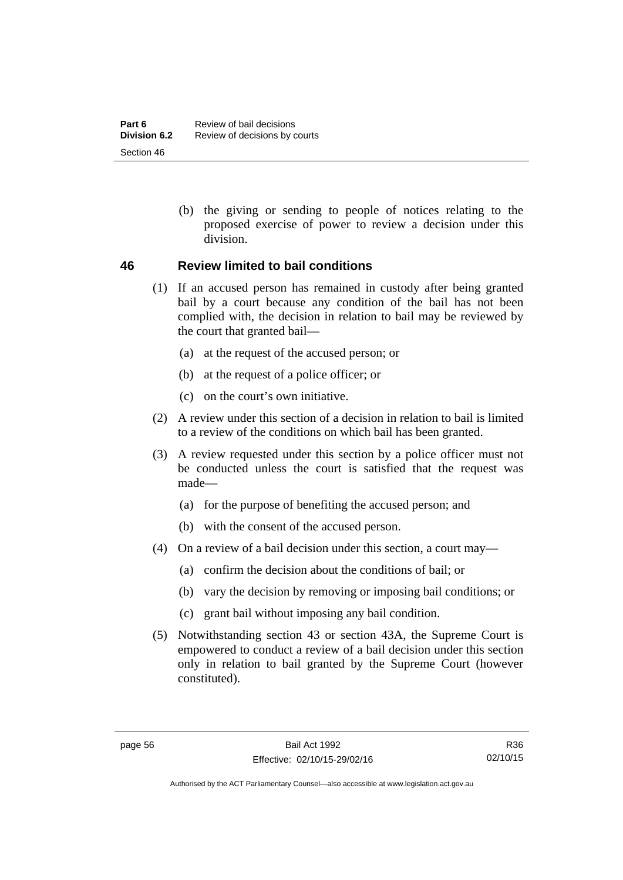(b) the giving or sending to people of notices relating to the proposed exercise of power to review a decision under this division.

#### **46 Review limited to bail conditions**

- (1) If an accused person has remained in custody after being granted bail by a court because any condition of the bail has not been complied with, the decision in relation to bail may be reviewed by the court that granted bail—
	- (a) at the request of the accused person; or
	- (b) at the request of a police officer; or
	- (c) on the court's own initiative.
- (2) A review under this section of a decision in relation to bail is limited to a review of the conditions on which bail has been granted.
- (3) A review requested under this section by a police officer must not be conducted unless the court is satisfied that the request was made—
	- (a) for the purpose of benefiting the accused person; and
	- (b) with the consent of the accused person.
- (4) On a review of a bail decision under this section, a court may—
	- (a) confirm the decision about the conditions of bail; or
	- (b) vary the decision by removing or imposing bail conditions; or
	- (c) grant bail without imposing any bail condition.
- (5) Notwithstanding section 43 or section 43A, the Supreme Court is empowered to conduct a review of a bail decision under this section only in relation to bail granted by the Supreme Court (however constituted).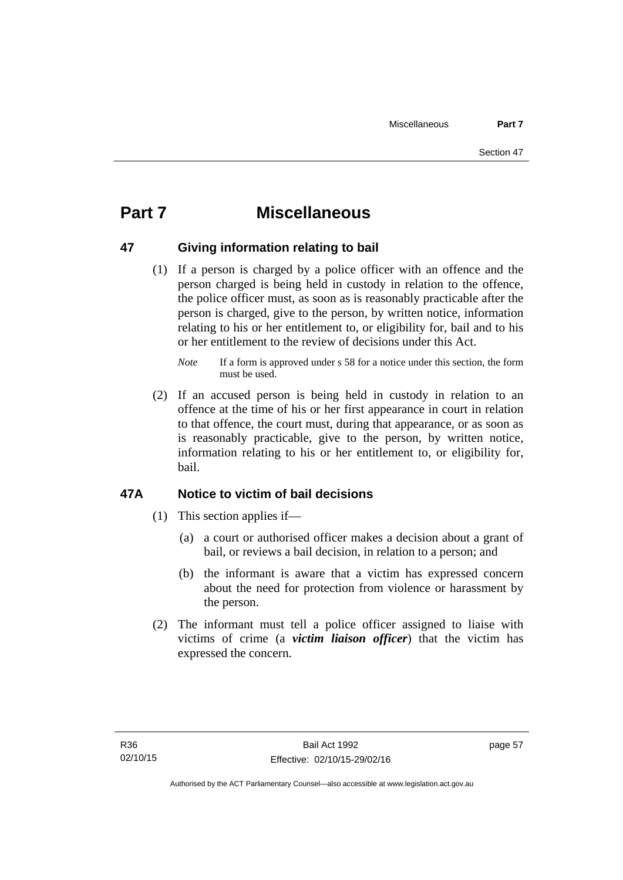# **Part 7 Miscellaneous**

### **47 Giving information relating to bail**

 (1) If a person is charged by a police officer with an offence and the person charged is being held in custody in relation to the offence, the police officer must, as soon as is reasonably practicable after the person is charged, give to the person, by written notice, information relating to his or her entitlement to, or eligibility for, bail and to his or her entitlement to the review of decisions under this Act.

 (2) If an accused person is being held in custody in relation to an offence at the time of his or her first appearance in court in relation to that offence, the court must, during that appearance, or as soon as is reasonably practicable, give to the person, by written notice, information relating to his or her entitlement to, or eligibility for, bail.

### **47A Notice to victim of bail decisions**

- (1) This section applies if—
	- (a) a court or authorised officer makes a decision about a grant of bail, or reviews a bail decision, in relation to a person; and
	- (b) the informant is aware that a victim has expressed concern about the need for protection from violence or harassment by the person.
- (2) The informant must tell a police officer assigned to liaise with victims of crime (a *victim liaison officer*) that the victim has expressed the concern.

*Note* If a form is approved under s 58 for a notice under this section, the form must be used.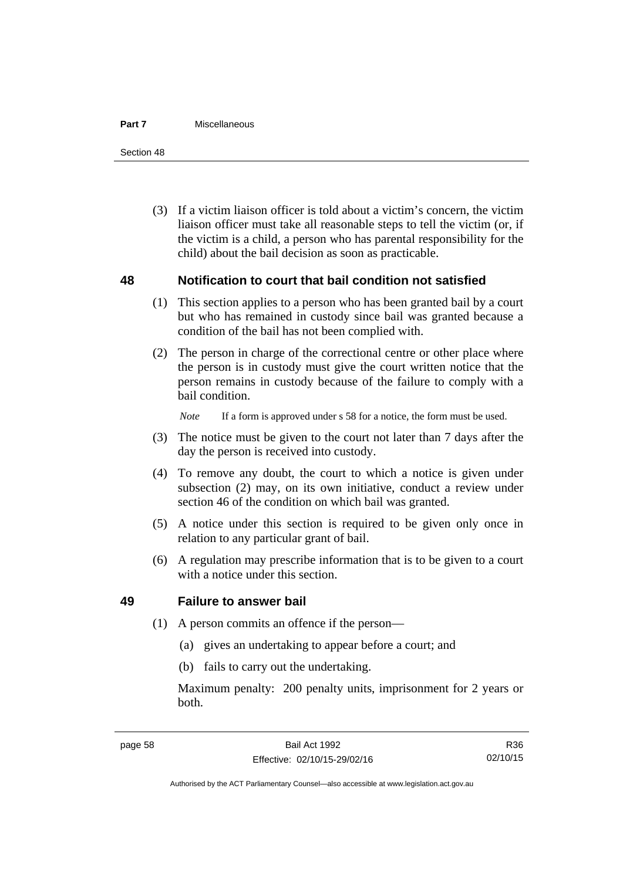#### **Part 7** Miscellaneous

Section 48

 (3) If a victim liaison officer is told about a victim's concern, the victim liaison officer must take all reasonable steps to tell the victim (or, if the victim is a child, a person who has parental responsibility for the child) about the bail decision as soon as practicable.

#### **48 Notification to court that bail condition not satisfied**

- (1) This section applies to a person who has been granted bail by a court but who has remained in custody since bail was granted because a condition of the bail has not been complied with.
- (2) The person in charge of the correctional centre or other place where the person is in custody must give the court written notice that the person remains in custody because of the failure to comply with a bail condition.

*Note* If a form is approved under s 58 for a notice, the form must be used.

- (3) The notice must be given to the court not later than 7 days after the day the person is received into custody.
- (4) To remove any doubt, the court to which a notice is given under subsection (2) may, on its own initiative, conduct a review under section 46 of the condition on which bail was granted.
- (5) A notice under this section is required to be given only once in relation to any particular grant of bail.
- (6) A regulation may prescribe information that is to be given to a court with a notice under this section.

#### **49 Failure to answer bail**

- (1) A person commits an offence if the person—
	- (a) gives an undertaking to appear before a court; and
	- (b) fails to carry out the undertaking.

Maximum penalty: 200 penalty units, imprisonment for 2 years or both.

R36 02/10/15

Authorised by the ACT Parliamentary Counsel—also accessible at www.legislation.act.gov.au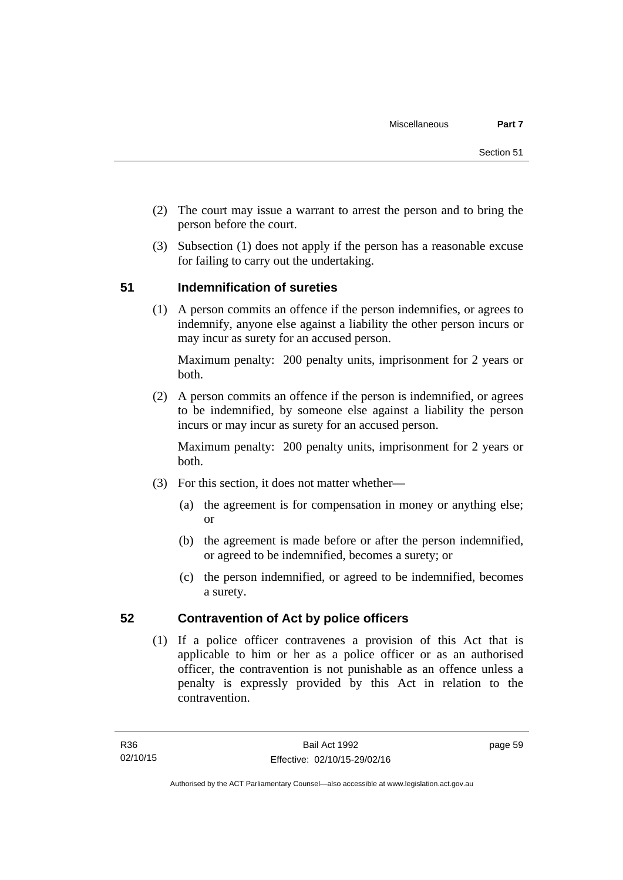- (2) The court may issue a warrant to arrest the person and to bring the person before the court.
- (3) Subsection (1) does not apply if the person has a reasonable excuse for failing to carry out the undertaking.

## **51 Indemnification of sureties**

(1) A person commits an offence if the person indemnifies, or agrees to indemnify, anyone else against a liability the other person incurs or may incur as surety for an accused person.

Maximum penalty: 200 penalty units, imprisonment for 2 years or both.

 (2) A person commits an offence if the person is indemnified, or agrees to be indemnified, by someone else against a liability the person incurs or may incur as surety for an accused person.

Maximum penalty: 200 penalty units, imprisonment for 2 years or both.

- (3) For this section, it does not matter whether—
	- (a) the agreement is for compensation in money or anything else; or
	- (b) the agreement is made before or after the person indemnified, or agreed to be indemnified, becomes a surety; or
	- (c) the person indemnified, or agreed to be indemnified, becomes a surety.

### **52 Contravention of Act by police officers**

(1) If a police officer contravenes a provision of this Act that is applicable to him or her as a police officer or as an authorised officer, the contravention is not punishable as an offence unless a penalty is expressly provided by this Act in relation to the contravention.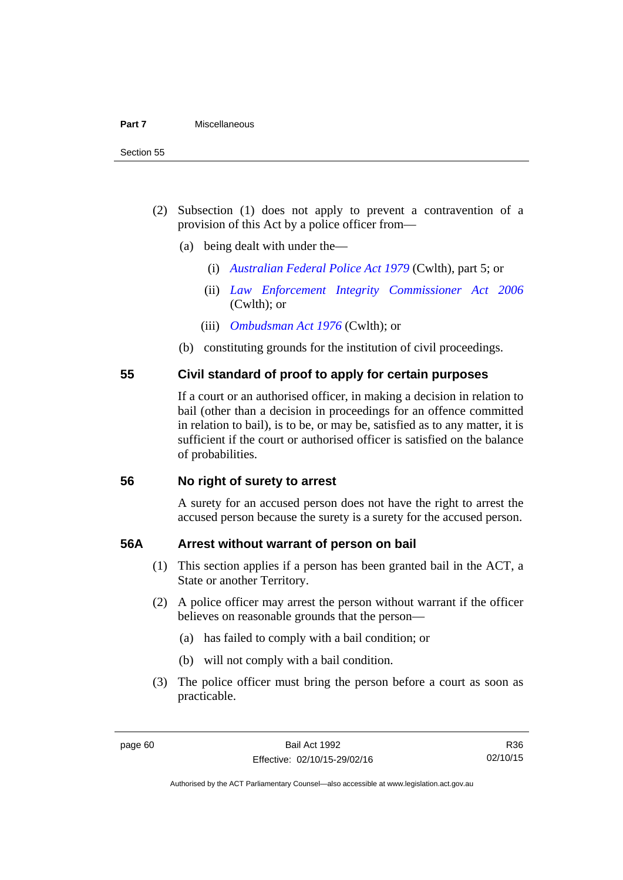- (2) Subsection (1) does not apply to prevent a contravention of a provision of this Act by a police officer from—
	- (a) being dealt with under the—
		- (i) *[Australian Federal Police Act 1979](http://www.comlaw.gov.au/Series/C2004A02068)* (Cwlth), part 5; or
		- (ii) *[Law Enforcement Integrity Commissioner Act 2006](http://www.comlaw.gov.au/Series/C2006A00085)* (Cwlth); or
		- (iii) *[Ombudsman Act 1976](http://www.comlaw.gov.au/Series/C2004A01611)* (Cwlth); or
	- (b) constituting grounds for the institution of civil proceedings.

#### **55 Civil standard of proof to apply for certain purposes**

If a court or an authorised officer, in making a decision in relation to bail (other than a decision in proceedings for an offence committed in relation to bail), is to be, or may be, satisfied as to any matter, it is sufficient if the court or authorised officer is satisfied on the balance of probabilities.

#### **56 No right of surety to arrest**

A surety for an accused person does not have the right to arrest the accused person because the surety is a surety for the accused person.

#### **56A Arrest without warrant of person on bail**

- (1) This section applies if a person has been granted bail in the ACT, a State or another Territory.
- (2) A police officer may arrest the person without warrant if the officer believes on reasonable grounds that the person—
	- (a) has failed to comply with a bail condition; or
	- (b) will not comply with a bail condition.
- (3) The police officer must bring the person before a court as soon as practicable.

Authorised by the ACT Parliamentary Counsel—also accessible at www.legislation.act.gov.au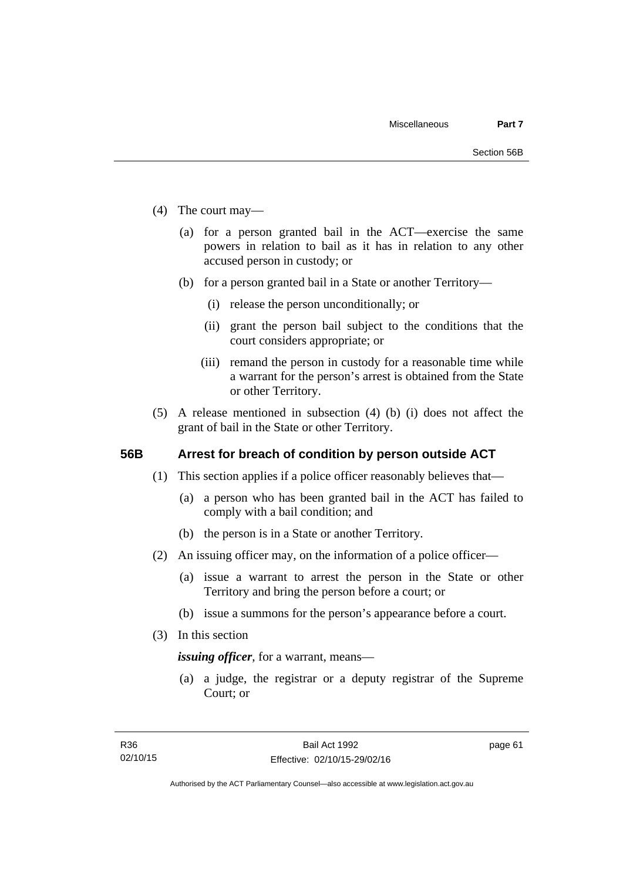- (4) The court may—
	- (a) for a person granted bail in the ACT—exercise the same powers in relation to bail as it has in relation to any other accused person in custody; or
	- (b) for a person granted bail in a State or another Territory—
		- (i) release the person unconditionally; or
		- (ii) grant the person bail subject to the conditions that the court considers appropriate; or
		- (iii) remand the person in custody for a reasonable time while a warrant for the person's arrest is obtained from the State or other Territory.
- (5) A release mentioned in subsection (4) (b) (i) does not affect the grant of bail in the State or other Territory.

#### **56B Arrest for breach of condition by person outside ACT**

- (1) This section applies if a police officer reasonably believes that—
	- (a) a person who has been granted bail in the ACT has failed to comply with a bail condition; and
	- (b) the person is in a State or another Territory.
- (2) An issuing officer may, on the information of a police officer—
	- (a) issue a warrant to arrest the person in the State or other Territory and bring the person before a court; or
	- (b) issue a summons for the person's appearance before a court.
- (3) In this section

*issuing officer*, for a warrant, means—

 (a) a judge, the registrar or a deputy registrar of the Supreme Court; or

page 61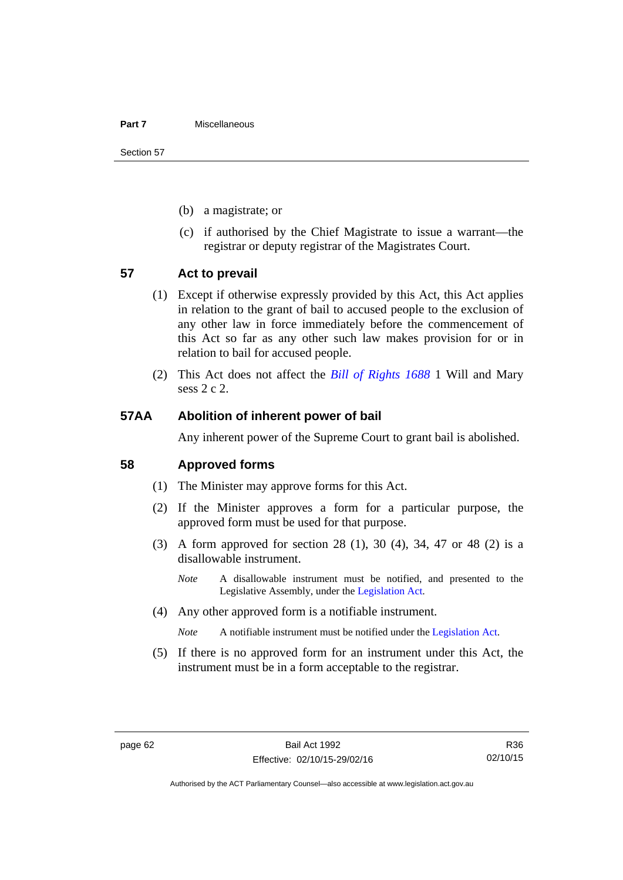#### **Part 7** Miscellaneous

Section 57

- (b) a magistrate; or
- (c) if authorised by the Chief Magistrate to issue a warrant—the registrar or deputy registrar of the Magistrates Court.

#### **57 Act to prevail**

- (1) Except if otherwise expressly provided by this Act, this Act applies in relation to the grant of bail to accused people to the exclusion of any other law in force immediately before the commencement of this Act so far as any other such law makes provision for or in relation to bail for accused people.
- (2) This Act does not affect the *[Bill of Rights 1688](http://www.legislation.act.gov.au/a/db_1792/default.asp)* 1 Will and Mary sess 2 c 2.

#### **57AA Abolition of inherent power of bail**

Any inherent power of the Supreme Court to grant bail is abolished.

#### **58 Approved forms**

- (1) The Minister may approve forms for this Act.
- (2) If the Minister approves a form for a particular purpose, the approved form must be used for that purpose.
- (3) A form approved for section 28 (1), 30 (4), 34, 47 or 48 (2) is a disallowable instrument.
	- *Note* A disallowable instrument must be notified, and presented to the Legislative Assembly, under the [Legislation Act.](http://www.legislation.act.gov.au/a/2001-14)
- (4) Any other approved form is a notifiable instrument.

*Note* A notifiable instrument must be notified under the [Legislation Act](http://www.legislation.act.gov.au/a/2001-14).

 (5) If there is no approved form for an instrument under this Act, the instrument must be in a form acceptable to the registrar.

R36 02/10/15

Authorised by the ACT Parliamentary Counsel—also accessible at www.legislation.act.gov.au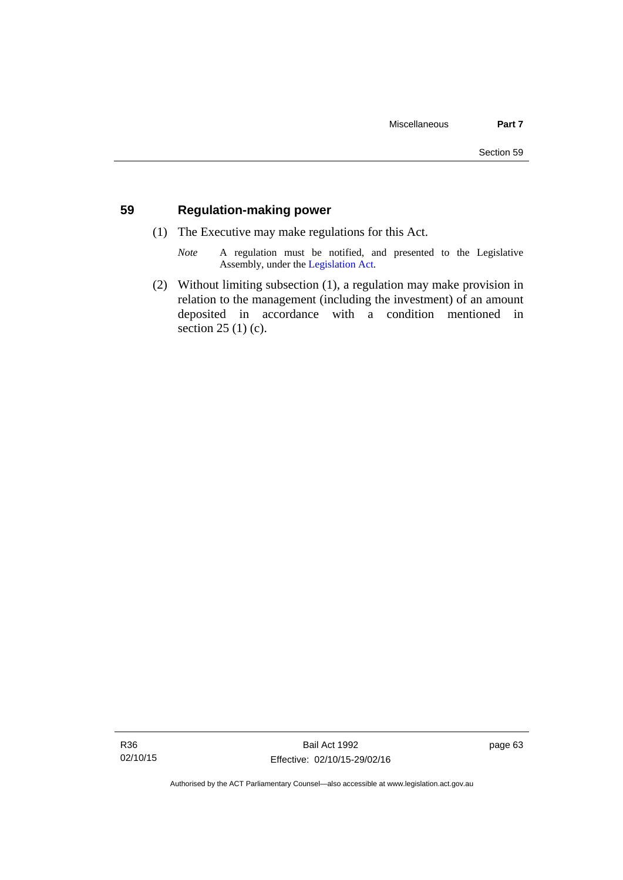### **59 Regulation-making power**

- (1) The Executive may make regulations for this Act.
	- *Note* A regulation must be notified, and presented to the Legislative Assembly, under the [Legislation Act](http://www.legislation.act.gov.au/a/2001-14).
- (2) Without limiting subsection (1), a regulation may make provision in relation to the management (including the investment) of an amount deposited in accordance with a condition mentioned in section 25 (1) (c).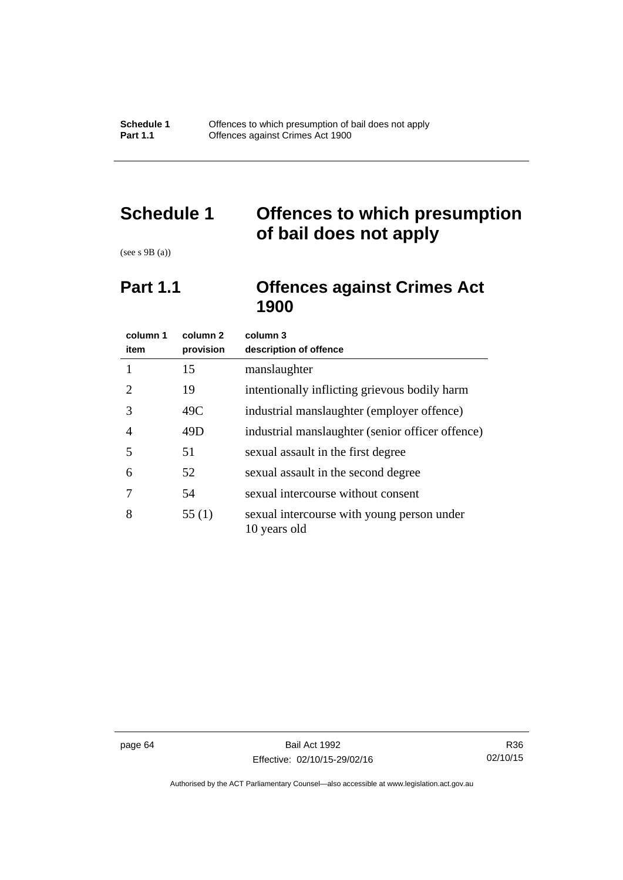# **Schedule 1 Offences to which presumption of bail does not apply**

(see s 9B (a))

## **Part 1.1 Offences against Crimes Act 1900**

| column 1<br>item      | column <sub>2</sub><br>provision | column 3<br>description of offence                         |
|-----------------------|----------------------------------|------------------------------------------------------------|
|                       | 15                               | manslaughter                                               |
| $\mathcal{D}_{\cdot}$ | 19                               | intentionally inflicting grievous bodily harm              |
| 3                     | 49C                              | industrial manslaughter (employer offence)                 |
| 4                     | 49D                              | industrial manslaughter (senior officer offence)           |
| 5                     | 51                               | sexual assault in the first degree                         |
| 6                     | 52                               | sexual assault in the second degree                        |
|                       | 54                               | sexual intercourse without consent                         |
| 8                     | 55(1)                            | sexual intercourse with young person under<br>10 years old |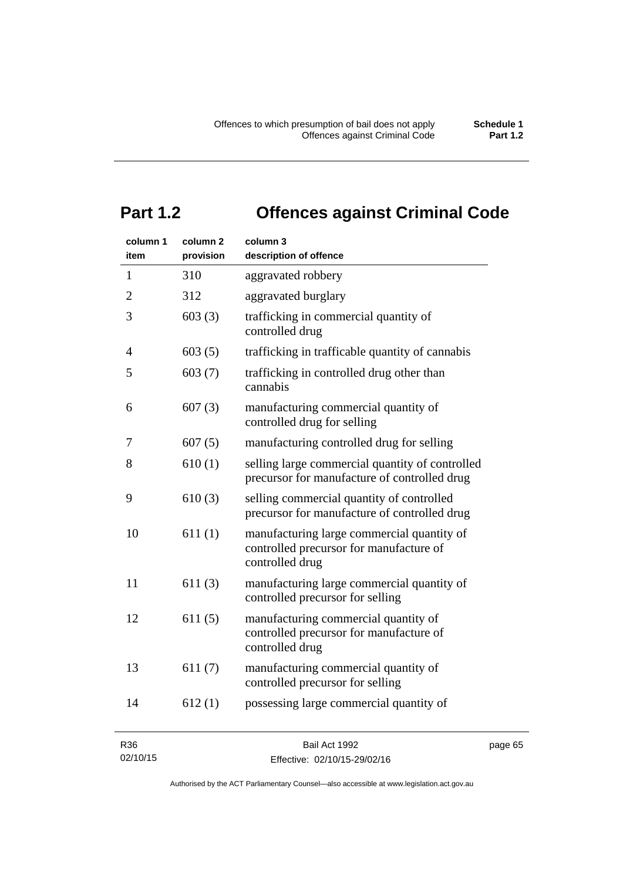# **Part 1.2 Offences against Criminal Code**

| column 1<br>item | column <sub>2</sub><br>provision | column 3<br>description of offence                                                                       |     |
|------------------|----------------------------------|----------------------------------------------------------------------------------------------------------|-----|
| 1                | 310                              | aggravated robbery                                                                                       |     |
| $\overline{2}$   | 312                              | aggravated burglary                                                                                      |     |
| 3                | 603(3)                           | trafficking in commercial quantity of<br>controlled drug                                                 |     |
| $\overline{4}$   | 603(5)                           | trafficking in trafficable quantity of cannabis                                                          |     |
| 5                | 603(7)                           | trafficking in controlled drug other than<br>cannabis                                                    |     |
| 6                | 607(3)                           | manufacturing commercial quantity of<br>controlled drug for selling                                      |     |
| 7                | 607(5)                           | manufacturing controlled drug for selling                                                                |     |
| 8                | 610(1)                           | selling large commercial quantity of controlled<br>precursor for manufacture of controlled drug          |     |
| 9                | 610(3)                           | selling commercial quantity of controlled<br>precursor for manufacture of controlled drug                |     |
| 10               | 611(1)                           | manufacturing large commercial quantity of<br>controlled precursor for manufacture of<br>controlled drug |     |
| 11               | 611(3)                           | manufacturing large commercial quantity of<br>controlled precursor for selling                           |     |
| 12               | 611(5)                           | manufacturing commercial quantity of<br>controlled precursor for manufacture of<br>controlled drug       |     |
| 13               | 611(7)                           | manufacturing commercial quantity of<br>controlled precursor for selling                                 |     |
| 14               | 612(1)                           | possessing large commercial quantity of                                                                  |     |
| R36              |                                  | Bail Act 1992                                                                                            | pag |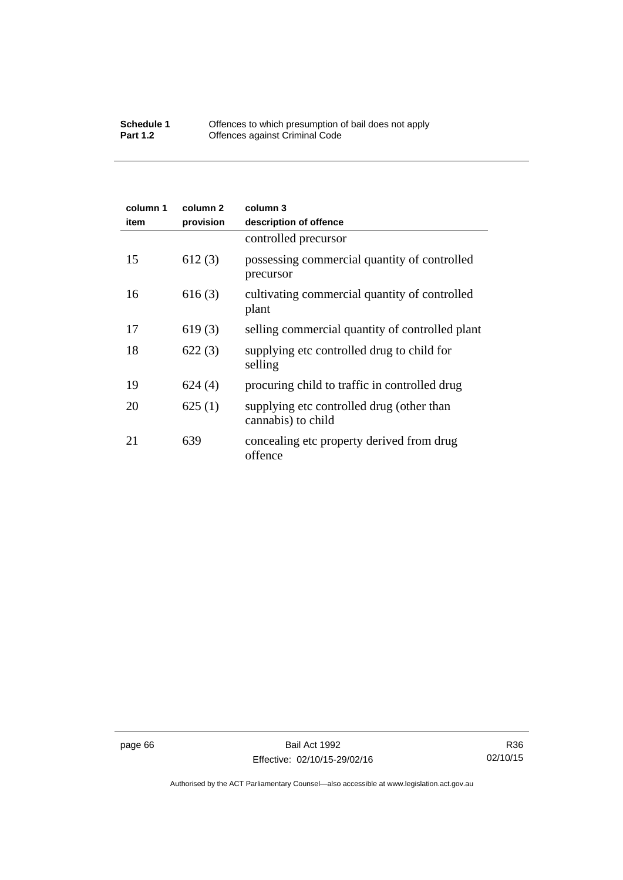## **Schedule 1** Offences to which presumption of bail does not apply **Part 1.2 C** Offences against Criminal Code

| column 1<br>item | column 2<br>provision | column 3<br>description of offence                              |
|------------------|-----------------------|-----------------------------------------------------------------|
|                  |                       | controlled precursor                                            |
| 15               | 612(3)                | possessing commercial quantity of controlled<br>precursor       |
| 16               | 616(3)                | cultivating commercial quantity of controlled<br>plant          |
| 17               | 619(3)                | selling commercial quantity of controlled plant                 |
| 18               | 622(3)                | supplying etc controlled drug to child for<br>selling           |
| 19               | 624(4)                | procuring child to traffic in controlled drug                   |
| 20               | 625(1)                | supplying etc controlled drug (other than<br>cannabis) to child |
| 21               | 639                   | concealing etc property derived from drug<br>offence            |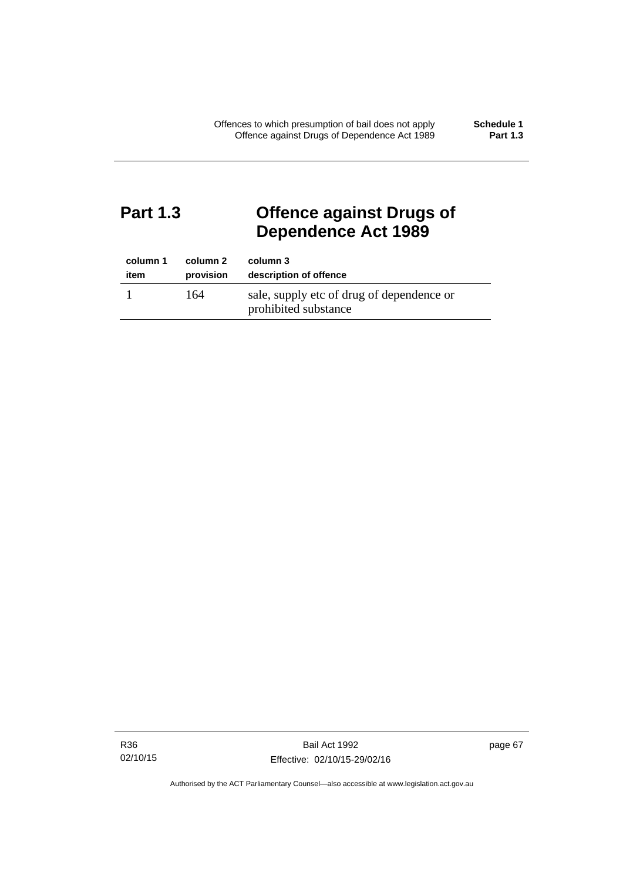# **Part 1.3 Offence against Drugs of Dependence Act 1989**

| column 1 | column 2  | column 3                                                          |
|----------|-----------|-------------------------------------------------------------------|
| item     | provision | description of offence                                            |
|          | 164       | sale, supply etc of drug of dependence or<br>prohibited substance |

R36 02/10/15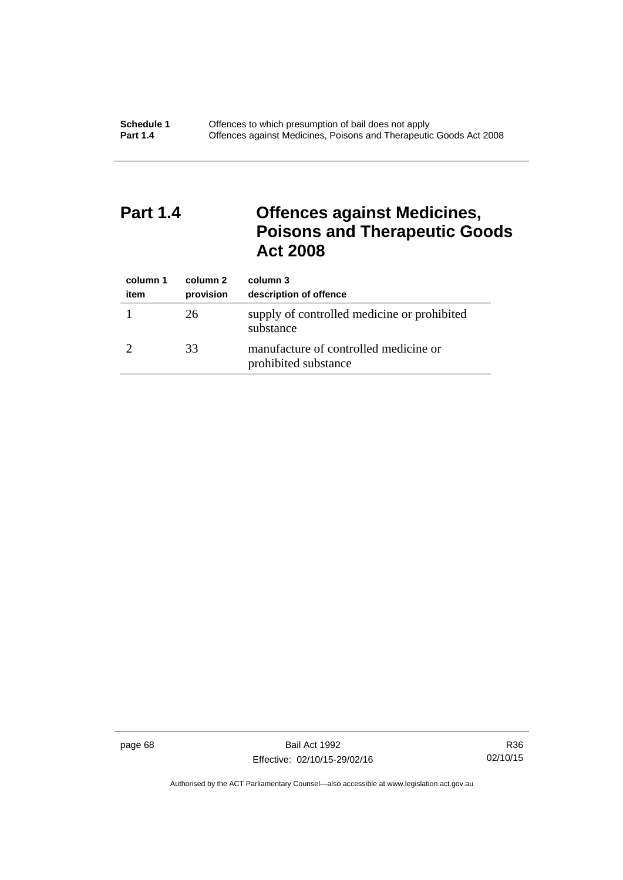# **Part 1.4 Offences against Medicines, Poisons and Therapeutic Goods Act 2008**

| column 1<br>item | column 2<br>provision | column 3<br>description of offence                            |
|------------------|-----------------------|---------------------------------------------------------------|
|                  | 26                    | supply of controlled medicine or prohibited<br>substance      |
|                  | 33                    | manufacture of controlled medicine or<br>prohibited substance |

page 68 Bail Act 1992 Effective: 02/10/15-29/02/16

R36 02/10/15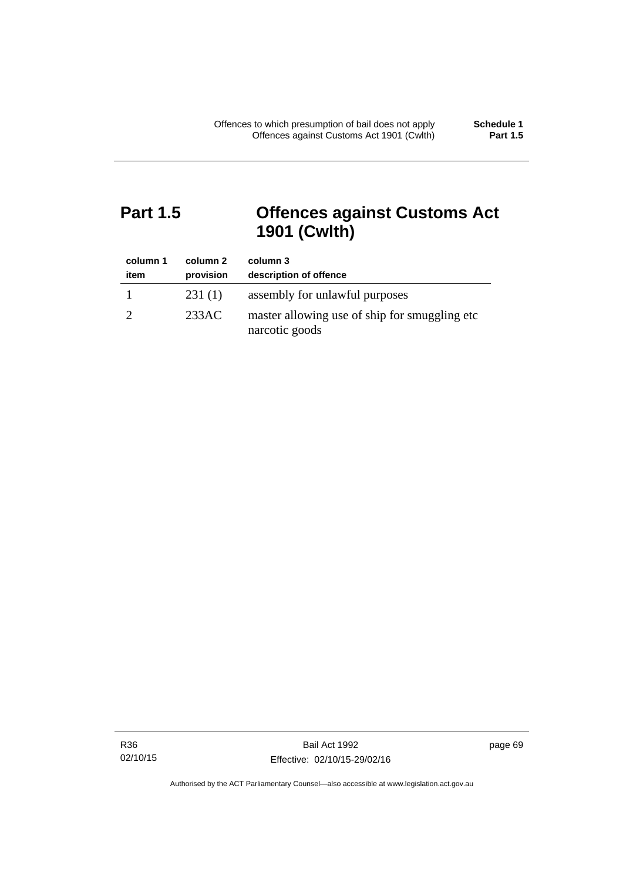# **Part 1.5 Offences against Customs Act 1901 (Cwlth)**

| column 1<br>item | column 2<br>provision | column 3<br>description of offence                               |
|------------------|-----------------------|------------------------------------------------------------------|
|                  | 231(1)                | assembly for unlawful purposes                                   |
|                  | 233AC                 | master allowing use of ship for smuggling etc.<br>narcotic goods |

R36 02/10/15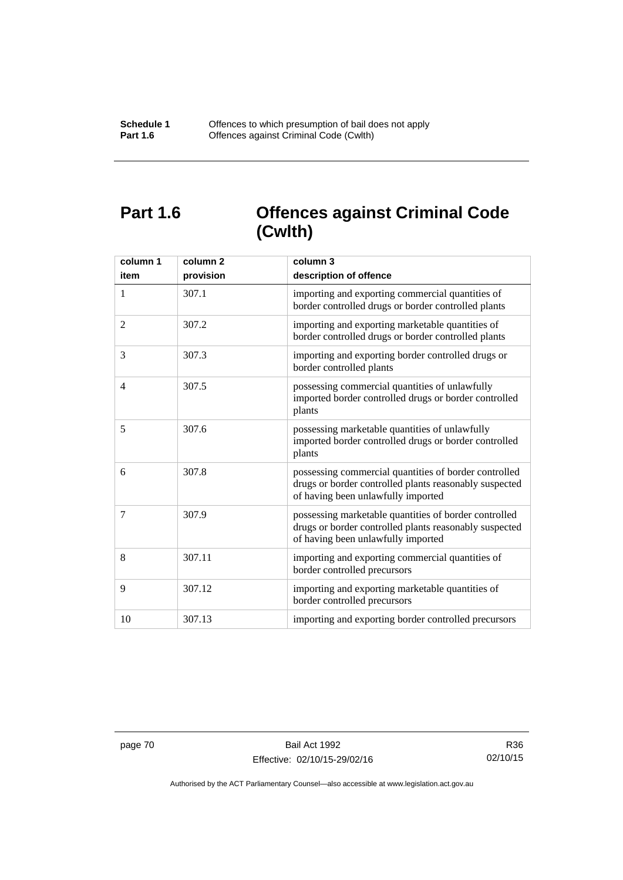# **Part 1.6 Offences against Criminal Code (Cwlth)**

| column 1<br>item | column <sub>2</sub><br>provision | column 3<br>description of offence                                                                                                                    |
|------------------|----------------------------------|-------------------------------------------------------------------------------------------------------------------------------------------------------|
| 1                | 307.1                            | importing and exporting commercial quantities of<br>border controlled drugs or border controlled plants                                               |
| 2                | 307.2                            | importing and exporting marketable quantities of<br>border controlled drugs or border controlled plants                                               |
| 3                | 307.3                            | importing and exporting border controlled drugs or<br>border controlled plants                                                                        |
| $\overline{4}$   | 307.5                            | possessing commercial quantities of unlawfully<br>imported border controlled drugs or border controlled<br>plants                                     |
| 5                | 307.6                            | possessing marketable quantities of unlawfully<br>imported border controlled drugs or border controlled<br>plants                                     |
| 6                | 307.8                            | possessing commercial quantities of border controlled<br>drugs or border controlled plants reasonably suspected<br>of having been unlawfully imported |
| 7                | 307.9                            | possessing marketable quantities of border controlled<br>drugs or border controlled plants reasonably suspected<br>of having been unlawfully imported |
| 8                | 307.11                           | importing and exporting commercial quantities of<br>border controlled precursors                                                                      |
| 9                | 307.12                           | importing and exporting marketable quantities of<br>border controlled precursors                                                                      |
| 10               | 307.13                           | importing and exporting border controlled precursors                                                                                                  |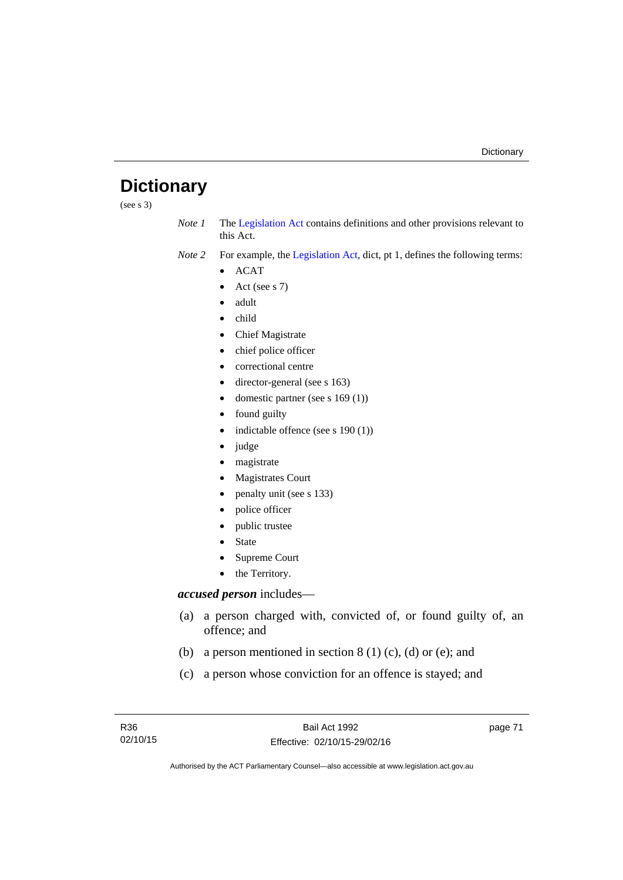# **Dictionary**

(see s 3)

*Note 1* The [Legislation Act](http://www.legislation.act.gov.au/a/2001-14) contains definitions and other provisions relevant to this Act.

*Note 2* For example, the [Legislation Act,](http://www.legislation.act.gov.au/a/2001-14) dict, pt 1, defines the following terms:

- $\bullet$  ACAT
- Act (see s 7)
- adult
- child
- Chief Magistrate
- chief police officer
- correctional centre
- director-general (see s 163)
- domestic partner (see s 169 (1))
- found guilty
- indictable offence (see s 190 (1))
- judge
- magistrate
- Magistrates Court
- penalty unit (see s 133)
- police officer
- public trustee
- State
- Supreme Court
- the Territory.

# *accused person* includes—

- (a) a person charged with, convicted of, or found guilty of, an offence; and
- (b) a person mentioned in section  $8(1)$  (c), (d) or (e); and
- (c) a person whose conviction for an offence is stayed; and

page 71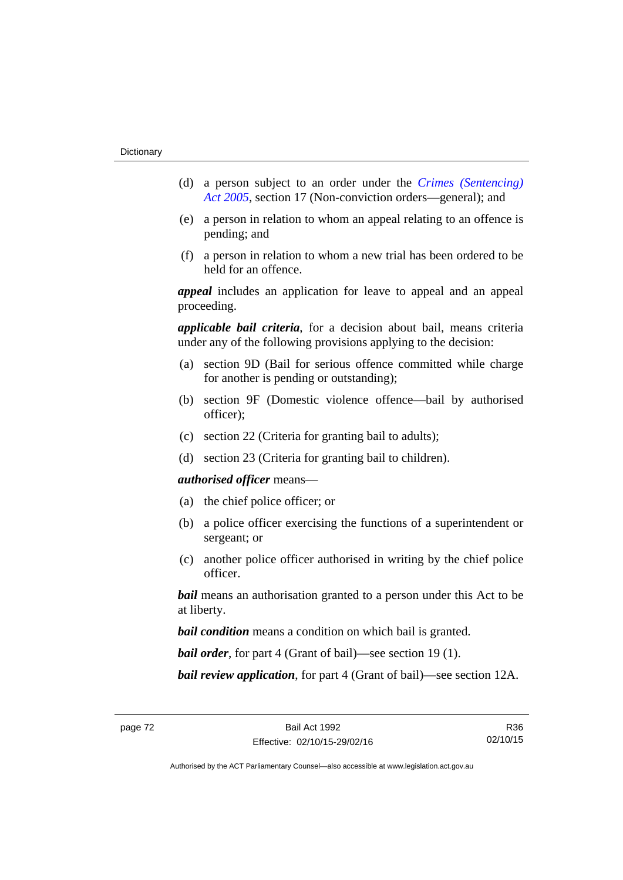- (d) a person subject to an order under the *[Crimes \(Sentencing\)](http://www.legislation.act.gov.au/a/2005-58)  [Act 2005](http://www.legislation.act.gov.au/a/2005-58)*, section 17 (Non-conviction orders—general); and
- (e) a person in relation to whom an appeal relating to an offence is pending; and
- (f) a person in relation to whom a new trial has been ordered to be held for an offence.

*appeal* includes an application for leave to appeal and an appeal proceeding.

*applicable bail criteria*, for a decision about bail, means criteria under any of the following provisions applying to the decision:

- (a) section 9D (Bail for serious offence committed while charge for another is pending or outstanding);
- (b) section 9F (Domestic violence offence—bail by authorised officer);
- (c) section 22 (Criteria for granting bail to adults);
- (d) section 23 (Criteria for granting bail to children).

### *authorised officer* means—

- (a) the chief police officer; or
- (b) a police officer exercising the functions of a superintendent or sergeant; or
- (c) another police officer authorised in writing by the chief police officer.

*bail* means an authorisation granted to a person under this Act to be at liberty.

*bail condition* means a condition on which bail is granted.

*bail order*, for part 4 (Grant of bail)—see section 19 (1).

*bail review application*, for part 4 (Grant of bail)—see section 12A.

R36 02/10/15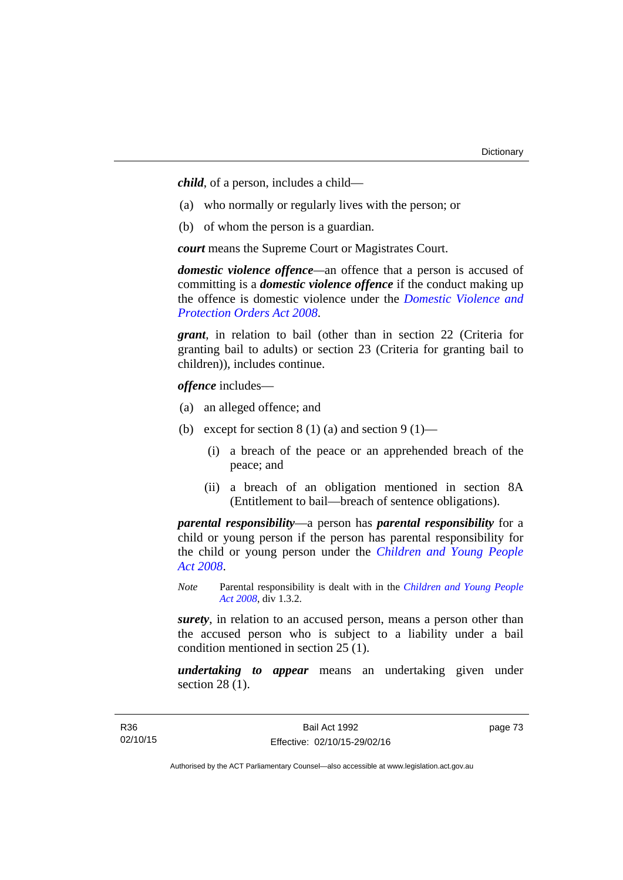*child*, of a person, includes a child—

- (a) who normally or regularly lives with the person; or
- (b) of whom the person is a guardian.

*court* means the Supreme Court or Magistrates Court.

*domestic violence offence—*an offence that a person is accused of committing is a *domestic violence offence* if the conduct making up the offence is domestic violence under the *[Domestic Violence and](http://www.legislation.act.gov.au/a/2008-46)  [Protection Orders Act 2008](http://www.legislation.act.gov.au/a/2008-46)*.

*grant*, in relation to bail (other than in section 22 (Criteria for granting bail to adults) or section 23 (Criteria for granting bail to children)), includes continue.

*offence* includes—

- (a) an alleged offence; and
- (b) except for section  $8(1)(a)$  and section  $9(1)$ 
	- (i) a breach of the peace or an apprehended breach of the peace; and
	- (ii) a breach of an obligation mentioned in section 8A (Entitlement to bail—breach of sentence obligations).

*parental responsibility*—a person has *parental responsibility* for a child or young person if the person has parental responsibility for the child or young person under the *[Children and Young People](http://www.legislation.act.gov.au/a/2008-19)  [Act 2008](http://www.legislation.act.gov.au/a/2008-19)*.

*Note* Parental responsibility is dealt with in the *[Children and Young People](http://www.legislation.act.gov.au/a/2008-19)  [Act 2008](http://www.legislation.act.gov.au/a/2008-19)*, div 1.3.2.

*surety*, in relation to an accused person, means a person other than the accused person who is subject to a liability under a bail condition mentioned in section 25 (1).

*undertaking to appear* means an undertaking given under section 28 (1).

page 73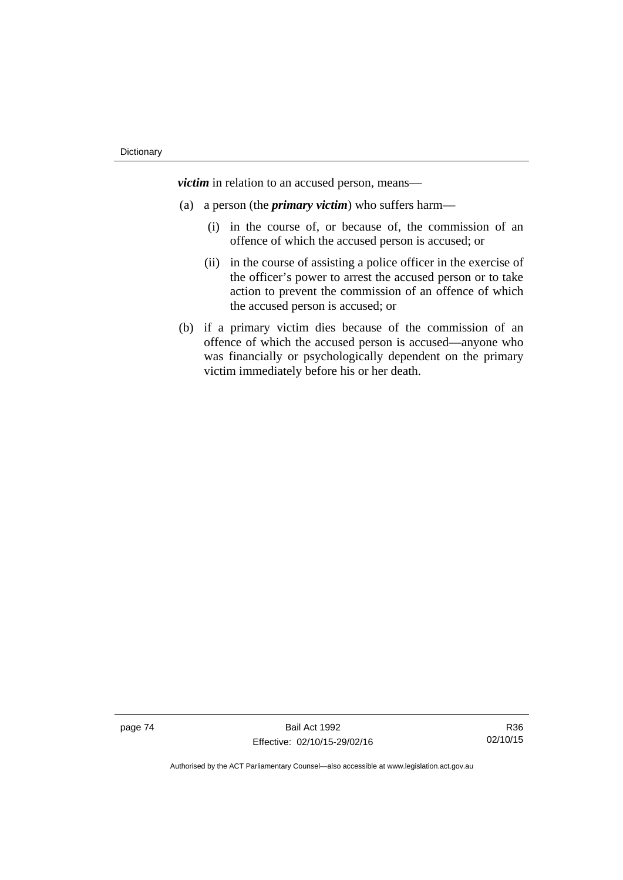*victim* in relation to an accused person, means—

- (a) a person (the *primary victim*) who suffers harm—
	- (i) in the course of, or because of, the commission of an offence of which the accused person is accused; or
	- (ii) in the course of assisting a police officer in the exercise of the officer's power to arrest the accused person or to take action to prevent the commission of an offence of which the accused person is accused; or
- (b) if a primary victim dies because of the commission of an offence of which the accused person is accused—anyone who was financially or psychologically dependent on the primary victim immediately before his or her death.

page 74 Bail Act 1992 Effective: 02/10/15-29/02/16

R36 02/10/15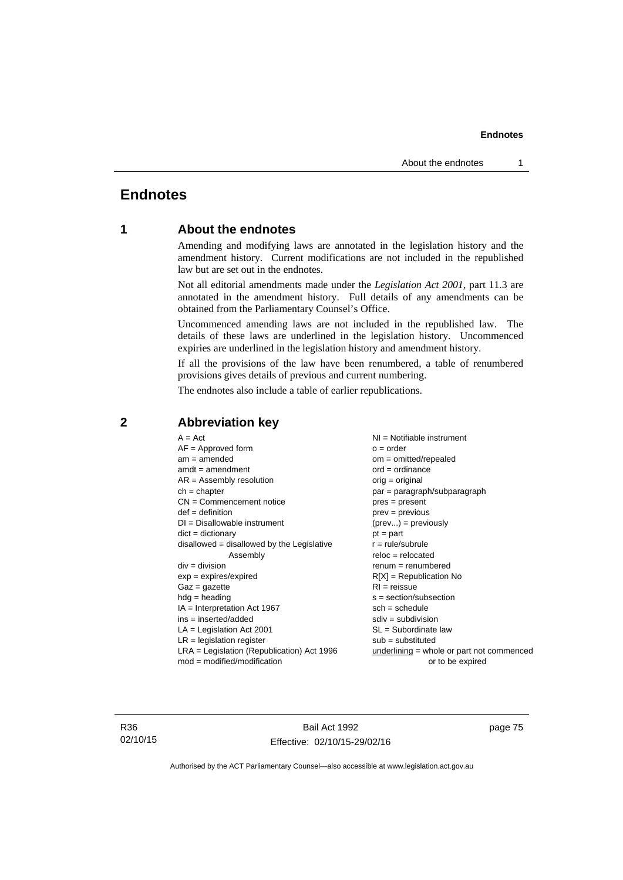# **Endnotes**

# **1 About the endnotes**

Amending and modifying laws are annotated in the legislation history and the amendment history. Current modifications are not included in the republished law but are set out in the endnotes.

Not all editorial amendments made under the *Legislation Act 2001*, part 11.3 are annotated in the amendment history. Full details of any amendments can be obtained from the Parliamentary Counsel's Office.

Uncommenced amending laws are not included in the republished law. The details of these laws are underlined in the legislation history. Uncommenced expiries are underlined in the legislation history and amendment history.

If all the provisions of the law have been renumbered, a table of renumbered provisions gives details of previous and current numbering.

The endnotes also include a table of earlier republications.

| $A = Act$                                    | $NI =$ Notifiable instrument                |
|----------------------------------------------|---------------------------------------------|
| $AF =$ Approved form                         | $o = order$                                 |
| $am = amended$                               | $om = omitted/repealed$                     |
| $amdt = amendment$                           | $ord = ordinance$                           |
| $AR = Assembly resolution$                   | $orig = original$                           |
| $ch = chapter$                               | par = paragraph/subparagraph                |
| $CN =$ Commencement notice                   | $pres = present$                            |
| $def = definition$                           | $prev = previous$                           |
| $DI = Disallowable instrument$               | $(\text{prev}) = \text{previously}$         |
| $dict = dictionary$                          | $pt = part$                                 |
| $disallowed = disallowed by the Legislative$ | $r = rule/subrule$                          |
| Assembly                                     | $reloc = relocated$                         |
| $div =$ division                             | $remum = renumbered$                        |
| $exp = expires/expired$                      | $R[X]$ = Republication No                   |
| $Gaz = gazette$                              | $RI = reissue$                              |
| $h dq =$ heading                             | $s = section/subsection$                    |
| $IA = Interpretation Act 1967$               | $sch = schedule$                            |
| ins = inserted/added                         | $sdiv = subdivision$                        |
| $LA =$ Legislation Act 2001                  | $SL = Subordinate$ law                      |
| $LR =$ legislation register                  | $sub =$ substituted                         |
| $LRA =$ Legislation (Republication) Act 1996 | $underlining = whole or part not commenced$ |
| $mod = modified/modification$                | or to be expired                            |
|                                              |                                             |

# **2 Abbreviation key**

R36 02/10/15

Bail Act 1992 Effective: 02/10/15-29/02/16 page 75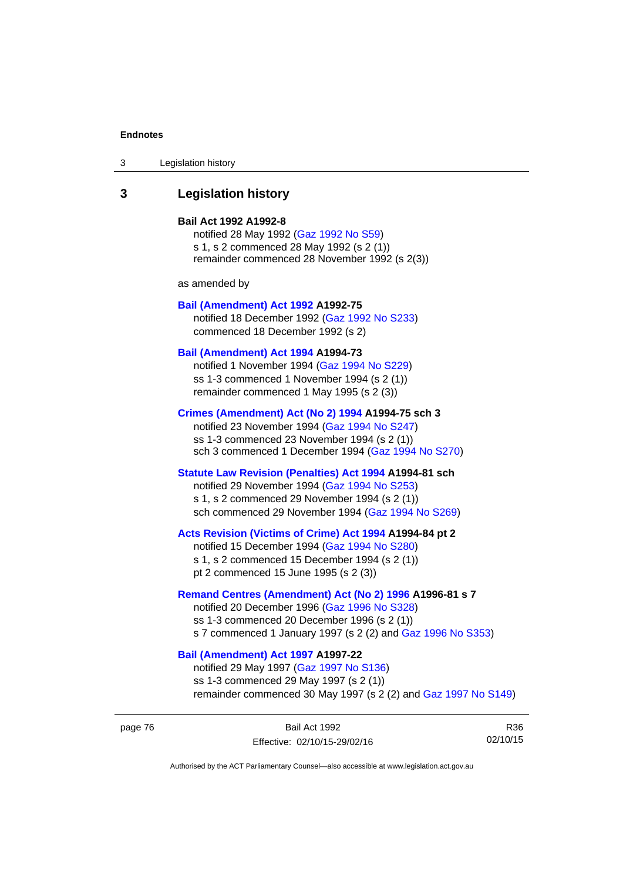| Legislation history<br>3 |  |
|--------------------------|--|
|--------------------------|--|

# **3 Legislation history**

#### **Bail Act 1992 A1992-8**

notified 28 May 1992 ([Gaz 1992 No S59](http://www.legislation.act.gov.au/gaz/1992-S59/default.asp)) s 1, s 2 commenced 28 May 1992 (s 2 (1)) remainder commenced 28 November 1992 (s 2(3))

as amended by

#### **[Bail \(Amendment\) Act 1992](http://www.legislation.act.gov.au/a/1992-75) A1992-75**

notified 18 December 1992 [\(Gaz 1992 No S233](http://www.legislation.act.gov.au/gaz/1992-S233/default.asp)) commenced 18 December 1992 (s 2)

#### **[Bail \(Amendment\) Act 1994](http://www.legislation.act.gov.au/a/1994-73) A1994-73**

notified 1 November 1994 ([Gaz 1994 No S229\)](http://www.legislation.act.gov.au/gaz/1994-S229/default.asp) ss 1-3 commenced 1 November 1994 (s 2 (1)) remainder commenced 1 May 1995 (s 2 (3))

#### **[Crimes \(Amendment\) Act \(No 2\) 1994](http://www.legislation.act.gov.au/a/1994-75) A1994-75 sch 3**

notified 23 November 1994 [\(Gaz 1994 No S247](http://www.legislation.act.gov.au/gaz/1994-S247/default.asp)) ss 1-3 commenced 23 November 1994 (s 2 (1)) sch 3 commenced 1 December 1994 ([Gaz 1994 No S270\)](http://www.legislation.act.gov.au/gaz/1994-S270/default.asp)

# **[Statute Law Revision \(Penalties\) Act 1994](http://www.legislation.act.gov.au/a/1994-81) A1994-81 sch**

notified 29 November 1994 [\(Gaz 1994 No S253](http://www.legislation.act.gov.au/gaz/1994-S253/default.asp)) s 1, s 2 commenced 29 November 1994 (s 2 (1)) sch commenced 29 November 1994 ([Gaz 1994 No S269\)](http://www.legislation.act.gov.au/gaz/1994-S269/default.asp)

## **[Acts Revision \(Victims of Crime\) Act 1994](http://www.legislation.act.gov.au/a/1994-84) A1994-84 pt 2**

notified 15 December 1994 [\(Gaz 1994 No S280](http://www.legislation.act.gov.au/gaz/1994-S280/default.asp)) s 1, s 2 commenced 15 December 1994 (s 2 (1)) pt 2 commenced 15 June 1995 (s 2 (3))

#### **[Remand Centres \(Amendment\) Act \(No 2\) 1996](http://www.legislation.act.gov.au/a/1996-81) A1996-81 s 7**

notified 20 December 1996 [\(Gaz 1996 No S328](http://www.legislation.act.gov.au/gaz/1996-S328/default.asp)) ss 1-3 commenced 20 December 1996 (s 2 (1)) s 7 commenced 1 January 1997 (s 2 (2) and [Gaz 1996 No S353](http://www.legislation.act.gov.au/gaz/1996-S353/default.asp))

# **[Bail \(Amendment\) Act 1997](http://www.legislation.act.gov.au/a/1997-22) A1997-22**

notified 29 May 1997 ([Gaz 1997 No S136](http://www.legislation.act.gov.au/gaz/1997-S136/default.asp)) ss 1-3 commenced 29 May 1997 (s 2 (1)) remainder commenced 30 May 1997 (s 2 (2) and [Gaz 1997 No S149\)](http://www.legislation.act.gov.au/gaz/1997-S149/default.asp)

page 76 Bail Act 1992 Effective: 02/10/15-29/02/16

R36 02/10/15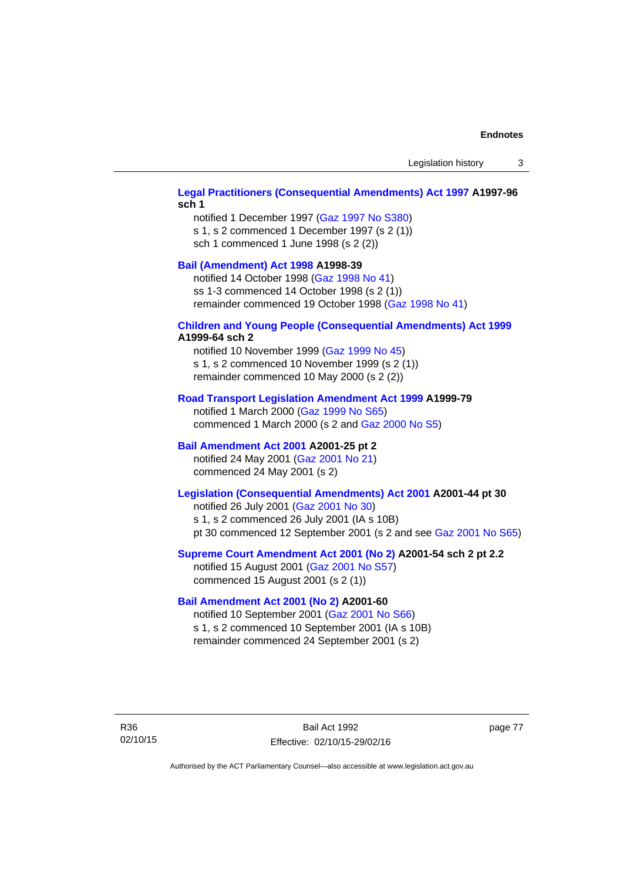## **[Legal Practitioners \(Consequential Amendments\) Act 1997](http://www.legislation.act.gov.au/a/1997-96) A1997-96 sch 1**

notified 1 December 1997 ([Gaz 1997 No S380\)](http://www.legislation.act.gov.au/gaz/1997-S380/default.asp) s 1, s 2 commenced 1 December 1997 (s 2 (1)) sch 1 commenced 1 June 1998 (s 2 (2))

# **[Bail \(Amendment\) Act 1998](http://www.legislation.act.gov.au/a/1998-39) A1998-39**

notified 14 October 1998 ([Gaz 1998 No 41](http://www.legislation.act.gov.au/gaz/1998-41/default.asp)) ss 1-3 commenced 14 October 1998 (s 2 (1)) remainder commenced 19 October 1998 ([Gaz 1998 No 41\)](http://www.legislation.act.gov.au/gaz/1998-41/default.asp)

### **[Children and Young People \(Consequential Amendments\) Act 1999](http://www.legislation.act.gov.au/a/1999-64) A1999-64 sch 2**

notified 10 November 1999 [\(Gaz 1999 No 45](http://www.legislation.act.gov.au/gaz/1999-45/default.asp)) s 1, s 2 commenced 10 November 1999 (s 2 (1)) remainder commenced 10 May 2000 (s 2 (2))

#### **[Road Transport Legislation Amendment Act 1999](http://www.legislation.act.gov.au/a/1999-79) A1999-79**

notified 1 March 2000 [\(Gaz 1999 No S65\)](http://www.legislation.act.gov.au/gaz/1999-S65/default.asp) commenced 1 March 2000 (s 2 and [Gaz 2000 No S5](http://www.legislation.act.gov.au/gaz/2000-S5/default.asp))

## **[Bail Amendment Act 2001](http://www.legislation.act.gov.au/a/2001-25) A2001-25 pt 2**

notified 24 May 2001 ([Gaz 2001 No 21\)](http://www.legislation.act.gov.au/gaz/2001-21/default.asp) commenced 24 May 2001 (s 2)

# **[Legislation \(Consequential Amendments\) Act 2001](http://www.legislation.act.gov.au/a/2001-44) A2001-44 pt 30**

notified 26 July 2001 ([Gaz 2001 No 30\)](http://www.legislation.act.gov.au/gaz/2001-30/default.asp) s 1, s 2 commenced 26 July 2001 (IA s 10B) pt 30 commenced 12 September 2001 (s 2 and see [Gaz 2001 No S65](http://www.legislation.act.gov.au/gaz/2001-S65/default.asp))

### **[Supreme Court Amendment Act 2001 \(No 2\)](http://www.legislation.act.gov.au/a/2001-54) A2001-54 sch 2 pt 2.2**

notified 15 August 2001 [\(Gaz 2001 No S57\)](http://www.legislation.act.gov.au/gaz/2001-S57/default.asp) commenced 15 August 2001 (s 2 (1))

## **[Bail Amendment Act 2001 \(No 2\)](http://www.legislation.act.gov.au/a/2001-60) A2001-60**

notified 10 September 2001 [\(Gaz 2001 No S66\)](http://www.legislation.act.gov.au/gaz/2001-S66/default.asp) s 1, s 2 commenced 10 September 2001 (IA s 10B) remainder commenced 24 September 2001 (s 2)

R36 02/10/15

Bail Act 1992 Effective: 02/10/15-29/02/16 page 77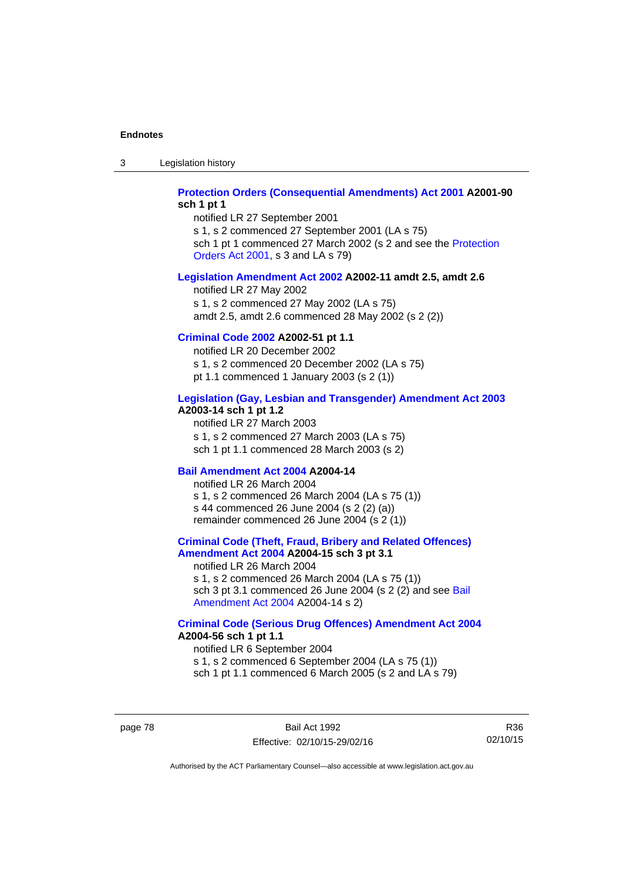3 Legislation history

## **[Protection Orders \(Consequential Amendments\) Act 2001](http://www.legislation.act.gov.au/a/2001-90) A2001-90 sch 1 pt 1**

notified LR 27 September 2001

s 1, s 2 commenced 27 September 2001 (LA s 75) sch 1 pt 1 commenced 27 March 2002 (s 2 and see the [Protection](http://www.legislation.act.gov.au/a/2001-89)  [Orders Act 2001,](http://www.legislation.act.gov.au/a/2001-89) s 3 and LA s 79)

## **[Legislation Amendment Act 2002](http://www.legislation.act.gov.au/a/2002-11) A2002-11 amdt 2.5, amdt 2.6**

notified LR 27 May 2002 s 1, s 2 commenced 27 May 2002 (LA s 75) amdt 2.5, amdt 2.6 commenced 28 May 2002 (s 2 (2))

## **[Criminal Code 2002](http://www.legislation.act.gov.au/a/2002-51) A2002-51 pt 1.1**

notified LR 20 December 2002 s 1, s 2 commenced 20 December 2002 (LA s 75) pt 1.1 commenced 1 January 2003 (s 2 (1))

#### **[Legislation \(Gay, Lesbian and Transgender\) Amendment Act 2003](http://www.legislation.act.gov.au/a/2003-14) A2003-14 sch 1 pt 1.2**

notified LR 27 March 2003 s 1, s 2 commenced 27 March 2003 (LA s 75) sch 1 pt 1.1 commenced 28 March 2003 (s 2)

## **[Bail Amendment Act 2004](http://www.legislation.act.gov.au/a/2004-14) A2004-14**

notified LR 26 March 2004 s 1, s 2 commenced 26 March 2004 (LA s 75 (1)) s 44 commenced 26 June 2004 (s 2 (2) (a)) remainder commenced 26 June 2004 (s 2 (1))

## **[Criminal Code \(Theft, Fraud, Bribery and Related Offences\)](http://www.legislation.act.gov.au/a/2004-15)  [Amendment Act 2004](http://www.legislation.act.gov.au/a/2004-15) A2004-15 sch 3 pt 3.1**

notified LR 26 March 2004 s 1, s 2 commenced 26 March 2004 (LA s 75 (1)) sch 3 pt 3.1 commenced 26 June 2004 (s 2 (2) and see Bail [Amendment Act 2004](http://www.legislation.act.gov.au/a/2004-14) A2004-14 s 2)

#### **[Criminal Code \(Serious Drug Offences\) Amendment Act 2004](http://www.legislation.act.gov.au/a/2004-56) A2004-56 sch 1 pt 1.1**

notified LR 6 September 2004 s 1, s 2 commenced 6 September 2004 (LA s 75 (1)) sch 1 pt 1.1 commenced 6 March 2005 (s 2 and LA s 79)

page 78 Bail Act 1992 Effective: 02/10/15-29/02/16

R36 02/10/15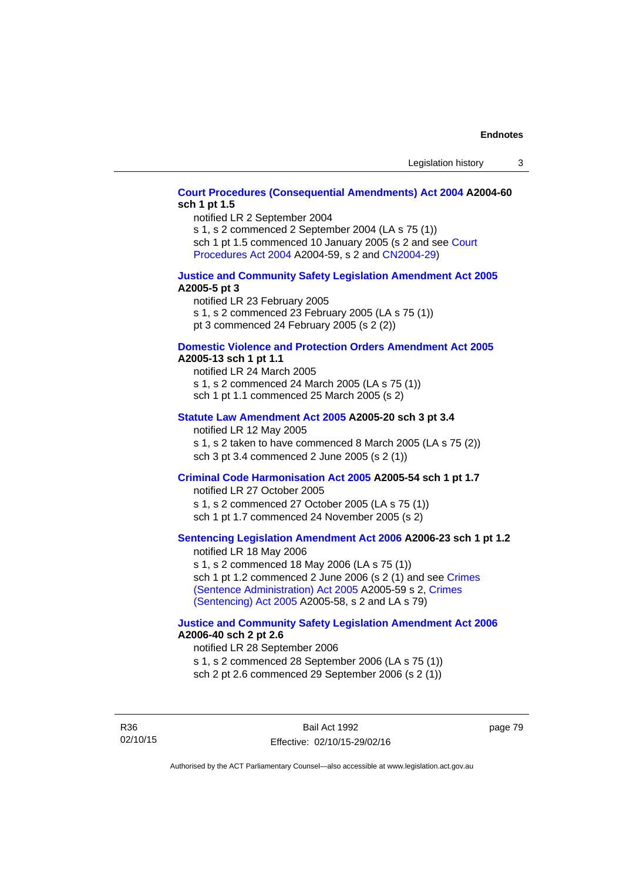## **[Court Procedures \(Consequential Amendments\) Act 2004](http://www.legislation.act.gov.au/a/2004-60) A2004-60 sch 1 pt 1.5**

notified LR 2 September 2004

s 1, s 2 commenced 2 September 2004 (LA s 75 (1)) sch 1 pt 1.5 commenced 10 January 2005 (s 2 and see [Court](http://www.legislation.act.gov.au/a/2004-59) 

[Procedures Act 2004](http://www.legislation.act.gov.au/a/2004-59) A2004-59, s 2 and [CN2004-29\)](http://www.legislation.act.gov.au/cn/2004-29/default.asp)

## **[Justice and Community Safety Legislation Amendment Act 2005](http://www.legislation.act.gov.au/a/2005-5) A2005-5 pt 3**

notified LR 23 February 2005 s 1, s 2 commenced 23 February 2005 (LA s 75 (1)) pt 3 commenced 24 February 2005 (s 2 (2))

### **[Domestic Violence and Protection Orders Amendment Act 2005](http://www.legislation.act.gov.au/a/2005-13) A2005-13 sch 1 pt 1.1**

notified LR 24 March 2005 s 1, s 2 commenced 24 March 2005 (LA s 75 (1)) sch 1 pt 1.1 commenced 25 March 2005 (s 2)

#### **[Statute Law Amendment Act 2005](http://www.legislation.act.gov.au/a/2005-20) A2005-20 sch 3 pt 3.4**

notified LR 12 May 2005 s 1, s 2 taken to have commenced 8 March 2005 (LA s 75 (2)) sch 3 pt 3.4 commenced 2 June 2005 (s 2 (1))

# **[Criminal Code Harmonisation Act 2005](http://www.legislation.act.gov.au/a/2005-54) A2005-54 sch 1 pt 1.7**

notified LR 27 October 2005 s 1, s 2 commenced 27 October 2005 (LA s 75 (1)) sch 1 pt 1.7 commenced 24 November 2005 (s 2)

# **[Sentencing Legislation Amendment Act 2006](http://www.legislation.act.gov.au/a/2006-23) A2006-23 sch 1 pt 1.2**

notified LR 18 May 2006 s 1, s 2 commenced 18 May 2006 (LA s 75 (1)) sch 1 pt 1.2 commenced 2 June 2006 (s 2 (1) and see [Crimes](http://www.legislation.act.gov.au/a/2005-59)  [\(Sentence Administration\) Act 2005](http://www.legislation.act.gov.au/a/2005-59) A2005-59 s 2, [Crimes](http://www.legislation.act.gov.au/a/2005-58)  [\(Sentencing\) Act 2005](http://www.legislation.act.gov.au/a/2005-58) A2005-58, s 2 and LA s 79)

#### **[Justice and Community Safety Legislation Amendment Act 2006](http://www.legislation.act.gov.au/a/2006-40) A2006-40 sch 2 pt 2.6**

notified LR 28 September 2006 s 1, s 2 commenced 28 September 2006 (LA s 75 (1)) sch 2 pt 2.6 commenced 29 September 2006 (s 2 (1))

R36 02/10/15 page 79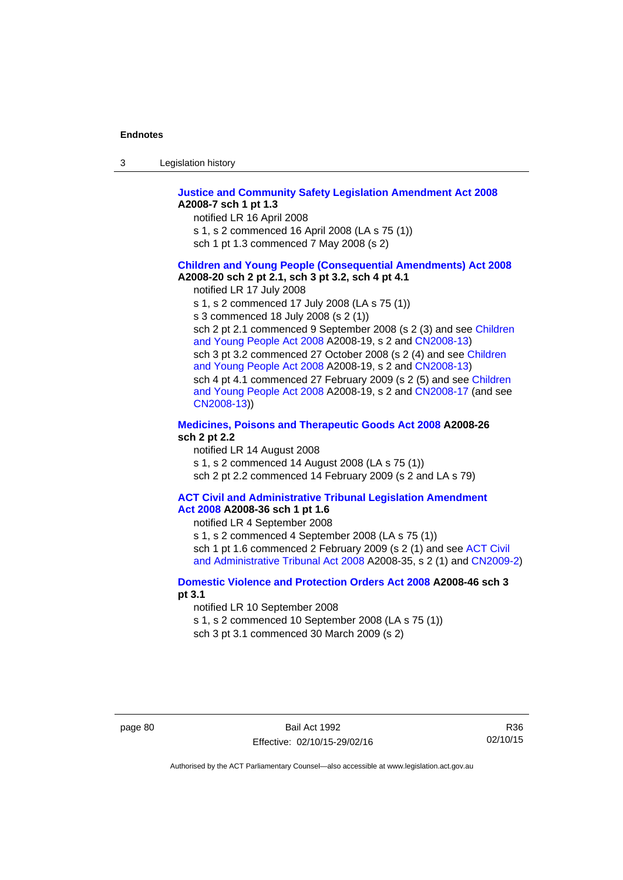| -3 | Legislation history |  |
|----|---------------------|--|
|----|---------------------|--|

#### **[Justice and Community Safety Legislation Amendment Act 2008](http://www.legislation.act.gov.au/a/2008-7) A2008-7 sch 1 pt 1.3**

notified LR 16 April 2008

- s 1, s 2 commenced 16 April 2008 (LA s 75 (1))
- sch 1 pt 1.3 commenced 7 May 2008 (s 2)

## **[Children and Young People \(Consequential Amendments\) Act 2008](http://www.legislation.act.gov.au/a/2008-20) A2008-20 sch 2 pt 2.1, sch 3 pt 3.2, sch 4 pt 4.1**

notified LR 17 July 2008

s 1, s 2 commenced 17 July 2008 (LA s 75 (1))

s 3 commenced 18 July 2008 (s 2 (1))

sch 2 pt 2.1 commenced 9 September 2008 (s 2 (3) and see [Children](http://www.legislation.act.gov.au/a/2008-19)  [and Young People Act 2008](http://www.legislation.act.gov.au/a/2008-19) A2008-19, s 2 and [CN2008-13](http://www.legislation.act.gov.au/cn/2008-13/default.asp)) sch 3 pt 3.2 commenced 27 October 2008 (s 2 (4) and see [Children](http://www.legislation.act.gov.au/a/2008-19)  [and Young People Act 2008](http://www.legislation.act.gov.au/a/2008-19) A2008-19, s 2 and [CN2008-13](http://www.legislation.act.gov.au/cn/2008-13/default.asp)) sch 4 pt 4.1 commenced 27 February 2009 (s 2 (5) and see [Children](http://www.legislation.act.gov.au/a/2008-19)  [and Young People Act 2008](http://www.legislation.act.gov.au/a/2008-19) A2008-19, s 2 and [CN2008-17 \(](http://www.legislation.act.gov.au/cn/2008-17/default.asp)and see [CN2008-13](http://www.legislation.act.gov.au/cn/2008-13/default.asp)))

### **[Medicines, Poisons and Therapeutic Goods Act 2008](http://www.legislation.act.gov.au/a/2008-26) A2008-26 sch 2 pt 2.2**

notified LR 14 August 2008 s 1, s 2 commenced 14 August 2008 (LA s 75 (1)) sch 2 pt 2.2 commenced 14 February 2009 (s 2 and LA s 79)

#### **[ACT Civil and Administrative Tribunal Legislation Amendment](http://www.legislation.act.gov.au/a/2008-36)  [Act 2008](http://www.legislation.act.gov.au/a/2008-36) A2008-36 sch 1 pt 1.6**

notified LR 4 September 2008

s 1, s 2 commenced 4 September 2008 (LA s 75 (1)) sch 1 pt 1.6 commenced 2 February 2009 (s 2 (1) and see [ACT Civil](http://www.legislation.act.gov.au/a/2008-35)  [and Administrative Tribunal Act 2008](http://www.legislation.act.gov.au/a/2008-35) A2008-35, s 2 (1) and [CN2009-2](http://www.legislation.act.gov.au/cn/2009-2/default.asp))

## **[Domestic Violence and Protection Orders Act 2008](http://www.legislation.act.gov.au/a/2008-46) A2008-46 sch 3 pt 3.1**

notified LR 10 September 2008

s 1, s 2 commenced 10 September 2008 (LA s 75 (1))

sch 3 pt 3.1 commenced 30 March 2009 (s 2)

R36 02/10/15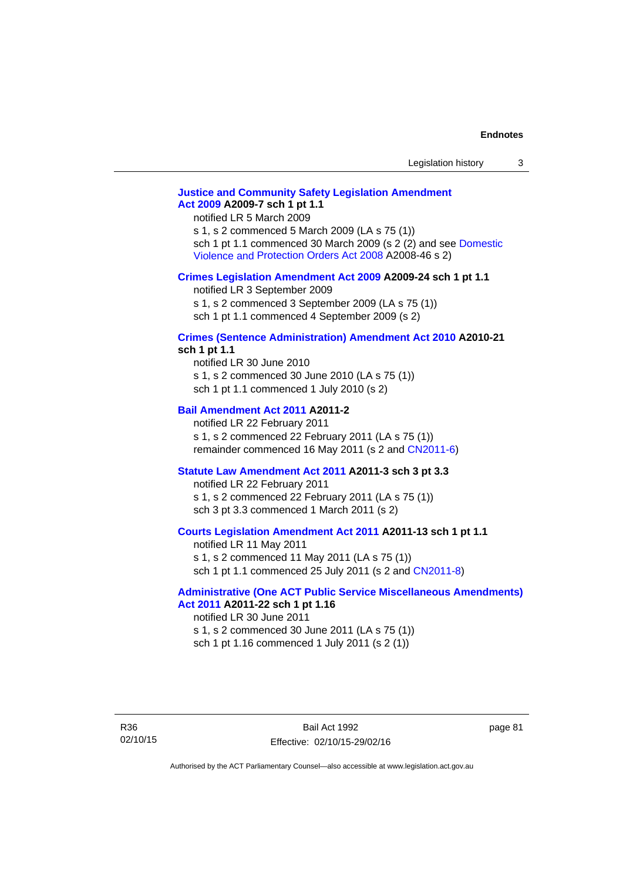# **[Justice and Community Safety Legislation Amendment](http://www.legislation.act.gov.au/a/2009-7)  [Act 2009](http://www.legislation.act.gov.au/a/2009-7) A2009-7 sch 1 pt 1.1**

notified LR 5 March 2009

s 1, s 2 commenced 5 March 2009 (LA s 75 (1)) sch 1 pt 1.1 commenced 30 March 2009 (s 2 (2) and see [Domestic](http://www.legislation.act.gov.au/a/2008-46)  [Violence and Protection Orders Act 2008](http://www.legislation.act.gov.au/a/2008-46) A2008-46 s 2)

#### **[Crimes Legislation Amendment Act 2009](http://www.legislation.act.gov.au/a/2009-24) A2009-24 sch 1 pt 1.1**

notified LR 3 September 2009 s 1, s 2 commenced 3 September 2009 (LA s 75 (1)) sch 1 pt 1.1 commenced 4 September 2009 (s 2)

# **[Crimes \(Sentence Administration\) Amendment Act 2010](http://www.legislation.act.gov.au/a/2010-21) A2010-21**

**sch 1 pt 1.1** 

notified LR 30 June 2010 s 1, s 2 commenced 30 June 2010 (LA s 75 (1)) sch 1 pt 1.1 commenced 1 July 2010 (s 2)

### **[Bail Amendment Act 2011](http://www.legislation.act.gov.au/a/2011-2) A2011-2**

notified LR 22 February 2011 s 1, s 2 commenced 22 February 2011 (LA s 75 (1)) remainder commenced 16 May 2011 (s 2 and [CN2011-6](http://www.legislation.act.gov.au/cn/2011-6/default.asp))

#### **[Statute Law Amendment Act 2011](http://www.legislation.act.gov.au/a/2011-3) A2011-3 sch 3 pt 3.3**

notified LR 22 February 2011 s 1, s 2 commenced 22 February 2011 (LA s 75 (1)) sch 3 pt 3.3 commenced 1 March 2011 (s 2)

## **[Courts Legislation Amendment Act 2011](http://www.legislation.act.gov.au/a/2011-13) A2011-13 sch 1 pt 1.1**

notified LR 11 May 2011 s 1, s 2 commenced 11 May 2011 (LA s 75 (1)) sch 1 pt 1.1 commenced 25 July 2011 (s 2 and [CN2011-8\)](http://www.legislation.act.gov.au/cn/2011-8/default.asp)

#### **[Administrative \(One ACT Public Service Miscellaneous Amendments\)](http://www.legislation.act.gov.au/a/2011-22)  [Act 2011](http://www.legislation.act.gov.au/a/2011-22) A2011-22 sch 1 pt 1.16**

notified LR 30 June 2011 s 1, s 2 commenced 30 June 2011 (LA s 75 (1)) sch 1 pt 1.16 commenced 1 July 2011 (s 2 (1))

R36 02/10/15

Bail Act 1992 Effective: 02/10/15-29/02/16 page 81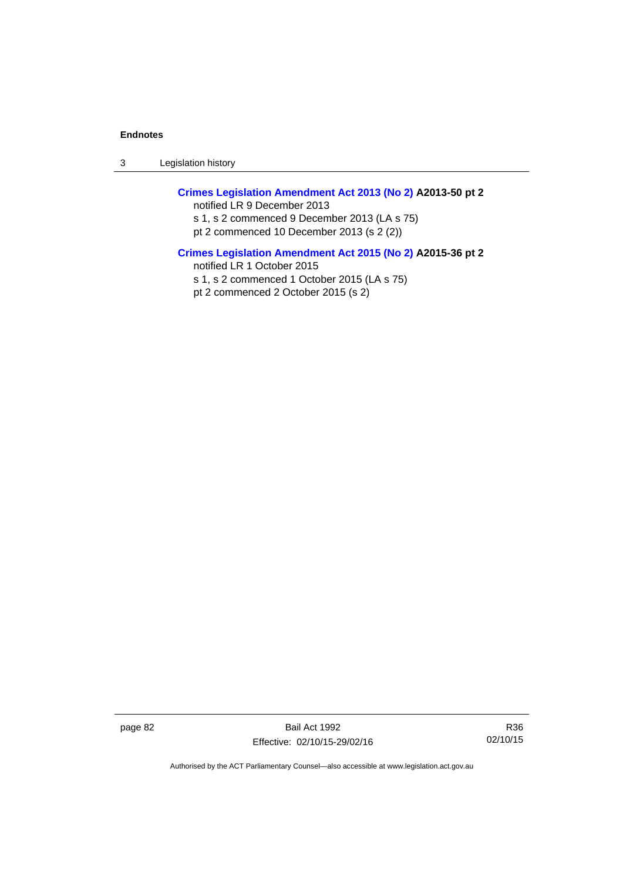3 Legislation history

# **[Crimes Legislation Amendment Act 2013 \(No 2\)](http://www.legislation.act.gov.au/a/2013-50) A2013-50 pt 2**  notified LR 9 December 2013

s 1, s 2 commenced 9 December 2013 (LA s 75) pt 2 commenced 10 December 2013 (s 2 (2))

## **[Crimes Legislation Amendment Act 2015 \(No 2\)](http://www.legislation.act.gov.au/a/2015-36) A2015-36 pt 2**

notified LR 1 October 2015

s 1, s 2 commenced 1 October 2015 (LA s 75)

pt 2 commenced 2 October 2015 (s 2)

page 82 Bail Act 1992 Effective: 02/10/15-29/02/16

R36 02/10/15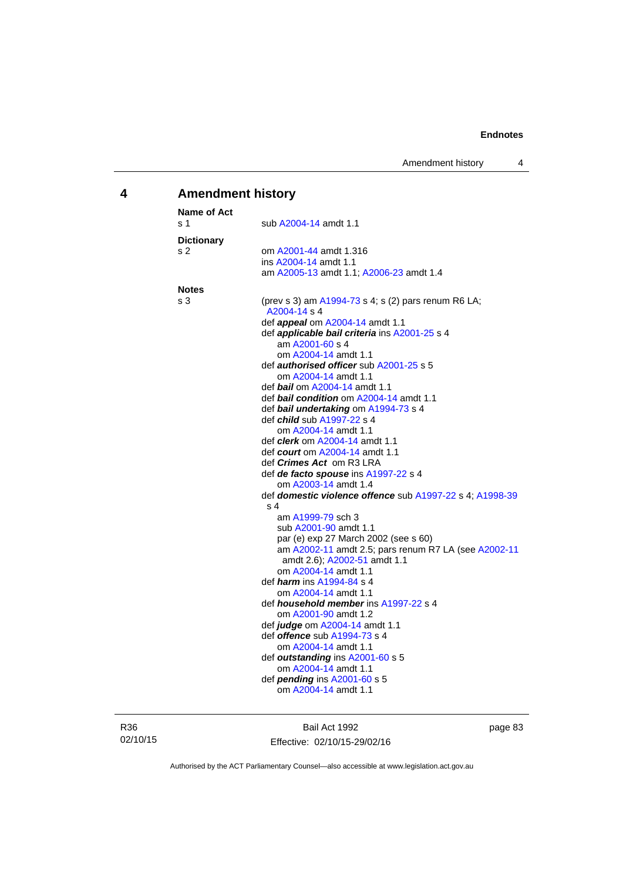# **4 Amendment history**

| <b>Name of Act</b> |                                                                     |
|--------------------|---------------------------------------------------------------------|
| s 1                | sub A2004-14 amdt 1.1                                               |
| <b>Dictionary</b>  |                                                                     |
| s 2                | om A2001-44 amdt 1.316                                              |
|                    | ins A2004-14 amdt 1.1                                               |
|                    | am A2005-13 amdt 1.1; A2006-23 amdt 1.4                             |
| <b>Notes</b>       |                                                                     |
| s 3                | (prev s 3) am A1994-73 s 4; s (2) pars renum R6 LA;<br>A2004-14 s 4 |
|                    | def <i>appeal</i> om A2004-14 amdt 1.1                              |
|                    | def <i>applicable bail criteria</i> ins A2001-25 s 4                |
|                    | am A2001-60 s 4                                                     |
|                    | om A2004-14 amdt 1.1                                                |
|                    | def <b>authorised officer</b> sub A2001-25 s 5                      |
|                    | om A2004-14 amdt 1.1                                                |
|                    | def bail om A2004-14 amdt 1.1                                       |
|                    | def bail condition om A2004-14 amdt 1.1                             |
|                    | def bail undertaking om A1994-73 s 4                                |
|                    | def <i>child</i> sub A1997-22 s 4                                   |
|                    | om A2004-14 amdt 1.1                                                |
|                    | def <i>clerk</i> om A2004-14 amdt 1.1                               |
|                    | def <i>court</i> om A2004-14 amdt 1.1                               |
|                    | def <i>Crimes Act</i> om R3 LRA                                     |
|                    | def de facto spouse ins A1997-22 s 4                                |
|                    | om A2003-14 amdt 1.4                                                |
|                    | def domestic violence offence sub A1997-22 s 4; A1998-39            |
|                    | s 4                                                                 |
|                    | am A1999-79 sch 3                                                   |
|                    | sub A2001-90 amdt 1.1                                               |
|                    | par (e) exp 27 March 2002 (see s 60)                                |
|                    | am A2002-11 amdt 2.5; pars renum R7 LA (see A2002-11                |
|                    | amdt 2.6); A2002-51 amdt 1.1                                        |
|                    | om A2004-14 amdt 1.1                                                |
|                    | def <i>harm</i> ins A1994-84 s 4                                    |
|                    | om A2004-14 amdt 1.1                                                |
|                    | def <i>household member</i> ins A1997-22 s 4                        |
|                    | om A2001-90 amdt 1.2                                                |
|                    | def judge om A2004-14 amdt 1.1                                      |
|                    | def <b>offence</b> sub A1994-73 s 4                                 |
|                    | om A2004-14 amdt 1.1                                                |
|                    | def outstanding ins A2001-60 s 5                                    |
|                    | om A2004-14 amdt 1.1                                                |
|                    | def <i>pending</i> ins A2001-60 s 5                                 |
|                    | om A2004-14 amdt 1.1                                                |

R36 02/10/15

Bail Act 1992 Effective: 02/10/15-29/02/16 page 83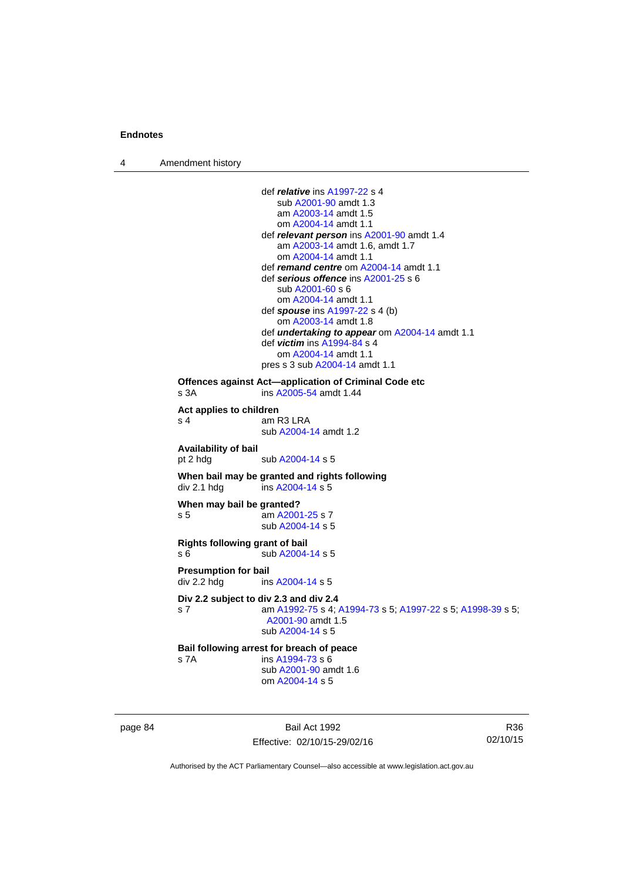4 Amendment history

```
 def relative ins A1997-22 s 4 
                      sub A2001-90 amdt 1.3 
                      am A2003-14 amdt 1.5
                      om A2004-14 amdt 1.1
                  def relevant person ins A2001-90 amdt 1.4
                      am A2003-14 amdt 1.6, amdt 1.7 
                      om A2004-14 amdt 1.1
                  def remand centre om A2004-14 amdt 1.1
                  def serious offence ins A2001-25 s 6 
                      sub A2001-60 s 6 
                      om A2004-14 amdt 1.1
                  def spouse ins A1997-22 s 4 (b) 
                      om A2003-14 amdt 1.8
                  def undertaking to appear om A2004-14 amdt 1.1 
                  def victim ins A1994-84 s 4 
                      om A2004-14 amdt 1.1
                 pres s 3 sub A2004-14 amdt 1.1 
Offences against Act—application of Criminal Code etc 
s 3A ins A2005-54 amdt 1.44 
Act applies to children 
                 am R3 LRA
                  sub A2004-14 amdt 1.2 
Availability of bail 
A2004-14 s 5
When bail may be granted and rights following div 2.1 hdg ins A2004-14 s 5
                 insA2004-14 s 5
When may bail be granted? 
 A2001-25 s 7
                  sub A2004-14 s 5 
Rights following grant of bail 
s 6 sub A2004-14 s 5 
Presumption for bail 
A2004-14 s 5
Div 2.2 subject to div 2.3 and div 2.4
s 7 am A1992-75 s 4; A1994-73 s 5; A1997-22 s 5; A1998-39 s 5; 
                  A2001-90 amdt 1.5 
                  sub A2004-14 s 5 
Bail following arrest for breach of peace
A1994-73 s 6
                  sub A2001-90 amdt 1.6 
                  om A2004-14 s 5
```
page 84 Bail Act 1992 Effective: 02/10/15-29/02/16

R36 02/10/15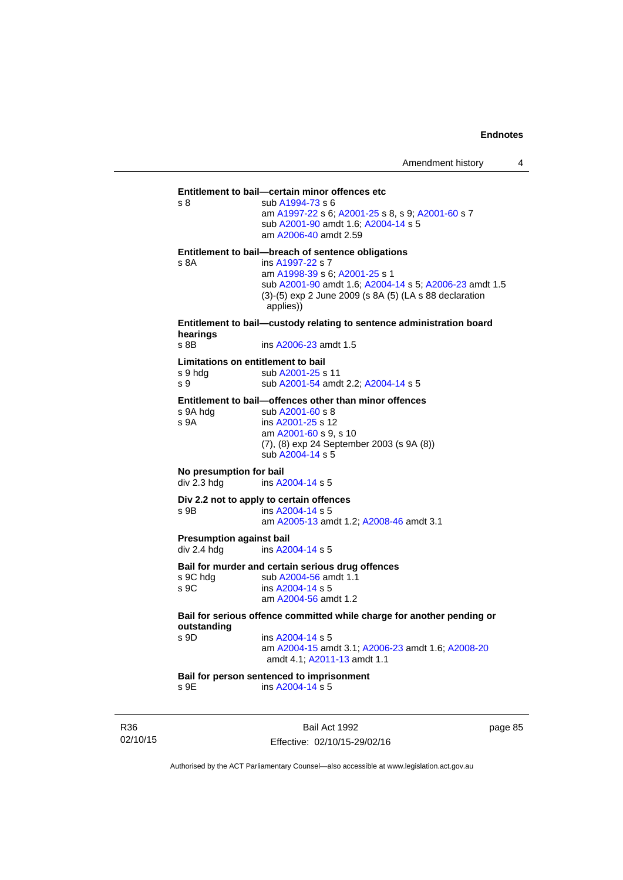**Entitlement to bail—certain minor offences etc** s 8 sub [A1994-73](http://www.legislation.act.gov.au/a/1994-73) s 6 am [A1997-22](http://www.legislation.act.gov.au/a/1997-22) s 6; [A2001-25](http://www.legislation.act.gov.au/a/2001-25) s 8, s 9; [A2001-60](http://www.legislation.act.gov.au/a/2001-60) s 7 sub [A2001-90](http://www.legislation.act.gov.au/a/2001-90) amdt 1.6; [A2004-14](http://www.legislation.act.gov.au/a/2004-14) s 5 am [A2006-40](http://www.legislation.act.gov.au/a/2006-40) amdt 2.59 **Entitlement to bail—breach of sentence obligations** s 8A ins [A1997-22](http://www.legislation.act.gov.au/a/1997-22) s 7 am [A1998-39](http://www.legislation.act.gov.au/a/1998-39) s 6; [A2001-25](http://www.legislation.act.gov.au/a/2001-25) s 1 sub [A2001-90](http://www.legislation.act.gov.au/a/2001-90) amdt 1.6; [A2004-14](http://www.legislation.act.gov.au/a/2004-14) s 5; [A2006-23](http://www.legislation.act.gov.au/a/2006-23) amdt 1.5 (3)-(5) exp 2 June 2009 (s 8A (5) (LA s 88 declaration applies)) **Entitlement to bail—custody relating to sentence administration board hearings** s 8B **ins A2006-23** amdt 1.5 **Limitations on entitlement to bail**<br>
s 9 hdg sub A2001-25 s sub [A2001-25](http://www.legislation.act.gov.au/a/2001-25) s 11 s 9 sub [A2001-54](http://www.legislation.act.gov.au/a/2001-54) amdt 2.2; [A2004-14](http://www.legislation.act.gov.au/a/2004-14) s 5 **Entitlement to bail—offences other than minor offences**<br>s 9A hda sub A2001-60 s 8 sub [A2001-60](http://www.legislation.act.gov.au/a/2001-60) s 8 s 9A ins [A2001-25](http://www.legislation.act.gov.au/a/2001-25) s 12 am [A2001-60](http://www.legislation.act.gov.au/a/2001-60) s 9, s 10 (7), (8) exp 24 September 2003 (s 9A (8)) sub [A2004-14](http://www.legislation.act.gov.au/a/2004-14) s 5 **No presumption for bail**  div 2.3 hdg ins [A2004-14](http://www.legislation.act.gov.au/a/2004-14) s 5 **Div 2.2 not to apply to certain offences**  s 9B ins [A2004-14](http://www.legislation.act.gov.au/a/2004-14) s 5 am [A2005-13](http://www.legislation.act.gov.au/a/2005-13) amdt 1.2; [A2008-46](http://www.legislation.act.gov.au/a/2008-46) amdt 3.1 **Presumption against bail**  div 2.4 hdg ins [A2004-14](http://www.legislation.act.gov.au/a/2004-14) s 5 **Bail for murder and certain serious drug offences**  s 9C hdg sub [A2004-56](http://www.legislation.act.gov.au/a/2004-56) amdt 1.1<br>s 9C ins A2004-14 s 5 ins [A2004-14](http://www.legislation.act.gov.au/a/2004-14) s 5 am [A2004-56](http://www.legislation.act.gov.au/a/2004-56) amdt 1.2 **Bail for serious offence committed while charge for another pending or outstanding**  ins [A2004-14](http://www.legislation.act.gov.au/a/2004-14) s 5 am [A2004-15](http://www.legislation.act.gov.au/a/2004-15) amdt 3.1; [A2006-23](http://www.legislation.act.gov.au/a/2006-23) amdt 1.6; [A2008-20](http://www.legislation.act.gov.au/a/2008-20) amdt 4.1; [A2011-13](http://www.legislation.act.gov.au/a/2011-13) amdt 1.1 **Bail for person sentenced to imprisonment**  s 9E ins [A2004-14](http://www.legislation.act.gov.au/a/2004-14) s 5

R36 02/10/15

Bail Act 1992 Effective: 02/10/15-29/02/16 page 85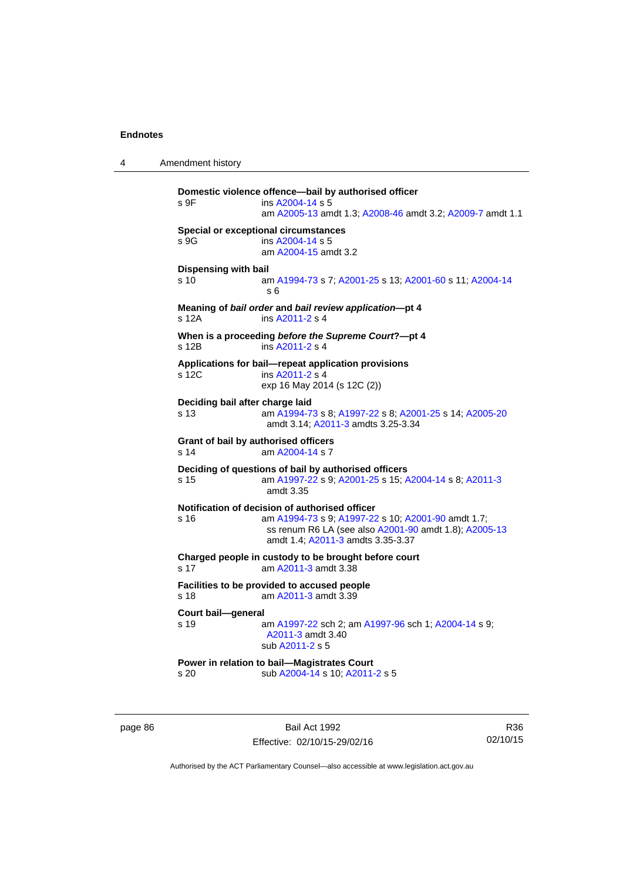4 Amendment history

```
Domestic violence offence—bail by authorised officer 
A2004-14 s 5
                 am A2005-13 amdt 1.3; A2008-46 amdt 3.2; A2009-7 amdt 1.1 
Special or exceptional circumstances 
s 9G ins A2004-14 s 5
                 am A2004-15 amdt 3.2
Dispensing with bail
s 10 am A1994-73 s 7; A2001-25 s 13; A2001-60 s 11; A2004-14
                 s 6 
Meaning of bail order and bail review application—pt 4 
s 12A ins A2011-2 s 4 
When is a proceeding before the Supreme Court?—pt 4 
s 12B ins A2011-2 s 4 
Applications for bail—repeat application provisions 
s 12C ins A2011-2 s 4 
                exp 16 May 2014 (s 12C (2)) 
Deciding bail after charge laid
s 13 am A1994-73 s 8; A1997-22 s 8; A2001-25 s 14; A2005-20
                 amdt 3.14; A2011-3 amdts 3.25-3.34 
Grant of bail by authorised officers 
s 14 am A2004-14 s 7 
Deciding of questions of bail by authorised officers
s 15 am A1997-22 s 9; A2001-25 s 15; A2004-14 s 8; A2011-3
                 amdt 3.35
Notification of decision of authorised officer
s 16 am A1994-73 s 9; A1997-22 s 10; A2001-90 amdt 1.7; 
                 ss renum R6 LA (see also A2001-90 amdt 1.8); A2005-13
                 amdt 1.4; A2011-3 amdts 3.35-3.37 
Charged people in custody to be brought before court 
A2011-3 amdt 3.38
Facilities to be provided to accused people 
s 18 am A2011-3 amdt 3.39 
Court bail—general 
s 19 am A1997-22 sch 2; am A1997-96 sch 1; A2004-14 s 9; 
                 A2011-3 amdt 3.40 
                 sub A2011-2 s 5 
Power in relation to bail—Magistrates Court 
s 20 sub A2004-14 s 10; A2011-2 s 5
```
page 86 Bail Act 1992 Effective: 02/10/15-29/02/16

R36 02/10/15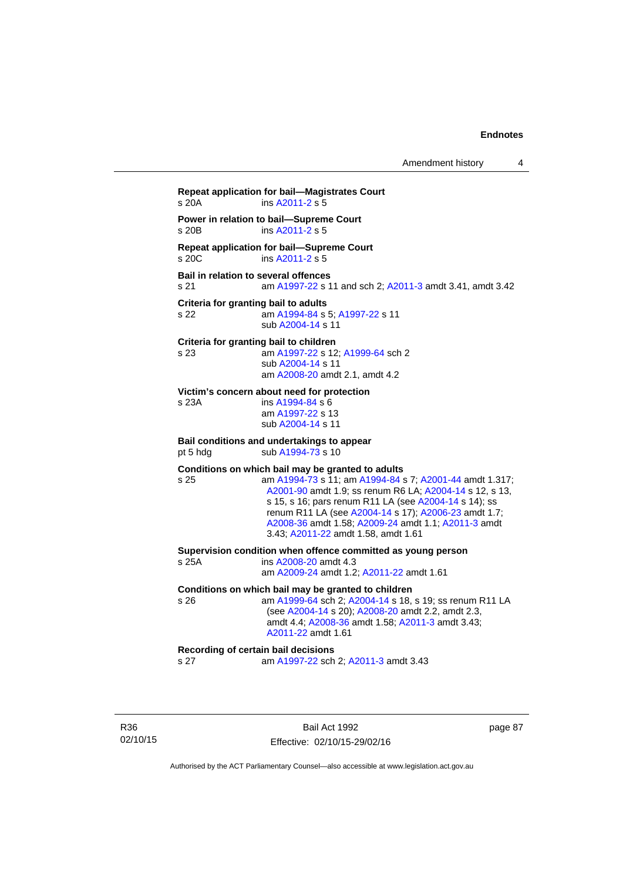Amendment history 4

**Repeat application for bail—Magistrates Court**  s 20A ins [A2011-2](http://www.legislation.act.gov.au/a/2011-2) s 5 **Power in relation to bail—Supreme Court**  s 20B ins [A2011-2](http://www.legislation.act.gov.au/a/2011-2) s 5 **Repeat application for bail—Supreme Court**  s 20C ins [A2011-2](http://www.legislation.act.gov.au/a/2011-2) s 5 **Bail in relation to several offences** s 21 am [A1997-22](http://www.legislation.act.gov.au/a/1997-22) s 11 and sch 2; [A2011-3](http://www.legislation.act.gov.au/a/2011-3) amdt 3.41, amdt 3.42 **Criteria for granting bail to adults** s 22 am [A1994-84](http://www.legislation.act.gov.au/a/1994-84) s 5; [A1997-22](http://www.legislation.act.gov.au/a/1997-22) s 11 sub [A2004-14](http://www.legislation.act.gov.au/a/2004-14) s 11 **Criteria for granting bail to children** s 23 am [A1997-22](http://www.legislation.act.gov.au/a/1997-22) s 12; [A1999-64](http://www.legislation.act.gov.au/a/1999-64) sch 2 sub [A2004-14](http://www.legislation.act.gov.au/a/2004-14) s 11 am [A2008-20](http://www.legislation.act.gov.au/a/2008-20) amdt 2.1, amdt 4.2 **Victim's concern about need for protection** s 23A ins [A1994-84](http://www.legislation.act.gov.au/a/1994-84) s 6 am [A1997-22](http://www.legislation.act.gov.au/a/1997-22) s 13 sub [A2004-14](http://www.legislation.act.gov.au/a/2004-14) s 11 **Bail conditions and undertakings to appear** pt 5 hdg sub [A1994-73](http://www.legislation.act.gov.au/a/1994-73) s 10 **Conditions on which bail may be granted to adults** s 25 am [A1994-73](http://www.legislation.act.gov.au/a/1994-73) s 11; am [A1994-84](http://www.legislation.act.gov.au/a/1994-84) s 7; [A2001-44](http://www.legislation.act.gov.au/a/2001-44) amdt 1.317; [A2001-90](http://www.legislation.act.gov.au/a/2001-90) amdt 1.9; ss renum R6 LA; [A2004-14](http://www.legislation.act.gov.au/a/2004-14) s 12, s 13, s 15, s 16; pars renum R11 LA (see [A2004-14](http://www.legislation.act.gov.au/a/2004-14) s 14); ss renum R11 LA (see [A2004-14](http://www.legislation.act.gov.au/a/2004-14) s 17); [A2006-23](http://www.legislation.act.gov.au/a/2006-23) amdt 1.7; [A2008-36](http://www.legislation.act.gov.au/a/2008-36) amdt 1.58; [A2009-24](http://www.legislation.act.gov.au/a/2009-24) amdt 1.1; [A2011-3](http://www.legislation.act.gov.au/a/2011-3) amdt 3.43; [A2011-22](http://www.legislation.act.gov.au/a/2011-22) amdt 1.58, amdt 1.61 **Supervision condition when offence committed as young person**  s 25A ins [A2008-20](http://www.legislation.act.gov.au/a/2008-20) amdt 4.3 am [A2009-24](http://www.legislation.act.gov.au/a/2009-24) amdt 1.2; [A2011-22](http://www.legislation.act.gov.au/a/2011-22) amdt 1.61 **Conditions on which bail may be granted to children** s 26 am [A1999-64](http://www.legislation.act.gov.au/a/1999-64) sch 2; [A2004-14](http://www.legislation.act.gov.au/a/2004-14) s 18, s 19; ss renum R11 LA (see [A2004-14](http://www.legislation.act.gov.au/a/2004-14) s 20); [A2008-20](http://www.legislation.act.gov.au/a/2008-20) amdt 2.2, amdt 2.3, amdt 4.4; [A2008-36](http://www.legislation.act.gov.au/a/2008-36) amdt 1.58; [A2011-3](http://www.legislation.act.gov.au/a/2011-3) amdt 3.43; [A2011-22](http://www.legislation.act.gov.au/a/2011-22) amdt 1.61

#### **Recording of certain bail decisions**

s 27 am [A1997-22](http://www.legislation.act.gov.au/a/1997-22) sch 2; [A2011-3](http://www.legislation.act.gov.au/a/2011-3) amdt 3.43

R36 02/10/15

Bail Act 1992 Effective: 02/10/15-29/02/16 page 87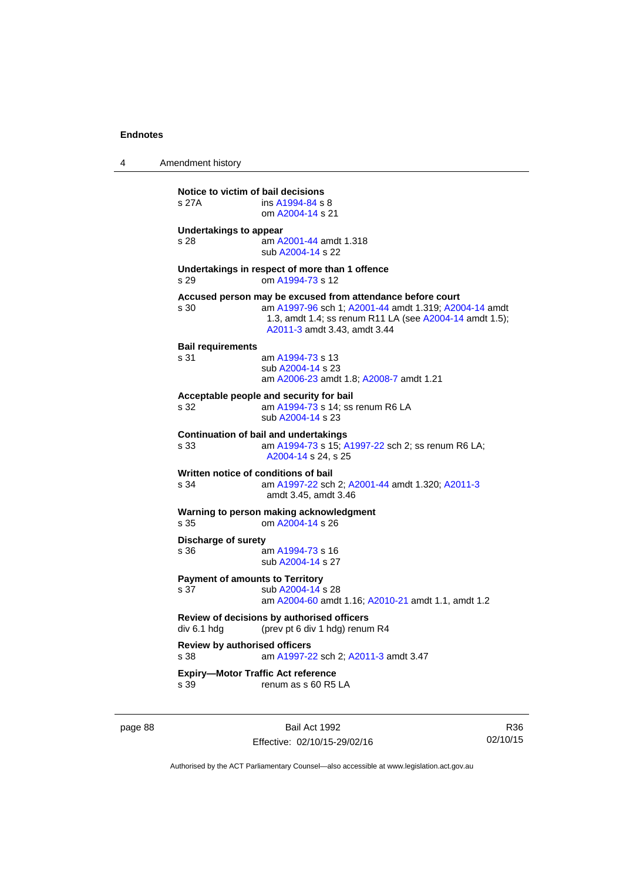4 Amendment history

**Notice to victim of bail decisions** s 27A ins [A1994-84](http://www.legislation.act.gov.au/a/1994-84) s 8 om [A2004-14](http://www.legislation.act.gov.au/a/2004-14) s 21 **Undertakings to appear**  s 28 am [A2001-44](http://www.legislation.act.gov.au/a/2001-44) amdt 1.318 sub [A2004-14](http://www.legislation.act.gov.au/a/2004-14) s 22 **Undertakings in respect of more than 1 offence**  s 29 om [A1994-73](http://www.legislation.act.gov.au/a/1994-73) s 12 **Accused person may be excused from attendance before court** s 30 am [A1997-96](http://www.legislation.act.gov.au/a/1997-96) sch 1; [A2001-44](http://www.legislation.act.gov.au/a/2001-44) amdt 1.319; [A2004-14](http://www.legislation.act.gov.au/a/2004-14) amdt 1.3, amdt 1.4; ss renum R11 LA (see [A2004-14](http://www.legislation.act.gov.au/a/2004-14) amdt 1.5); [A2011-3](http://www.legislation.act.gov.au/a/2011-3) amdt 3.43, amdt 3.44 **Bail requirements** s 31 am [A1994-73](http://www.legislation.act.gov.au/a/1994-73) s 13 sub [A2004-14](http://www.legislation.act.gov.au/a/2004-14) s 23 am [A2006-23](http://www.legislation.act.gov.au/a/2006-23) amdt 1.8; [A2008-7](http://www.legislation.act.gov.au/a/2008-7) amdt 1.21 **Acceptable people and security for bail**  s 32 am [A1994-73](http://www.legislation.act.gov.au/a/1994-73) s 14; ss renum R6 LA sub [A2004-14](http://www.legislation.act.gov.au/a/2004-14) s 23 **Continuation of bail and undertakings** s 33 am [A1994-73](http://www.legislation.act.gov.au/a/1994-73) s 15; [A1997-22](http://www.legislation.act.gov.au/a/1997-22) sch 2; ss renum R6 LA; [A2004-14](http://www.legislation.act.gov.au/a/2004-14) s 24, s 25 **Written notice of conditions of bail** s 34 am [A1997-22](http://www.legislation.act.gov.au/a/1997-22) sch 2; [A2001-44](http://www.legislation.act.gov.au/a/2001-44) amdt 1.320; [A2011-3](http://www.legislation.act.gov.au/a/2011-3) amdt 3.45, amdt 3.46 **Warning to person making acknowledgment** s 35 om [A2004-14](http://www.legislation.act.gov.au/a/2004-14) s 26 **Discharge of surety** s 36 am [A1994-73](http://www.legislation.act.gov.au/a/1994-73) s 16 sub [A2004-14](http://www.legislation.act.gov.au/a/2004-14) s 27 **Payment of amounts to Territory**<br>s 37 sub A2004-14 sub [A2004-14](http://www.legislation.act.gov.au/a/2004-14) s 28 am [A2004-60](http://www.legislation.act.gov.au/a/2004-60) amdt 1.16; [A2010-21](http://www.legislation.act.gov.au/a/2010-21) amdt 1.1, amdt 1.2 **Review of decisions by authorised officers**  div 6.1 hdg (prev pt 6 div 1 hdg) renum R4 **Review by authorised officers** s 38 am [A1997-22](http://www.legislation.act.gov.au/a/1997-22) sch 2; [A2011-3](http://www.legislation.act.gov.au/a/2011-3) amdt 3.47 **Expiry—Motor Traffic Act reference**  s 39 renum as s 60 R5 LA

page 88 Bail Act 1992 Effective: 02/10/15-29/02/16

R36 02/10/15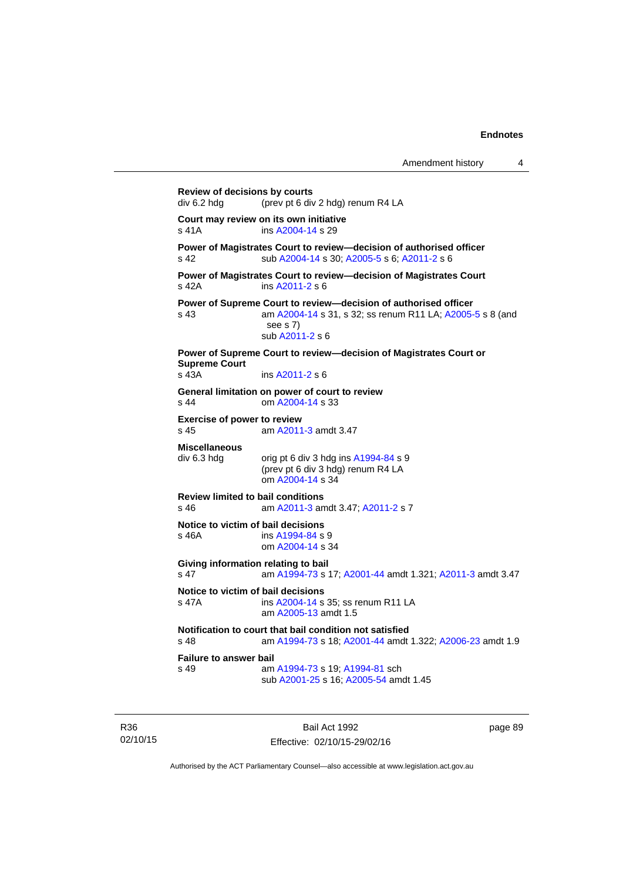**Review of decisions by courts**  div 6.2 hdg (prev pt 6 div 2 hdg) renum R4 LA **Court may review on its own initiative** s 41A ins [A2004-14](http://www.legislation.act.gov.au/a/2004-14) s 29 **Power of Magistrates Court to review—decision of authorised officer**  s 42 sub [A2004-14](http://www.legislation.act.gov.au/a/2004-14) s 30; [A2005-5](http://www.legislation.act.gov.au/a/2005-5) s 6; [A2011-2](http://www.legislation.act.gov.au/a/2011-2) s 6 **Power of Magistrates Court to review—decision of Magistrates Court**  s 42A ins [A2011-2](http://www.legislation.act.gov.au/a/2011-2) s 6 **Power of Supreme Court to review—decision of authorised officer**  s 43 am [A2004-14](http://www.legislation.act.gov.au/a/2004-14) s 31, s 32; ss renum R11 LA; [A2005-5](http://www.legislation.act.gov.au/a/2005-5) s 8 (and see s 7) sub [A2011-2](http://www.legislation.act.gov.au/a/2011-2) s 6 **Power of Supreme Court to review—decision of Magistrates Court or Supreme Court**  s 43A ins [A2011-2](http://www.legislation.act.gov.au/a/2011-2) s 6 **General limitation on power of court to review** s 44 om [A2004-14](http://www.legislation.act.gov.au/a/2004-14) s 33 **Exercise of power to review**  s 45 am [A2011-3](http://www.legislation.act.gov.au/a/2011-3) amdt 3.47 **Miscellaneous**   $div 6.3$  hdg  $div 6$  div 3 hdg ins  $A1994-84$  s 9 (prev pt 6 div 3 hdg) renum R4 LA om [A2004-14](http://www.legislation.act.gov.au/a/2004-14) s 34 **Review limited to bail conditions**  am [A2011-3](http://www.legislation.act.gov.au/a/2011-3) amdt 3.47; [A2011-2](http://www.legislation.act.gov.au/a/2011-2) s 7 **Notice to victim of bail decisions** s 46A ins [A1994-84](http://www.legislation.act.gov.au/a/1994-84) s 9 om [A2004-14](http://www.legislation.act.gov.au/a/2004-14) s 34 **Giving information relating to bail** s 47 am [A1994-73](http://www.legislation.act.gov.au/a/1994-73) s 17; [A2001-44](http://www.legislation.act.gov.au/a/2001-44) amdt 1.321; [A2011-3](http://www.legislation.act.gov.au/a/2011-3) amdt 3.47 **Notice to victim of bail decisions**<br>s 47A **ins A2004-14** s ins [A2004-14](http://www.legislation.act.gov.au/a/2004-14) s 35; ss renum R11 LA am [A2005-13](http://www.legislation.act.gov.au/a/2005-13) amdt 1.5 **Notification to court that bail condition not satisfied** s 48 am [A1994-73](http://www.legislation.act.gov.au/a/1994-73) s 18; [A2001-44](http://www.legislation.act.gov.au/a/2001-44) amdt 1.322; [A2006-23](http://www.legislation.act.gov.au/a/2006-23) amdt 1.9 **Failure to answer bail**<br>s 49 am am [A1994-73](http://www.legislation.act.gov.au/a/1994-73) s 19; [A1994-81](http://www.legislation.act.gov.au/a/1994-81) sch sub [A2001-25](http://www.legislation.act.gov.au/a/2001-25) s 16; [A2005-54](http://www.legislation.act.gov.au/a/2005-54) amdt 1.45

R36 02/10/15

Bail Act 1992 Effective: 02/10/15-29/02/16 page 89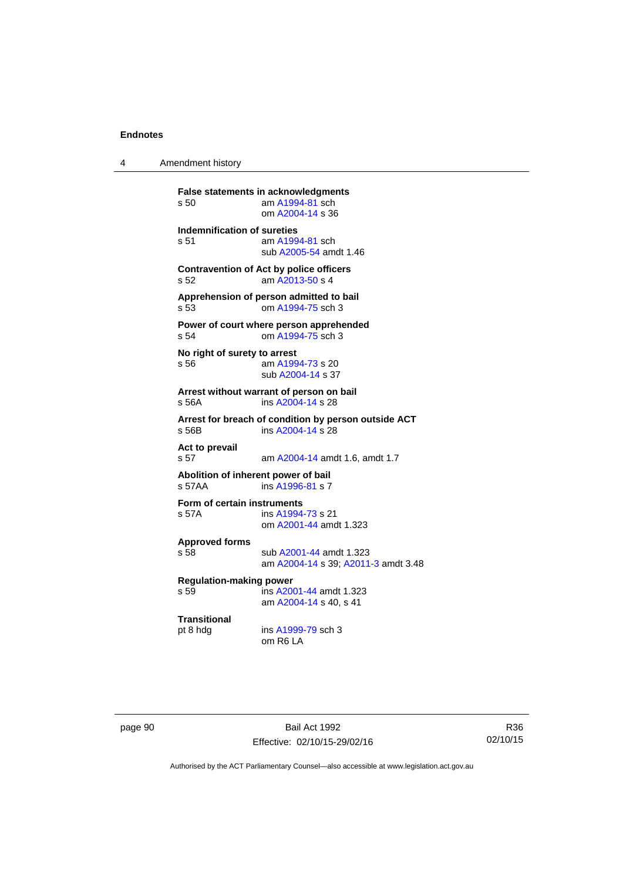4 Amendment history

**False statements in acknowledgments** s 50 am [A1994-81](http://www.legislation.act.gov.au/a/1994-81) sch om [A2004-14](http://www.legislation.act.gov.au/a/2004-14) s 36 **Indemnification of sureties** s 51 am [A1994-81](http://www.legislation.act.gov.au/a/1994-81) sch sub [A2005-54](http://www.legislation.act.gov.au/a/2005-54) amdt 1.46 **Contravention of Act by police officers**  s 52 am [A2013-50](http://www.legislation.act.gov.au/a/2013-50) s 4 **Apprehension of person admitted to bail** s 53 om [A1994-75](http://www.legislation.act.gov.au/a/1994-75) sch 3 **Power of court where person apprehended** s 54 om [A1994-75](http://www.legislation.act.gov.au/a/1994-75) sch 3 **No right of surety to arrest** s 56 am [A1994-73](http://www.legislation.act.gov.au/a/1994-73) s 20 sub [A2004-14](http://www.legislation.act.gov.au/a/2004-14) s 37 **Arrest without warrant of person on bail** s 56A ins [A2004-14](http://www.legislation.act.gov.au/a/2004-14) s 28 **Arrest for breach of condition by person outside ACT** s 56B ins [A2004-14](http://www.legislation.act.gov.au/a/2004-14) s 28 **Act to prevail**  s 57 am [A2004-14](http://www.legislation.act.gov.au/a/2004-14) amdt 1.6, amdt 1.7 **Abolition of inherent power of bail** s 57AA ins [A1996-81](http://www.legislation.act.gov.au/a/1996-81) s 7 **Form of certain instruments** s 57A ins [A1994-73](http://www.legislation.act.gov.au/a/1994-73) s 21 om [A2001-44](http://www.legislation.act.gov.au/a/2001-44) amdt 1.323 **Approved forms**  s 58 sub [A2001-44](http://www.legislation.act.gov.au/a/2001-44) amdt 1.323 am [A2004-14](http://www.legislation.act.gov.au/a/2004-14) s 39; [A2011-3](http://www.legislation.act.gov.au/a/2011-3) amdt 3.48 **Regulation-making power**  s 59 ins [A2001-44](http://www.legislation.act.gov.au/a/2001-44) amdt 1.323 am [A2004-14](http://www.legislation.act.gov.au/a/2004-14) s 40, s 41 **Transitional** pt 8 hdg ins [A1999-79](http://www.legislation.act.gov.au/a/1999-79) sch 3 om R6 LA

page 90 Bail Act 1992 Effective: 02/10/15-29/02/16

R36 02/10/15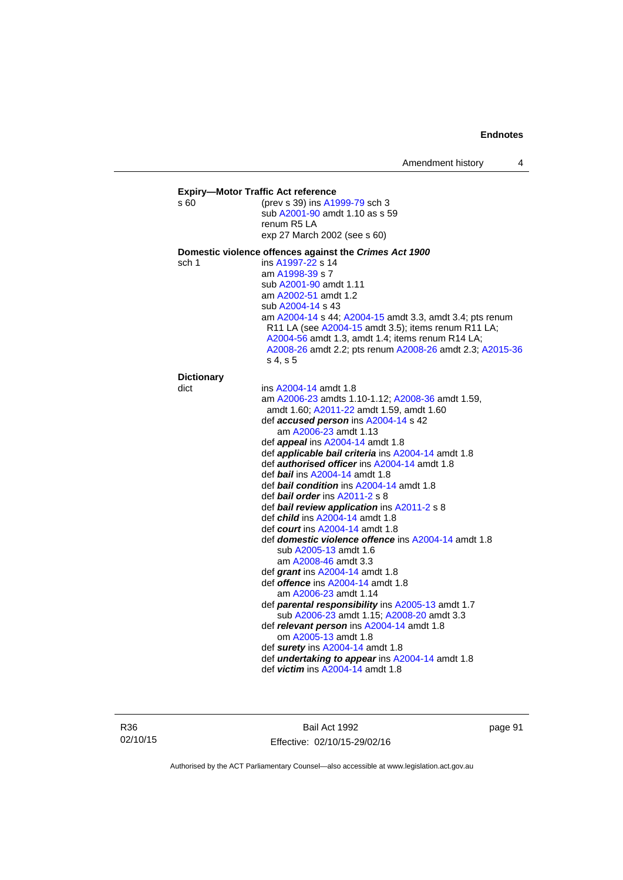| s 60              | (prev s 39) ins A1999-79 sch 3<br>sub A2001-90 amdt 1.10 as s 59<br>renum R <sub>5</sub> LA<br>exp 27 March 2002 (see s 60)                                                                                                                                                                                                                                                                                                                                                                                                                                                                                                                                                                                                                                                                                                                                                                                                                                                                                                     |
|-------------------|---------------------------------------------------------------------------------------------------------------------------------------------------------------------------------------------------------------------------------------------------------------------------------------------------------------------------------------------------------------------------------------------------------------------------------------------------------------------------------------------------------------------------------------------------------------------------------------------------------------------------------------------------------------------------------------------------------------------------------------------------------------------------------------------------------------------------------------------------------------------------------------------------------------------------------------------------------------------------------------------------------------------------------|
|                   | Domestic violence offences against the Crimes Act 1900                                                                                                                                                                                                                                                                                                                                                                                                                                                                                                                                                                                                                                                                                                                                                                                                                                                                                                                                                                          |
| sch 1             | ins A1997-22 s 14<br>am A1998-39 s 7<br>sub A2001-90 amdt 1.11<br>am A2002-51 amdt 1.2<br>sub A2004-14 s 43<br>am A2004-14 s 44; A2004-15 amdt 3.3, amdt 3.4; pts renum<br>R11 LA (see A2004-15 amdt 3.5); items renum R11 LA;<br>A2004-56 amdt 1.3, amdt 1.4; items renum R14 LA;<br>A2008-26 amdt 2.2; pts renum A2008-26 amdt 2.3; A2015-36<br>s 4, s 5                                                                                                                                                                                                                                                                                                                                                                                                                                                                                                                                                                                                                                                                      |
| <b>Dictionary</b> |                                                                                                                                                                                                                                                                                                                                                                                                                                                                                                                                                                                                                                                                                                                                                                                                                                                                                                                                                                                                                                 |
| dict              | ins A2004-14 amdt 1.8<br>am A2006-23 amdts 1.10-1.12; A2008-36 amdt 1.59,<br>amdt 1.60; A2011-22 amdt 1.59, amdt 1.60<br>def <b>accused person</b> ins A2004-14 s 42<br>am A2006-23 amdt 1.13<br>def <i>appeal</i> ins A2004-14 amdt 1.8<br>def applicable bail criteria ins A2004-14 amdt 1.8<br>def <b>authorised officer</b> ins A2004-14 amdt 1.8<br>def <b>bail</b> ins A2004-14 amdt 1.8<br>def <b>bail condition</b> ins A2004-14 amdt 1.8<br>def <b>bail order</b> ins $A2011-2 s 8$<br>def <b>bail review application</b> ins A2011-2 s 8<br>def <i>child</i> ins A2004-14 amdt 1.8<br>def court ins $A2004-14$ amdt 1.8<br>def <b>domestic violence offence</b> ins A2004-14 amdt 1.8<br>sub A2005-13 amdt 1.6<br>am A2008-46 amdt 3.3<br>def grant ins A2004-14 amdt 1.8<br>def <i>offence</i> ins A2004-14 amdt 1.8<br>am A2006-23 amdt 1.14<br>def parental responsibility ins A2005-13 amdt 1.7<br>sub A2006-23 amdt 1.15; A2008-20 amdt 3.3<br>def relevant person ins A2004-14 amdt 1.8<br>om A2005-13 amdt 1.8 |

R36 02/10/15

Bail Act 1992 Effective: 02/10/15-29/02/16 page 91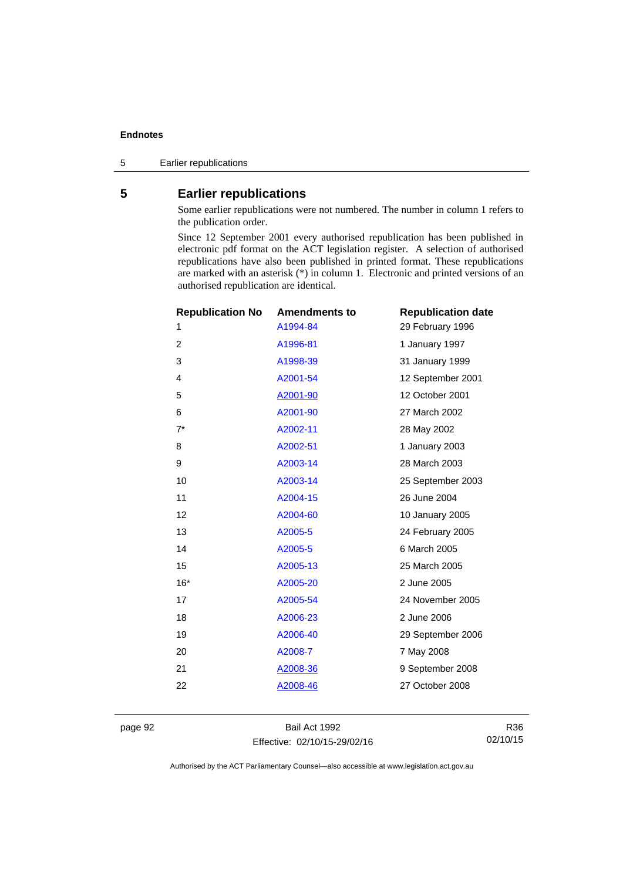5 Earlier republications

# **5 Earlier republications**

Some earlier republications were not numbered. The number in column 1 refers to the publication order.

Since 12 September 2001 every authorised republication has been published in electronic pdf format on the ACT legislation register. A selection of authorised republications have also been published in printed format. These republications are marked with an asterisk (\*) in column 1. Electronic and printed versions of an authorised republication are identical.

| <b>Republication No</b> | <b>Amendments to</b> | <b>Republication date</b> |
|-------------------------|----------------------|---------------------------|
| 1                       | A1994-84             | 29 February 1996          |
| $\overline{2}$          | A1996-81             | 1 January 1997            |
| 3                       | A1998-39             | 31 January 1999           |
| 4                       | A2001-54             | 12 September 2001         |
| 5                       | A2001-90             | 12 October 2001           |
| 6                       | A2001-90             | 27 March 2002             |
| $7^*$                   | A2002-11             | 28 May 2002               |
| 8                       | A2002-51             | 1 January 2003            |
| 9                       | A2003-14             | 28 March 2003             |
| 10                      | A2003-14             | 25 September 2003         |
| 11                      | A2004-15             | 26 June 2004              |
| 12                      | A2004-60             | 10 January 2005           |
| 13                      | A2005-5              | 24 February 2005          |
| 14                      | A2005-5              | 6 March 2005              |
| 15                      | A2005-13             | 25 March 2005             |
| $16*$                   | A2005-20             | 2 June 2005               |
| 17                      | A2005-54             | 24 November 2005          |
| 18                      | A2006-23             | 2 June 2006               |
| 19                      | A2006-40             | 29 September 2006         |
| 20                      | A2008-7              | 7 May 2008                |
| 21                      | A2008-36             | 9 September 2008          |
| 22                      | <u>A2008-46</u>      | 27 October 2008           |
|                         |                      |                           |

page 92 Bail Act 1992 Effective: 02/10/15-29/02/16

R36 02/10/15